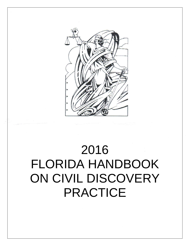

# 2016 FLORIDA HANDBOOK ON CIVIL DISCOVERY PRACTICE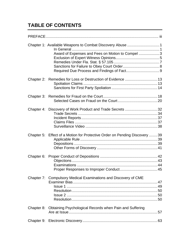## **TABLE OF CONTENTS**

| Chapter 1: Available Weapons to Combat Discovery Abuse 1<br>Award of Expenses and Fees on Motion to Compel 3 |  |
|--------------------------------------------------------------------------------------------------------------|--|
|                                                                                                              |  |
| Chapter 2: Remedies for Loss or Destruction of Evidence  13                                                  |  |
|                                                                                                              |  |
| Chapter 4: Discovery of Work Product and Trade Secrets 32                                                    |  |
| Chapter 5: Effect of a Motion for Protective Order on Pending Discovery  39                                  |  |
|                                                                                                              |  |
| Chapter 7: Compulsory Medical Examinations and Discovery of CME                                              |  |
| Chapter 8: Obtaining Psychological Records when Pain and Suffering                                           |  |
|                                                                                                              |  |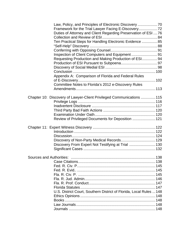| Framework for the Trial Lawyer Facing E-Discovery                     |  |
|-----------------------------------------------------------------------|--|
| Duties of Attorney and Client Regarding Preservation of ESI  76       |  |
|                                                                       |  |
| Ten Practical Steps for Handling Electronic Evidence  85              |  |
|                                                                       |  |
|                                                                       |  |
| Inspection of Client Computers and Equipment91                        |  |
| Requesting Production and Making Production of ESI 94                 |  |
|                                                                       |  |
|                                                                       |  |
|                                                                       |  |
| Appendix A: Comparison of Florida and Federal Rules                   |  |
|                                                                       |  |
| Committee Notes to Florida's 2012 e-Discovery Rules                   |  |
|                                                                       |  |
|                                                                       |  |
| Chapter 10: Discovery of Lawyer-Client Privileged Communications  115 |  |
|                                                                       |  |
|                                                                       |  |
|                                                                       |  |
|                                                                       |  |
| Review of Privileged Documents for Deposition  121                    |  |
|                                                                       |  |
|                                                                       |  |
|                                                                       |  |
| Discovery of Non-Party Medical Records 129                            |  |
| Discovery From Expert Not Testifying at Trial  130                    |  |
|                                                                       |  |
|                                                                       |  |
|                                                                       |  |
|                                                                       |  |
|                                                                       |  |
|                                                                       |  |
|                                                                       |  |
|                                                                       |  |
|                                                                       |  |
|                                                                       |  |
| U.S. District Court, Southern District of Florida, Local Rules  148   |  |
|                                                                       |  |
|                                                                       |  |
|                                                                       |  |
|                                                                       |  |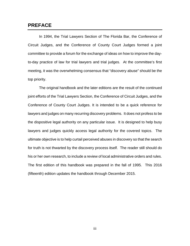## **PREFACE**

 In 1994, the Trial Lawyers Section of The Florida Bar, the Conference of Circuit Judges, and the Conference of County Court Judges formed a joint committee to provide a forum for the exchange of ideas on how to improve the dayto-day practice of law for trial lawyers and trial judges. At the committee's first meeting, it was the overwhelming consensus that "discovery abuse" should be the top priority.

The original handbook and the later editions are the result of the continued joint efforts of the Trial Lawyers Section, the Conference of Circuit Judges, and the Conference of County Court Judges. It is intended to be a quick reference for lawyers and judges on many recurring discovery problems. It does not profess to be the dispositive legal authority on any particular issue. It is designed to help busy lawyers and judges quickly access legal authority for the covered topics. The ultimate objective is to help curtail perceived abuses in discovery so that the search for truth is not thwarted by the discovery process itself. The reader still should do his or her own research, to include a review of local administrative orders and rules. The first edition of this handbook was prepared in the fall of 1995. This 2016 (fifteenth) edition updates the handbook through December 2015.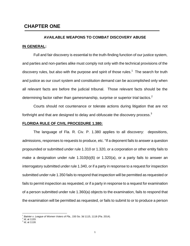#### **AVAILABLE WEAPONS TO COMBAT DISCOVERY ABUSE**

#### **IN GENERAL:**

Full and fair discovery is essential to the truth-finding function of our justice system, and parties and non-parties alike must comply not only with the technical provisions of the discovery rules, but also with the purpose and spirit of those rules.<sup>1</sup> The search for truth and justice as our court system and constitution demand can be accomplished only when all relevant facts are before the judicial tribunal. Those relevant facts should be the determining factor rather than gamesmanship, surprise or superior trial tactics.<sup>2</sup>

 Courts should not countenance or tolerate actions during litigation that are not forthright and that are designed to delay and obfuscate the discovery process.<sup>3</sup>

#### **FLORIDA RULE OF CIVIL PROCEDURE 1.380:**

The language of Fla. R. Civ. P. 1.380 applies to all discovery: depositions, admissions, responses to requests to produce, etc. "If a deponent fails to answer a question propounded or submitted under rule 1.310 or 1.320, or a corporation or other entity fails to make a designation under rule 1.310(b)(6) or 1.320(a), or a party fails to answer an interrogatory submitted under rule 1.340, or if a party in response to a request for inspection submitted under rule 1.350 fails to respond that inspection will be permitted as requested or fails to permit inspection as requested, or if a party in response to a request for examination of a person submitted under rule 1.360(a) objects to the examination, fails to respond that the examination will be permitted as requested, or fails to submit to or to produce a person

 $\overline{a}$ <sup>1</sup> *Bainter v. League of Women Voters of Fla.,* 150 So. 3d 1115, 1118 (Fla. 2014). 2 *Id*, at 1133. 3 *Id*, at 1118.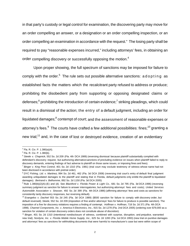in that party's custody or legal control for examination, the discovering party may move for an order compelling an answer, or a designation or an order compelling inspection, or an order compelling an examination in accordance with the request." The losing party shall be required to pay "reasonable expenses incurred," including attorneys' fees, in obtaining an order compelling discovery or successfully opposing the motion.<sup>4</sup>

Upon proper showing, the full spectrum of sanctions may be imposed for failure to comply with the order.<sup>5</sup> The rule sets out possible alternative sanctions:  $a$  d o p t i n g as established facts the matters which the recalcitrant party refused to address or produce; prohibiting the disobedient party from supporting or opposing designated claims or defenses;<sup>6</sup> prohibiting the introduction of certain evidence;<sup>7</sup> striking pleadings, which could result in a dismissal of the action; the entry of a default judgment, including an order for liquidated damages; $^8$  contempt of court; and the assessment of reasonable expenses or attorney's fees. $^9$  The courts have crafted a few additional possibilities: fines; $^{10}$  granting a new trial;<sup>11</sup> and, in the case of lost or destroyed evidence, creation of an evidentiary

<u>.</u>

<sup>4</sup> Fla. R. Civ. P. 1.380(a)(4).

<sup>5</sup> Fla. R. Civ. P. 1.380(b).

<sup>6</sup> *Steele v. Chapnick*, 552 So. 2d 209 (Fla. 4th DCA 1989) (reversing dismissal because plaintiff substantially complied with defendant's discovery request, but authorizing alternative sanctions of precluding evidence on issues when plaintiff failed to reply to discovery demands, entering findings of fact adverse to plaintiff on those same issues, or imposing fines and fees).<br><sup>7</sup> Binger v. King Pest Control, 401 So. 2d 1310 (Fla. 1981) (trial court may exclude testimony of witnes

been disclosed in accordance with pretrial order).<br><sup>8</sup> DYC Fishing, Ltd. v. Martinez, 994 So. 2d 461, 462 (Fla. 3d DCA 2008) (reversing trial court's entry of default final judgment

awarding unliquidated damages to the plaintiff and stating that in Florida, default judgments only entitle the plaintiff to liquidated damages). *Bertrand v. Belhomme*, 892 So. 2d 1150 (Fla. 3d DCA 2005) 9

<sup>&</sup>lt;sup>9</sup> Rule 1.380(b)(2)(A)-(E) and (d). See *Blackford v. Florida Power & Light Co.*, 681 So. 2d 795 (Fla. 3d DCA 1996) (reversing summary judgment as sanction for failure to answer interrogatories, but authorizing attorneys' fees and costs); *United Services Automobile Association v. Strasser,* 492 So. 2d 399 (Fla. 4th DCA 1986) (affirming attorneys' fees and costs as sanctions for consistently tardy discovery responses, but reversing default).

<sup>10</sup> *Evangelos v. Dachiel* 553 So. 2d 245 (Fla. 3d DCA 1989) (\$500 sanction for failure to comply with discovery order, but default reversed); *Steele*, 552 So. 2d 209 (imposition of fine and/or attorneys' fees for failure to produce is possible sanction). The imposition of a fine for discovery violations requires a finding of contempt. *Hoffman v. Hoffman*, 718 So. 2d 371 (Fla. 4th DCA 1998). *Channel Components, Inc. v. America II Electronics, Inc*., 915 So. 2d 1278 (Fla. 2nd DCA 2005) (ordering over \$79,000 as a sanction for violation of certain discovery orders does not constitute abuse of discretion).

<sup>11</sup> *Binger,* 401 So. 2d 1310 (intentional nondisclosure of witness, combined with surprise, disruption, and prejudice, warranted new trial); *Nordyne, Inc. v. Florida Mobile Home Supply, Inc.*, 625 So. 2d 1283 (Fla. 1st DCA 1993) (new trial on punitive damages and attorneys' fees as sanctions for withholding documents that were harmful to manufacturer's case but were within scope of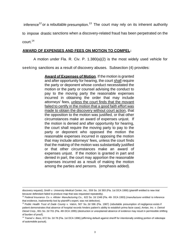inference<sup>12</sup> or a rebuttable presumption.<sup>13</sup> The court may rely on its inherent authority to impose drastic sanctions when a discovery-related fraud has been perpetrated on the

court.14

#### <u>AWARD OF EXPENSES AND FEES ON MOTION TO COMPEL:</u>

A motion under Fla. R. Civ. P. 1.380(a)(2) is the most widely used vehicle for

seeking sanctions as a result of discovery abuses. Subsection (4) provides:

**Award of Expenses of Motion**. If the motion is granted and after opportunity for hearing, the court shall require the party or deponent whose conduct necessitated the motion or the party or counsel advising the conduct to pay to the moving party the reasonable expenses incurred in obtaining the order that may include attorneys' fees, unless the court finds that the movant failed to certify in the motion that a good faith effort was made to obtain the discovery without court action, that the opposition to the motion was justified, or that other circumstances make an award of expenses unjust. If the motion is denied and after opportunity for hearing, the court shall require the moving party to pay to the party or deponent who opposed the motion the reasonable expenses incurred in opposing the motion that may include attorneys' fees, unless the court finds that the making of the motion was substantially justified or that other circumstances make an award of expenses unjust. If the motion is granted in part and denied in part, the court may apportion the reasonable expenses incurred as a result of making the motion among the parties and persons. (emphasis added).

 $\overline{a}$ discovery request); *Smith v. University Medical Center, Inc.*, 559 So. 2d 393 (Fla. 1st DCA 1990) (plaintiff entitled to new trial because defendant failed to produce map that was requested repeatedly).

<sup>12</sup> *Federal Insurance Co. v. Allister Manufacturing Co.*, 622 So. 2d 1348 (Fla. 4th DCA 1993) (manufacturer entitled to inference that evidence, inadvertently lost by plaintiff's expert, was not defective).

<sup>13</sup> *Public Health Trust of Dade County v. Valcin*, 507 So. 2d 596 (Fla. 1987) (rebuttable presumption of negligence exists if patient demonstrates that absence of hospital records hinders patient's ability to establish prima facie case); *Amlan, Inc. v. Detroit Diesel Corp.*, 651 So. 2d 701 (Fla. 4th DCA 1995) (destruction or unexplained absence of evidence may result in permissible shifting of burden of proof).<br><sup>14</sup> Tramel v. Bass, 672 So. 2d 78 (Fla. 1st DCA 1996) (affirming default against sheriff for intentionally omitting portion of videotape

of automobile pursuit).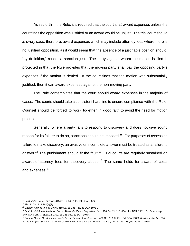As set forth in the Rule, it is required that the court *shall* award expenses unless the court finds the opposition was justified or an award would be unjust. The trial court should *in every case,* therefore, award expenses which may include attorney fees where there is no justified opposition, as it would seem that the absence of a justifiable position should, "by definition," render a sanction just. The party against whom the motion is filed is protected in that the Rule provides that the moving party shall pay the opposing party's expenses if the motion is denied. If the court finds that the motion was substantially justified, then it can award expenses against the non-moving party.

The Rule contemplates that the court should award expenses in the majority of cases. The courts should take a consistent hard line to ensure compliance with the Rule. Counsel should be forced to work together in good faith to avoid the need for motion practice.

reason for its failure to do so, sanctions should be imposed.<sup>15</sup> For purposes of assessing TP PT Generally, where a party fails to respond to discovery and does not give sound failure to make discovery, an evasive or incomplete answer must be treated as a failure to answer.<sup>16</sup> The punishment should fit the fault.<sup>17</sup> Trial courts are regularly sustained on awards of attorney fees for discovery abuse.<sup>18</sup> The same holds for award of costs and expenses.<sup>19</sup>

<sup>&</sup>lt;sup>15</sup> *Ford Motor Co. v. Garrison, 415 So. 2d 843 (Fla. 1st DCA 1982).* <sup>16</sup> Fla. R. Civ. P. 1.380(a)(3).

<sup>17</sup> *Eastern Airlines. Inc. v. Dixon*, 310 So. 2d 336 (Fla. 3d DCA 1975). 18 *First & Mid-South Advisorv Co. v. Alexander/Davis Properties. Inc.*, 400 So. 2d 113 (Fla. 4th DCA 1981); *St. Petersburg Sheraton Corp. v. Stuart*, 242 So. 2d 185 (Fla. 2d DCA 1970). 19 *Summit Chase Condominium Ass'n Inc. v. Protean Investors. Inc.,* 421 So. 2d 562 (Fla. 3d DCA 1982); *Rankin v. Rankin*, 284

So. 2d 487 (Fla. 3d DCA 1973); *Goldstein v. Great Atlantic and Pacific Tea Co.*, 118 So. 2d 253 (Fla. 3d DCA 1960).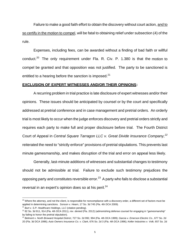Failure to make a good faith effort to obtain the discovery without court action, and to so certify in the motion to compel, will be fatal to obtaining relief under subsection (4) of the rule.

conduct.<sup>20</sup> The only requirement under Fla. R. Civ. P. 1.380 is that the motion to Expenses, including fees, can be awarded without a finding of bad faith or willful compel be granted and that opposition was not justified. The party to be sanctioned is entitled to a hearing before the sanction is imposed.<sup>21</sup>

#### **EXCLUSION OF EXPERT WITNESSES AND/OR THEIR OPINIONS:**

A recurring problem in trial practice is late disclosure of expert witnesses and/or their opinions. These issues should be anticipated by counsel or by the court and specifically addressed at pretrial conference and in case management and pretrial orders. An orderly trial is most likely to occur when the judge enforces discovery and pretrial orders strictly and requires each party to make full and proper disclosure before trial. The Fourth District Court of Appeal in *Central Square Tarragon LLC v. Great Divide Insurance Company,<sup>22</sup>* reiterated the need to "strictly enforce" provisions of pretrial stipulations. This prevents last minute gamesmanship, and makes disruption of the trial and error on appeal less likely.

 Generally, last-minute additions of witnesses and substantial changes to testimony should not be admissible at trial. Failure to exclude such testimony prejudices the opposing party and constitutes reversible error.<sup>23</sup> A party who fails to disclose a substantial reversal in an expert's opinion does so at his peril.<sup>24</sup>

 $^{20}$  Where the attorney, and not the client, is responsible for noncompliance with a discovery order, a different set of factors must be applied in determining sanctions. *Sonson v. Hearn*, 17 So. 3d 745 (Fla. 4th DCA 2009).<br><sup>21</sup> *Burt v. S.P. Healthcare Holdings, LLC* (citation pending).

<sup>22 82</sup> So. 3d 911, 914 (Fla. 4th DCA 2011), *rev. denied* (Fla. 2012) (admonishing defense counsel for engaging in "gamesmanship" by failing to honor the pretrial stipulation).

<sup>23</sup> *Belmont v. North Broward Hospital District*, 727 So. 2d 992, 994 (Fla. 4th DCA 1999); *Garcia v. Emerson Electric Co.*, 677 So. 2d 20 (Fla. 3d DCA 1996); *Auto Owners Insurance Co. v. Clark*, 676 So. 2d 3 (Fla. 4th DCA 1996); *Keller Industries v. Volk,* 657 So. 2d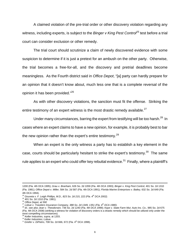A claimed violation of the pre-trial order or other discovery violation regarding any witness, including experts, is subject to the *Binger v King Pest Control<sup>25</sup>* test before a trial court can consider exclusion or other remedy.

 The trial court should scrutinize a claim of newly discovered evidence with some suspicion to determine if it is just a pretext for an ambush on the other party. Otherwise, the trial becomes a free-for-all, and the discovery and pretrial deadlines become meaningless. As the Fourth district said in *Office Depot*, "[a] party can hardly prepare for an opinion that it doesn't know about, much less one that is a complete reversal of the opinion it has been provided."<sup>26</sup>

 As with other discovery violations, the sanction must fit the offense. Striking the entire testimony of an expert witness is the most drastic remedy available. $^{27}$ 

Under many circumstances, barring the expert from testifying will be too harsh.<sup>28</sup> In cases where an expert claims to have a new opinion, for example, it is probably best to bar the new opinion rather than the expert's entire testimony.<sup>29</sup>

 When an expert is the only witness a party has to establish a key element in the case, courts should be particularly hesitant to strike the expert's testimony.<sup>30</sup> The same rule applies to an expert who could offer key rebuttal evidence.<sup>31</sup> Finally, where a plaintiff's

<sup>1200 (</sup>Fla. 4th DCA 1995); *Grau v. Branham,* 626 So. 2d 1059 (Fla. 4th DCA 1993); *Binger v. King Pest Control,* 401 So. 2d 1310 (Fla. 1981); *Office Depot v. Miller,* 584 So. 2d 587 (Fla. 4th DCA 1991); *Florida Marine Enterprises v. Bailey*, 632 So. 2d 649 (Fla. 4th DCA 1994).

<sup>&</sup>lt;sup>24</sup> Gouveia v. F. Leigh Phillips, M.D., 823 So. 2d 215, 222 (Fla. 4<sup>th</sup> DCA 2002).<br><sup>25</sup> 401 So. 2d 1310 (Fla. 1981).<br><sup>26</sup> Office Depot, at 590<br><sup>27</sup> Lobue v. Travelers Insurance Company, 388 So. 2d 1349, 1351 (Fla. 4<sup>th</sup> D (Fla. 4th DCA 2008) (striking a witness for violation of discovery orders is a drastic remedy which should be utilized only under the  $\frac{1}{29}$  Keller known (suiking a Windows).

<sup>29</sup> *Keller Industries, supra,* at 1203.

<sup>30</sup> *Keller Industries; Lobue.*

<sup>&</sup>lt;sup>31</sup> Griefer v. DiPietro, 708 So. 2d 666, 672 (Fla. 4<sup>th</sup> DCA 1998).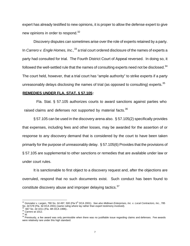expert has already testified to new opinions, it is proper to allow the defense expert to give new opinions in order to respond.<sup>32</sup>

 Discovery disputes can sometimes arise over the role of experts retained by a party. In *Carrero v. Engle Homes, Inc.*<sup>33</sup> a trial court ordered disclosure of the names of experts a party had consulted for trial. The Fourth District Court of Appeal reversed. In doing so, it followed the well-settled rule that the names of consulting experts need not be disclosed. $34$ The court held, however, that a trial court has "ample authority" to strike experts if a party unreasonably delays disclosing the names of trial (as opposed to consulting) experts.<sup>35</sup>

#### <u>REMEDIES UNDER FLA. STAT. § 57.105</u>:

 Fla. Stat. § 57.105 authorizes courts to award sanctions against parties who raised claims and defenses not supported by material facts.<sup>36</sup>

§ 57.105 can be used in the discovery arena also. § 57.105(2) specifically provides that expenses, including fees and other losses, may be awarded for the assertion of or response to any discovery demand that is considered by the court to have been taken primarily for the purpose of unreasonably delay. § 57.105(6) Provides that the provisions of § 57.105 are supplemental to other sanctions or remedies that are available under law or under court rules.

It is sanctionable to first object to a discovery request and, after the objections are overruled, respond that no such documents exist. Such conduct has been found to constitute discovery abuse and improper delaying tactics.<sup>37</sup>

<sup>&</sup>lt;sup>32</sup> Gonzalez v. Largen, 790 So. 2d 497, 500 (Fla 5<sup>th</sup> DCA 2001). *See also Midtown Enterprises, Inc. v. Local Contractors, Inc.*, 785 So. 2d 578 (Fla. 3d DCA 2001) (same ruling where lay rather than expert testimony involved).<br>  $\frac{33}{100}$  667 So. 2d 1011 (Fla. 4th DCA 1996)..

<sup>34</sup> Carrero at 1012.<br><sup>35</sup> *Id.*<br><sup>36</sup> Previously, a fee award was only permissible when there was no justifiable issue regarding claims and defenses. Fee awards were relatively rare under this high standard.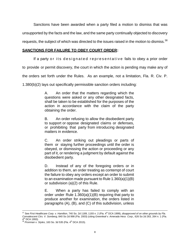Sanctions have been awarded when a party filed a motion to dismiss that was unsupported by the facts and the law, and the same party continually objected to discovery requests, the subject of which was directed to the issues raised in the motion to dismiss.<sup>38</sup>

#### **SANCTIONS FOR FAILURE TO OBEY COURT ORDER:**

If a party or its designated representative fails to obey a prior order

to provide or permit discovery, the court in which the action is pending may make any of

the orders set forth under the Rules. As an example, not a limitation, Fla. R. Civ. P.

1.380(b)(2) lays out specifically permissible sanction orders including:

A. An order that the matters regarding which the questions were asked or any other designated facts, shall be taken to be established for the purposes of the action in accordance with the claim of the party obtaining the order.

B. An order refusing to allow the disobedient party to support or oppose designated claims or defenses, or prohibiting that party from introducing designated matters in evidence.

C. An order striking out pleadings or parts of them or staying further proceedings until the order is obeyed, or dismissing the action or proceeding or any part of it, or rendering a judgment by default against the disobedient party.

D. Instead of any of the foregoing orders or in addition to them, an order treating as contempt of court the failure to obey any orders except an order to submit to an examination made pursuant to Rule 1.360(a)(1)(B) or subdivision (a)(2) of this Rule.

E. When a party has failed to comply with an order under Rule 1.360(a)(1)(B) requiring that party to produce another for examination, the orders listed in paragraphs (A), (B), and (C) of this subdivision, unless

<sup>&</sup>lt;sup>37</sup> See First Healthcare Corp. v. Hamilton, 740 So. 2d 1189, 1193 n. 2 (Fla. 4<sup>th</sup> DCA 1999), disapproved of on other grounds by Fla. *Convalescent Ctrs. V. Somberg*, 840 So 2d 998 (Fla. 2003) (citing *Greenleaf v. Amerada Hess Corp.*, 626 So 2d 263, 264 n. 1 (Fla.<br>4<sup>th</sup> DCA 1993).

<sup>4</sup>th DCA 1993). 38 *Pronman v. Styles*, 163 So. 3d 535 (Fla. 4th DCA 2015).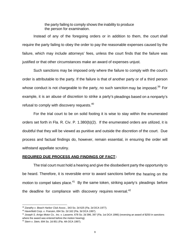the party failing to comply shows the inability to produce the person for examination.

Instead of any of the foregoing orders or in addition to them, the court shall require the party failing to obey the order to pay the reasonable expenses caused by the failure, which may include attorneys' fees, unless the court finds that the failure was justified or that other circumstances make an award of expenses unjust.

Such sanctions may be imposed only where the failure to comply with the court's order is attributable to the party. If the failure is that of another party or of a third person whose conduct is not chargeable to the party, no such sanction may be imposed.<sup>39</sup> For example, it is an abuse of discretion to strike a party's pleadings based on a nonparty's refusal to comply with discovery requests.<sup>40</sup>

For the trial court to be on solid footing it is wise to stay within the enumerated orders set forth in Fla. R. Civ. P. 1.380(b)(2). If the enumerated orders are utilized, it is doubtful that they will be viewed as punitive and outside the discretion of the court. Due process and factual findings do, however, remain essential, in ensuring the order will withstand appellate scrutiny.

#### **REQUIRED DUE PROCESS AND FINDINGS OF FACT**<sup>U</sup> **:**

T The trial court must hold a hearing and give the disobedient party the opportunity to be heard. Therefore, it is reversible error to award sanctions before the hearing on the motion to compel takes place.<sup>41</sup> By the same token, striking aparty's pleadings before the deadline for compliance with discovery requires reversal.<sup>42</sup>

<sup>&</sup>lt;sup>39</sup> Zanathy v. Beach Harbor Club Assoc., 343 So. 2d 625 (Fla. 2d DCA 1977).

<sup>&</sup>lt;sup>40</sup> Haverfield Corp. v. Franzen, 694 So. 2d 162 (Fla. 3d DCA 1997).<br><sup>41</sup> Joseph S. Arrigo Motor Co.. Inc. v. Lasserre, 678 So. 2d 396, 397 (Fla. 1st DCA 1996) (reversing an award of \$250 in sanctions where the award was entered before the motion hearing).

<sup>42</sup> *Stern v. Stein,* 694 So. 2d 851 (Fla. 4th DCA 1997).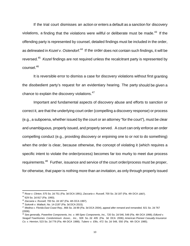If the trial court dismisses an action or enters a default as a sanction for discovery violations, a finding that the violations were willful or deliberate must be made.<sup>43</sup> If the offending party is represented by counsel, detailed findings must be included in the order, as delineated in *Kozel v*. *Ostendorf*. 44 If the order does not contain such findings, it will be reversed.45 *Kozel* findings are not required unless the recalcitrant party is represented by counsel.<sup>46</sup>

It is reversible error to dismiss a case for discovery violations without first granting the disobedient party's request for an evidentiary hearing. The party should be given a chance to explain the discovery violations.<sup>47</sup>

Important and fundamental aspects of discovery abuse and efforts to sanction or correct it, are that the underlying court order (compelling a discovery response) or process (e.g., a subpoena, whether issued by the court or an attorney "for the court"), must be clear and unambiguous, properly issued, and properly served. A court can only enforce an order compelling conduct (e.g., providing discovery or enjoining one to or not to do something) when the order is clear, because otherwise, the concept of violating it (which requires a specific intent to violate the order/process) becomes far too murky to meet due process requirements.<sup>48</sup> Further, issuance and service of the court order/process must be proper, for otherwise, that paper is nothing more than an invitation, as only through properly issued

<sup>1</sup> <sup>43</sup> *Rose v. Clinton*, 575 So. 2d 751 (Fla. 3d DCA 1991); *Zaccaria v. Russell,* 700 So. 2d 187 (Fla. 4th DCA 1997).

<sup>44</sup> 629 So. 2d 817 (Fla. 1993).

<sup>&</sup>lt;sup>45</sup> Zaccaria v. Russell, 700 So. 2d 187 (Fla. 4th DCA 1997).<br><sup>46</sup> Sukonik v. Wallack, No. 14-2197 (Fla. 3d DCA 2015).<br><sup>47</sup> Medina v. Florida East Coast Rwy., 866 So. 2d 89 (Fla. 3d DCA 2004), appeal after remand and reman (2006).

<sup>48</sup> *See generally, Powerline Components, Inc. v. Mil-Spec Components, Inc.,* 720 So. 2d 546, 548 (Fla. 4th DCA 1998); *Edlund v. Seagull Townhomes Condominium Assoc., Inc.*, 928 So. 2d 405 (Fla. 3d DCA 2006); *American Pioneer Casualty Insurance Co. v. Henrion*, 523 So. 2d 776 (Fla. 4th DCA 1988); *Tubero v. Ellis*, 472 So. 2d 548, 550 (Fla. 4th DCA 1985).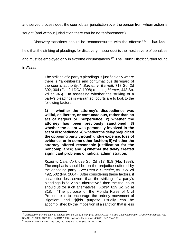and served process does the court obtain jurisdiction over the person from whom action is

sought (and without jurisdiction there can be no "enforcement").

Discovery sanctions should be "commensurate with the offense."<sup>49</sup> It has been held that the striking of pleadings for discovery misconduct is the most severe of penalties and must be employed only in extreme circumstances.<sup>50</sup> The Fourth District further found

in *Fisher:*

The striking of a party's pleadings is justified only where there is "'a deliberate and contumacious disregard of the court's authority.'" *Barnett v. Barnett,* 718 So. 2d 302, 304 (Fla. 2d DCA 1998) (quoting *Mercer*, 443 So. 2d at 946). In assessing whether the striking of a party's pleadings is warranted, courts are to look to the following factors:

**1) whether the attorney's disobedience was willful, deliberate, or contumacious, rather than an act of neglect or inexperience; 2) whether the attorney has been previously sanctioned; 3) whether the client was personally involved in the act of disobedience; 4) whether the delay prejudiced the opposing party through undue expense, loss of evidence, or in some other fashion; 5) whether the attorney offered reasonable justification for the noncompliance; and 6) whether the delay created significant problems of judicial administration.** 

*Kozel v. Ostendorf,* 629 So. 2d 817, 818 (Fla. 1993). The emphasis should be on the prejudice suffered by the opposing party. *See Ham v. Dunmire*, 891 So. 2d 492, 502 (Fla. 2004). After considering these factors, if a sanction less severe than the striking of a party's pleadings is "a viable alternative," then the trial court should utilize such alternatives. *Kozel*, 629 So. 2d at 818. "The purpose of the Florida Rules of Civil Procedure is to encourage the orderly movement of litigation" and "[t]his purpose usually can be accomplished by the imposition of a sanction that is less

 $\overline{a}$ <sup>49</sup> *Drakeford v. Barnett Bank of Tampa*, 694 So. 2d 822, 824 (Fla. 2d DCA 1997); *Cape Cave Corporation v. Charlotte Asphalt. Inc.,*  384 So. 2d 1300, 1301 (Fla. 2d DCA 1980), *appeal after remand*, 406 So. 2d 1234 (1981).

<sup>50</sup> *Fisher v. Prof'l. Adver. Dirs. Co., Inc*., 955 So. 2d 78 (Fla. 4th DCA 2007).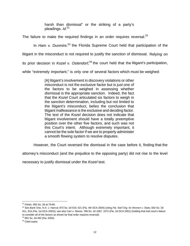harsh than dismissal" or the striking of a party's pleadings. *Id*. 51

The failure to make the required findings in an order requires reversal.<sup>52</sup>

In Ham v. Dunmire,<sup>53</sup> the Florida Supreme Court held that participation of the

litigant in the misconduct is not required to justify the sanction of dismissal. Relying on

its prior decision in *Kozel v. Ostendorf,<sup>54</sup>* the court held that the litigant's participation,

while "extremely important," is only one of several factors which must be weighed:

[A] litigant's involvement in discovery violations or other misconduct is not the exclusive factor but is just one of the factors to be weighed in assessing whether dismissal is the appropriate sanction. Indeed, the fact that the *Kozel* Court articulated six factors to weigh in the sanction determination, including but not limited to the litigant's misconduct, belies the conclusion that litigant malfeasance is the exclusive and deciding factor. The text of the *Kozel* decision does not indicate that litigant involvement should have a totally preemptive position over the other five factors, and such was not this Court's intent. Although extremely important, it cannot be the sole factor if we are to properly administer a smooth flowing system to resolve disputes.

However, the Court reversed the dismissal in the case before it, finding that the

attorney's misconduct (and the prejudice to the opposing party) did not rise to the level

necessary to justify dismissal under the *Kozel* test.

<sup>&</sup>lt;sup>51</sup> Fisher, 955 So, 2d at 79-80.

<sup>51</sup> *Fisher*, 955 So. 2d at 79-80. 52 *See Bank One, N.A. v. Harrod,* 873 So. 2d 519, 521 (Fla. 4th DCA 2004) (citing *Fla. Nat'l Org. for Women v. State,* 832 So. 2d 911, 914 (Fla. 1st DCA 2002)); *see also Carr v. Reese*, 788 So. 2d 1067, 1072 (Fla. 2d DCA 2001) (holding that trial court's failure to consider all of the factors as shown by final order requires reversal).  $53\,891\,$  So. 2d 492 (Fla. 2004).

<sup>54</sup> Cited *supra*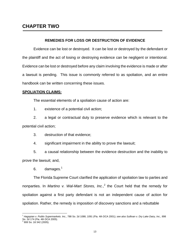## **CHAPTER TWO**

#### **REMEDIES FOR LOSS OR DESTRUCTION OF EVIDENCE**

Evidence can be lost or destroyed. It can be lost or destroyed by the defendant or the plaintiff and the act of losing or destroying evidence can be negligent or intentional. Evidence can be lost or destroyed before any claim involving the evidence is made or after a lawsuit is pending. This issue is commonly referred to as spoliation, and an entire handbook can be written concerning these issues.

#### **SPOLIATION CLAIMS:**

The essential elements of a spoliation cause of action are:

1. existence of a potential civil action;

 2. a legal or contractual duty to preserve evidence which is relevant to the potential civil action;

3. destruction of that evidence;

4. significant impairment in the ability to prove the lawsuit;

 5. a causal relationship between the evidence destruction and the inability to prove the lawsuit; and,

6. damages. $1$ 

 The Florida Supreme Court clarified the application of spoliation law to parties and nonparties. In *Martino v. Wal-Mart Stores, Inc.*, 2 the Court held that the remedy for spoliation against a first party defendant is not an independent cause of action for spoliation. Rather, the remedy is imposition of discovery sanctions and a rebuttable

<sup>1</sup> *Hagopian v. Publix Supermarkets. Inc.,* 788 So. 2d 1088, 1091 (Fla. 4th DCA 2001); *see also Sullivan v. Dry Lake Dairy, Inc.,* 898 So. 2d 174 (Fla. 4th DCA 2005). 2 908 So. 2d 342 (2005).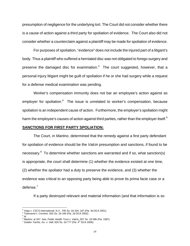presumption of negligence for the underlying tort. The Court did not consider whether there is a cause of action against a third party for spoliation of evidence. The Court also did not consider whether a counterclaim against a plaintiff may be made for spoliation of evidence.

 For purposes of spoliation, "evidence" does not include the injured part of a litigant's body. Thus a plaintiff who suffered a herniated disc was not obligated to forego surgery and preserve the damaged disc for examination.<sup>3</sup> The court suggested, however, that a personal injury litigant might be guilt of spoliation if he or she had surgery while a request for a defense medical examination was pending.

 Worker's compensation immunity does not bar an employee's action against as employer for spoliation.<sup>4</sup> The issue is unrelated to worker's compensation, because spoliation is an independent cause of action. Furthermore, the employer's spoliation might harm the employee's causes of action against third parties, rather than the employer itself.<sup>5</sup>

#### **SANCTIONS FOR FIRST PARTY SPOLIATION:**

 The Court, in *Martino*, determined that the remedy against a first party defendant for spoliation of evidence should be the *Valcin* presumption and sanctions, if found to be necessary.<sup>6</sup> To determine whether sanctions are warranted and if so, what sanction(s) is appropriate, the court shall determine (1) whether the evidence existed at one time, (2) whether the spoliator had a duty to preserve the evidence, and (3) whether the evidence was critical to an opposing party being able to prove its prima facie case or a defense. $<sup>7</sup>$ </sup>

If a party destroyed relevant and material information (and that information is so

<sup>&</sup>lt;sup>3</sup> *Vega v. CSCS International. N.V.*, 795 So. 2d 164, 167 (Fla. 3d DCA 2001).<br><sup>4</sup> *Townsend v. Conshor*, 832 So. 2d 166 (Fla. 2d DCA 2002).<br><sup>5</sup> *Id.* 

<sup>&</sup>lt;sup>6</sup> *Martino*, at 347. See, *Public Health Trust v. Valcin*, 507 So. 2d 596 (Fla. 1987).<br><sup>7</sup> Golden Yachts, Inc. v. Hall, 920 So. 2d 777 (Fla. 4<sup>th</sup> DCA 2006).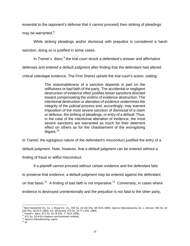essential to the opponent's defense that it cannot proceed) then striking of pleadings

may be warranted.<sup>8</sup>

While striking pleadings and/or dismissal with prejudice is considered a harsh

sanction, doing so is justified in some cases.

In *Tramel v. Bass*,<sup>9</sup> the trial court struck a defendant's answer and affirmative

defenses and entered a default judgment after finding that the defendant had altered

critical videotape evidence. The First District upheld the trial court's action, stating:

The reasonableness of a sanction depends in part on the willfulness or bad faith of the party. The accidental or negligent destruction of evidence often justifies lesser sanctions directed toward compensating the victims of evidence destruction. The intentional destruction or alteration of evidence undermines the integrity of the judicial process and, accordingly, may warrant imposition of the most severe sanction of dismissal of a claim or defense, the striking of pleadings, or entry of a default. Thus, in the case of the intentional alteration of evidence, the most severe sanctions are warranted as much for their deterrent effect on others as for the chastisement of the wrongdoing litigant.<sup>10</sup>

In *Tramel*, the egregious nature of the defendant's misconduct justified the entry of a

default judgment. Note, however, that a default judgment can be entered without a

finding of fraud or willful misconduct.

If a plaintiff cannot proceed without certain evidence and the defendant fails

to preserve that evidence, a default judgment may be entered against the defendant

on that basis.<sup>11</sup> A finding of bad faith is not imperative.<sup>12</sup> Conversely, in cases where

evidence is destroyed unintentionally and the prejudice is not fatal to the other party,

 $\overline{a}$ <sup>8</sup> *New Hampshire Ins. Co. v. Royal Ins. Co.,* 559 So. 2d 102 (Fla. 4th DCA 1990); *Sponco Manufacturinq, Inc. v. Alcover,* 656 So. 2d

<sup>&</sup>lt;sup>9</sup> Tramel v. Bass, 672 So. 2d 78 (Fla. 1<sup>st</sup> DCA 1996).<br><sup>10</sup> 672 So. 2d at 84 (citations and footnotes omitted).<br><sup>11</sup> Sponco Manufacturing, supra.<br><sup>12</sup> Id.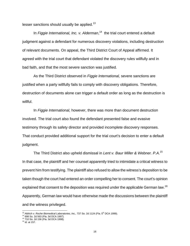lesser sanctions should usually be applied. $13$ 

In Figgie International, Inc. v. Alderman,<sup>14</sup> the trial court entered a default judgment against a defendant for numerous discovery violations, including destruction of relevant documents. On appeal, the Third District Court of Appeal affirmed. It agreed with the trial court that defendant violated the discovery rules willfully and in bad faith, and that the most severe sanction was justified.

 As the Third District observed in *Figgie International,* severe sanctions are justified when a party willfully fails to comply with discovery obligations. Therefore, destruction of documents alone can trigger a default order as long as the destruction is willful.

 In *Figgie International,* however, there was more than document destruction involved. The trial court also found the defendant presented false and evasive testimony through its safety director and provided incomplete discovery responses. That conduct provided additional support for the trial court's decision to enter a default judgment.

 The Third District also upheld dismissal in *Lent v. Baur Miller & Webner. P.A*. 15 In that case, the plaintiff and her counsel apparently tried to intimidate a critical witness to prevent him from testifying. The plaintiff also refused to allow the witness's deposition to be taken though the court had entered an order compelling her to consent. The court's opinion explained that consent to the deposition was required under the applicable German law.<sup>16</sup> Apparently, German law would have otherwise made the discussions between the plaintiff and the witness privileged.

1

<sup>&</sup>lt;sup>13</sup> Aldrich v. Roche Biomedical Laboratories, Inc., 737 So. 2d 1124 (Fla. 5<sup>th</sup> DCA 1999).<br><sup>14</sup> 698 So. 2d 563 (Fla. 3d DCA 1997).<br><sup>15</sup> 710 So. 2d 156 (Fla. 3d DCA 1998).<br><sup>16</sup> *Id.* at 157.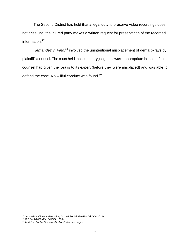The Second District has held that a legal duty to preserve video recordings does not arise until the injured party makes a written request for preservation of the recorded information.<sup>17</sup>

Hernandez v. Pino,<sup>18</sup> involved the unintentional misplacement of dental x-rays by plaintiff's counsel. The court held that summary judgment was inappropriate in that defense counsel had given the x-rays to its expert (before they were misplaced) and was able to defend the case. No willful conduct was found.<sup>19</sup>

<sup>&</sup>lt;sup>17</sup> Osmulski v. Oldsmar Fine Wine, Inc., 93 So. 3d 389 (Fla. 2d DCA 2012).<br><sup>18</sup> 482 So. 2d 450 (Fla. 3d DCA 1986).<br><sup>19</sup> Aldrich v. Roche Biomedical Laboratories, Inc., supra.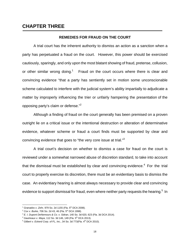#### **REMEDIES FOR FRAUD ON THE COURT**

A trial court has the inherent authority to dismiss an action as a sanction when a party has perpetuated a fraud on the court. However, this power should be exercised cautiously, sparingly, and only upon the most blatant showing of fraud, pretense, collusion, or other similar wrong doing.<sup>1</sup> Fraud on the court occurs where there is clear and convincing evidence "that a party has sentiently set in motion some unconscionable scheme calculated to interfere with the judicial system's ability impartially to adjudicate a matter by improperly influencing the trier or unfairly hampering the presentation of the opposing party's claim or defense."<sup>2</sup>

Although a finding of fraud on the court generally has been premised on a proven outright lie on a critical issue or the intentional destruction or alteration of determinative evidence, whatever scheme or fraud a court finds must be supported by clear and convincing evidence that goes to "the very core issue at trial."<sup>3</sup>

A trial court's decision on whether to dismiss a case for fraud on the court is reviewed under a somewhat narrowed abuse of discretion standard, to take into account that the dismissal must be established by clear and convincing evidence.<sup>4</sup> For the trial court to properly exercise its discretion, there must be an evidentiary basis to dismiss the case. An evidentiary hearing is almost always necessary to provide clear and convincing evidence to support dismissal for fraud, even where neither party requests the hearing.<sup>5</sup> In

<sup>&</sup>lt;sup>1</sup> Granados v. Zehr, 979 So. 2d 1155 (Fla.  $5<sup>th</sup>$  DCA 2008).

<sup>&</sup>lt;sup>2</sup> Cox v. Burke, 706 So. 2d 43, 46 (Fla. 5<sup>th</sup> DCA 1998).<br><sup>3</sup> E. I. Dupont DeNemours & Co. v. Sidran, 140 So. 3d 620, 623 (Fla. 3d DCA 2014).<br><sup>4</sup> Gautreaux v. Maya, 112 So. 3d 146, 149 (Fla. 5<sup>th</sup> DCA 2013).<br><sup>5</sup> Gilbert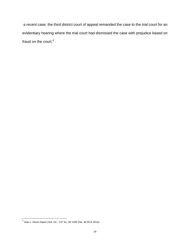a recent case, the third district court of appeal remanded the case to the trial court for an evidentiary hearing where the trial court had dismissed the case with prejudice based on fraud on the court.<sup>6</sup>

<sup>6</sup> *Diaz v. Home Depot USA, Inc*., 137 So. 3d 1195 (Fla. 3d DCA 2014).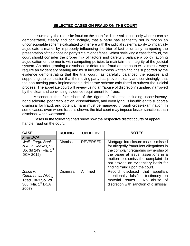#### **SELECTED CASES ON FRAUD ON THE COURT**

In summary, the requisite fraud on the court for dismissal occurs only where it can be demonstrated, clearly and convincingly, that a party has sentiently set in motion an unconscionable scheme calculated to interfere with the judicial system's ability to impartially adjudicate a matter by improperly influencing the trier of fact or unfairly hampering the presentation of the opposing party's claim or defense. When reviewing a case for fraud, the court should consider the proper mix of factors and carefully balance a policy favoring adjudication on the merits with competing policies to maintain the integrity of the judicial system. An order granting a dismissal or default for fraud on the court will almost always require an evidentiary hearing and must include express written findings supported by the evidence demonstrating that the trial court has carefully balanced the equities and supporting the conclusion that the moving party has proven, clearly and convincingly, that the non-moving party implemented a deliberate scheme calculated to subvert the judicial process. The appellate court will review using an "abuse of discretion" standard narrowed by the clear and convincing evidence requirement for fraud.

Misconduct that falls short of the rigors of this test, including inconsistency, nondisclosure, poor recollection, dissemblance, and even lying, is insufficient to support a dismissal for fraud, and potential harm must be managed through cross-examination. In some cases, even where fraud is shown, the trial court may impose lesser sanctions than dismissal when warranted.

| <b>CASE</b>                                                                                         | <b>RULING</b>    | <b>UPHELD?</b>  | <b>NOTES</b>                                                                                                                                                                                                                                                                 |
|-----------------------------------------------------------------------------------------------------|------------------|-----------------|------------------------------------------------------------------------------------------------------------------------------------------------------------------------------------------------------------------------------------------------------------------------------|
| <b>First DCA</b>                                                                                    |                  |                 |                                                                                                                                                                                                                                                                              |
| Wells Fargo Bank,<br>N.A. v. Reeves, 92<br>So. 3d 249 (Fla. 1st<br>DCA 2012)                        | <b>Dismissal</b> | <b>REVERSED</b> | Mortgage foreclosure case dismissed<br>for allegedly fraudulent allegations in<br>the complaint regarding ownership of<br>the paper at issue; assertions in a<br>motion to dismiss the complaint do<br>not provide an evidentiary basis for<br>finding fraud upon the court. |
| Jesse v.<br><b>Commercial Diving</b><br>Acad., 963 So. 2d<br>308 (Fla. 1 <sup>st</sup> DCA<br>2007) | <b>Dismissal</b> | Affirmed        | Record disclosed that appellant<br>intentionally falsified testimony on<br>material issues. No abuse<br>0t<br>discretion with sanction of dismissal.                                                                                                                         |

Cases in the following chart show how the respective district courts of appeal handle fraud on the court.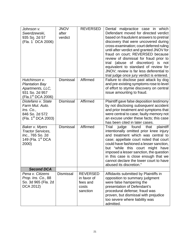| Johnson v.<br>Swerdzewski,<br>935 So. 2d 57<br>(Fla. 1 DCA 2006)                                               | <b>JNOV</b><br>after<br>verdict | <b>REVERSED</b>                                                 | Dental malpractice case in which<br>Defendant moved for directed verdict<br>based on fraudulent answers to pretrial<br>discovery that were uncovered during<br>cross-examination; court deferred ruling<br>until after verdict and granted JNOV for<br>fraud on court; REVERSED because<br>review of dismissal for fraud prior to<br>trial (abuse of discretion) is not<br>equivalent to standard of review for<br>JNOV; review is far less deferential to<br>trial judge once jury verdict is entered. |
|----------------------------------------------------------------------------------------------------------------|---------------------------------|-----------------------------------------------------------------|---------------------------------------------------------------------------------------------------------------------------------------------------------------------------------------------------------------------------------------------------------------------------------------------------------------------------------------------------------------------------------------------------------------------------------------------------------------------------------------------------------|
| Hutchinson v.<br><b>Plantation Bay</b><br>Apartments, LLC,<br>931 So. 2d 957<br>(Fla.1 <sup>st</sup> DCA 2006) | <b>Dismissal</b>                | Affirmed                                                        | Failure to disclose past attack by dog<br>and pre-existing symptoms rose to level<br>of effort to stymie discovery on central<br>issue amounting to fraud.                                                                                                                                                                                                                                                                                                                                              |
| Distefano v. State<br>Farm Mut. Auto.<br>Ins. Co.,<br>846 So. 2d 572<br>(Fla. 1 <sup>st</sup> DCA 2003)        | <b>Dismissal</b>                | Affirmed                                                        | Plaintiff gave false deposition testimony<br>by not disclosing subsequent accident<br>and prior treatment and symptoms that<br>were central to case; faulty memory not<br>an excuse under these facts; this case<br>has been cited in later cases.                                                                                                                                                                                                                                                      |
| Baker v. Myers<br>Tractor Services,<br>Inc., 765 So. 2d<br>149 (Fla. 1 <sup>st</sup> DCA<br>2000)              | <b>Dismissal</b>                | Affirmed                                                        | Trial<br>judge<br>found<br>that<br>plaintiff<br>intentionally omitted prior knee injury<br>and treatment which was central to<br>case; appellate court noted that court<br>could have fashioned a lesser sanction,<br>but "while this court might have<br>imposed a lesser sanction, the question<br>in this case is close enough that we<br>cannot declare the lower court to have<br>abused its discretion."                                                                                          |
| <b>Second DCA</b>                                                                                              |                                 |                                                                 |                                                                                                                                                                                                                                                                                                                                                                                                                                                                                                         |
| Pena v. Citizens<br>Prop. Ins. Co., 88<br>So. 3d 965 (Fla. 2d<br>DCA 2012)                                     | <b>Dismissal</b>                | <b>REVERSED</b><br>in favor of<br>fees and<br>costs<br>sanction | Affidavits submitted by Plaintiffs in<br>opposition to summary judgment<br>were false hampering the<br>presentation of Defendant's<br>procedural defense; fraud was<br>proven, but dismissal with prejudice<br>too severe where liability was<br>admitted.                                                                                                                                                                                                                                              |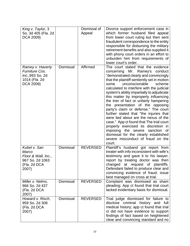| King v. Taylor, 3<br>So. 3d 405 (Fla. 2d<br>DCA 2009)                                    |                  | Dismissal of<br>Appeal | Divorce support enforcement case in<br>which former husband filed appeal<br>from lower court ruling but then sent<br>fraudulent correspondence to the entity<br>responsible for disbursing the military<br>retirement benefits and also supplied it<br>with phony court orders in an effort to<br>unburden him from requirements of<br>lower court's order.                                                                                                                                                                                                                                                                                                                                                                                                                  |
|------------------------------------------------------------------------------------------|------------------|------------------------|------------------------------------------------------------------------------------------------------------------------------------------------------------------------------------------------------------------------------------------------------------------------------------------------------------------------------------------------------------------------------------------------------------------------------------------------------------------------------------------------------------------------------------------------------------------------------------------------------------------------------------------------------------------------------------------------------------------------------------------------------------------------------|
| Ramey v. Haverty<br>Furniture Cos.<br>Inc., 993 So. 2d<br>1014 (Fla. 2d<br>DCA 2008)     | <b>Dismissal</b> | Affirmed               | The court stated that the evidence<br>concerning<br>Mr.<br>Ramey's<br>conduct<br>"demonstrated clearly and convincingly<br>that the plaintiff sentiently set in motion<br>unconscionable<br>scheme<br>some<br>calculated to interfere with the judicial<br>system's ability impartially to adjudicate<br>this matter by improperly influencing<br>the trier of fact or unfairly hampering<br>the presentation of the opposing<br>party's claim or defense." The court<br>further stated that "the injuries that<br>were lied about are the nexus of the<br>case." App ct found that The trial court<br>properly exercised its discretion in<br>imposing the severe<br>sanction<br>of<br>dismissal for the clearly established<br>severe misconduct of fraud on the<br>court. |
| Kubel v. San<br>Marco<br>Floor & Wall, Inc.,<br>967 So. 2d 1063<br>(Fla. 2d DCA<br>2007) | <b>Dismissal</b> | <b>REVERSED</b>        | Plaintiff's husband got report from<br>treater with info inconsistent with wife's<br>testimony and gave it to his lawyer;<br>report by treating doctor was then<br>changed at request of plaintiffs.<br>Defendant failed to produce clear and<br>convincing evidence of fraud; issue<br>best managed on cross at trial.                                                                                                                                                                                                                                                                                                                                                                                                                                                      |
| Miller v. Nelms,<br>966 So. 2d 437<br>(Fla. 2d DCA<br>2007)                              | <b>Dismissal</b> | <b>REVERSED</b>        | Complaint was dismissed as sham<br>pleading; App ct found that trial court<br>lacked evidentiary basis for dismissal.                                                                                                                                                                                                                                                                                                                                                                                                                                                                                                                                                                                                                                                        |
| Howard v. Risch,<br>959 So. 2d 308<br>(Fla. 2d DCA<br>2007)                              | <b>Dismissal</b> | <b>REVERSED</b>        | Trial judge dismissed for failure to<br>disclose criminal history and full<br>medical history; app ct found that trial<br>ct did not have evidence to support<br>findings of fact based on heightened<br>clear and convincing standard and no                                                                                                                                                                                                                                                                                                                                                                                                                                                                                                                                |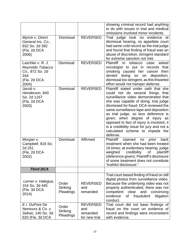|                                                                                         |                                       |                                                     | showing criminal record had anything<br>to do with issues in trial and medical<br>omissions involved minor incidents.                                                                                                                                                                                                                                                                                                                                              |
|-----------------------------------------------------------------------------------------|---------------------------------------|-----------------------------------------------------|--------------------------------------------------------------------------------------------------------------------------------------------------------------------------------------------------------------------------------------------------------------------------------------------------------------------------------------------------------------------------------------------------------------------------------------------------------------------|
| Myrick v. Direct<br>General Ins. Co.,<br>932 So. 2d 392<br>(Fla. 2d DCA<br>2006)        | <b>Dismissal</b>                      | <b>REVERSED</b>                                     | Trial judge took no evidence at<br>dismissal hearing, so appellate court<br>had same cold record as the trial judge<br>and found that finding of fraud was an<br>abuse of discretion; stringent standard<br>for extreme sanction not met.                                                                                                                                                                                                                          |
| Laschke v. R. J.<br>Reynolds Tobacco<br>Co., 872 So. 2d<br>344<br>(Fla. 2d DCA<br>2004) | <b>Dismissal</b>                      | <b>REVERSED</b>                                     | <b>Plaintiff</b><br>tobacco<br>in<br>asked<br>case<br>oncologist to put in records<br>that<br>smoking caused her cancer<br>then<br>denied<br>doing so on<br>deposition;<br>dismissal too stringent, as this thwarted<br>effort would not hamper defense.                                                                                                                                                                                                           |
| Jacob v.<br>Henderson, 840<br>So. 2d 1167<br>(Fla. 2d DCA<br>2003)                      | <b>Dismissal</b>                      | <b>REVERSED</b>                                     | Plaintiff stated under oath that she<br>could not do several things<br>that<br>surveillance video demonstrated that<br>she was capable of doing; trial judge<br>dismissed for fraud; DCA reviewed the<br>same surveillance tape and deposition<br>as trial judge, so less deference is<br>given; when degree of injury as<br>opposed to fact of injury is involved, it<br>is a credibility issue for jury and not a<br>calculated scheme to impede the<br>defense. |
| Morgan v.<br>Campbell, 816 So.<br>2d 251<br>(Fla. 2d DCA<br>2002)                       | <b>Dismissal</b>                      | Affirmed                                            | <b>Plaintiff</b><br>claimed<br>prior<br>back<br>no<br>treatment when she had been treated<br>16 times; at evidentiary hearing, judge<br>credibility<br>weighed<br>οf<br>plaintiff<br>(deference given); Plaintiff's disclosure<br>of some treatment does not constitute<br>"truthful disclosure."                                                                                                                                                                  |
| <b>Third DCA</b>                                                                        |                                       |                                                     |                                                                                                                                                                                                                                                                                                                                                                                                                                                                    |
| Lerner v. Halegua,<br>154 So. 3d 445<br>(Fla. 3d DCA<br>2014)                           | Order<br>Striking<br><b>Pleadings</b> | <b>REVERSED</b><br>and<br>remanded                  | Trial court based finding of fraud on still<br>digital photos from surveillance video.<br>Because the underlying video was not<br>properly authenticated, there was not<br>clear<br>competent<br>and<br>convincing<br>evidence<br>fraudulent<br>of<br>litigation<br>conduct.                                                                                                                                                                                       |
| E.I. DuPont De<br>Nemours & Co. v.<br>Sidran, 140 So. 3d<br>620 (Fla. 3d DCA            | Order<br>Striking<br>Pleadings        | <b>REVERSED</b><br>and<br>remanded<br>for new trial | Trial court did not base findings of<br>fraud on the court on evidence of<br>record and findings were inconsistent<br>with evidence.                                                                                                                                                                                                                                                                                                                               |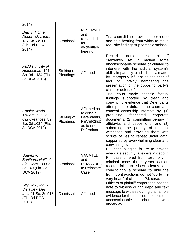| 2014)                                                                                          |                          |                                                                                       |                                                                                                                                                                                                                                                                                                                                                                                                                                                                                                   |
|------------------------------------------------------------------------------------------------|--------------------------|---------------------------------------------------------------------------------------|---------------------------------------------------------------------------------------------------------------------------------------------------------------------------------------------------------------------------------------------------------------------------------------------------------------------------------------------------------------------------------------------------------------------------------------------------------------------------------------------------|
| Diaz v. Home<br>Depot USA, Inc.,<br>137 So. 3d 1195<br>(Fla. 3d DCA<br>2014)                   | <b>Dismissal</b>         | <b>REVERSED</b><br>and<br>remanded<br>for<br>evidentiary<br>hearing                   | Trial court did not provide proper notice<br>and hold hearing from which to make<br>requisite findings supporting dismissal.                                                                                                                                                                                                                                                                                                                                                                      |
| Faddis v. City of<br>Homestead, 121<br>So. 3d 1134 (Fla.<br>3d DCA 2013)                       | Striking of<br>Pleadings | Affirmed                                                                              | Record<br>demonstrates<br>plaintiff<br>"sentiently<br>set<br>in<br>motion<br>some<br>unconscionable scheme calculated to<br>interfere with the judicial system's<br>ability impartially to adjudicate a matter<br>by improperly influencing the trier of<br>fact or unfairly hampering the<br>presentation of the opposing party's<br>claim or defense."                                                                                                                                          |
| <b>Empire World</b><br>Towers, LLC v.<br>Cdr Créances, 89<br>So. 3d 1034 (Fla.<br>3d DCA 2012) | Striking of<br>Pleadings | Affirmed as<br>to certain<br>Defendants,<br><b>REVERSED</b><br>as to one<br>Defendant | Trial court made specific factual<br>findings supported by clear and<br>convincing evidence that Defendants<br>attempted to defraud the court and<br>conceal ownership interests by: (1)<br>fabricated<br>producing<br>corporate<br>documents; (2) committing perjury in<br>affidavits and depositions; and (3)<br>suborning the perjury of material<br>witnesses and providing them with<br>scripts of lies to repeat under oath;<br>supported by overwhelming clear and<br>convincing evidence. |
| Suarez v.<br>Benihana Nat'l of<br>Fla. Corp., 88 So.<br>3d 349 (Fla. 3d<br>DCA 2012)           | <b>Dismissal</b>         | <b>VACATED</b><br>and<br><b>REMANDED</b><br>to Reinstate<br>Case                      | P.I. case alleging failure to provide<br>adequate security; answers in depo in<br>P.I. case differed from testimony in<br>criminal case three years earlier;<br>record fails to show clearly and<br>convincingly a scheme to hide the<br>truth; contradictions do not "go to the<br>very heart" of claims in P.I. case.                                                                                                                                                                           |
| Sky Dev., Inc. v.<br>Vistaview Dev.,<br>Inc., 41 So. 3d 918<br>(Fla. 3d DCA<br>2010)           | Dismissal                | Affirmed                                                                              | Officers of plaintiff corporation passed<br>note to witness during depo and text<br>message to witness during trial; ample<br>evidence for the trial court to conclude<br>unconscionable<br>scheme<br>was<br>underway.                                                                                                                                                                                                                                                                            |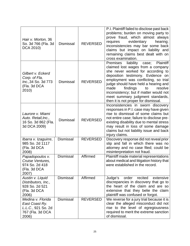| Hair v. Morton, 36<br>So. 3d 766 (Fla. 3d<br>DCA 2010)                                 | <b>Dismissal</b> | <b>REVERSED</b> | P.I. Plaintiff failed to disclose past back<br>problems; burden on moving party to<br>prove fraud, which almost always<br>evidentiary<br>hearing;<br>requires<br>inconsistencies may bar some back<br>claims but impact on liability and<br>remaining claims best dealt with on<br>cross examination.                                                                                                        |
|----------------------------------------------------------------------------------------|------------------|-----------------|--------------------------------------------------------------------------------------------------------------------------------------------------------------------------------------------------------------------------------------------------------------------------------------------------------------------------------------------------------------------------------------------------------------|
| Gilbert v. Eckerd<br>Corp. of Fla,<br>Inc., 34 So. 3d 773<br>(Fla. 3d DCA<br>2010)     | <b>Dismissal</b> | <b>REVERSED</b> | Premises<br>liability<br><b>Plaintiff</b><br>case;<br>claimed lost wages from a company<br>she never worked for according to<br>deposition testimony. Evidence on<br>employment was conflicting, so trial<br>judge should have held a hearing and<br>made<br>findings<br>to<br>resolve<br>inconsistency; but if matter would not<br>meet summary judgment standards,<br>then it is not proper for dismissal. |
| Laurore v. Miami<br>Auto. Retail, Inc.,<br>16 So. 3d 862 (Fla.<br>3d DCA 2009)         | <b>Dismissal</b> | <b>REVERSED</b> | Inconsistencies in sworn discovery<br>responses in P.I. case may have given<br>rise to dismissal of some claims but<br>not entire case; failure to disclose pre-<br>existing disability due to mental stress<br>may result in loss of some damage<br>claims but not liability issue and back<br>injury claims.                                                                                               |
| Ibarra v. Izaguirre,<br>985 So. 2d 1117<br>(Fla. 3d DCA<br>2008)                       | <b>Dismissal</b> | <b>REVERSED</b> | Discovery response did not reveal prior<br>slip and fall in which there was no<br>attorney and no case filed; could be<br>misinterpretation not fraud.                                                                                                                                                                                                                                                       |
| Papadopoulos v.<br>Cruise Ventures,<br>974 So. 2d 418<br>(Fla. 3d DCA<br>2007)         | <b>Dismissal</b> | Affirmed        | Plaintiff made material representations<br>about medical and litigation history that<br>were established in the record.                                                                                                                                                                                                                                                                                      |
| Austin v. Liquid<br>Distributors, Inc.,<br>928 So. 2d 521<br>(Fla. 3d DCA<br>2006)     | <b>Dismissal</b> | Affirmed        | Judge's<br>recited<br>order<br>extensive<br>discrepancies in discovery that go to<br>the heart of the claim and are so<br>extensive that they belie the claim<br>plaintiff was confused or forgot.                                                                                                                                                                                                           |
| Medina v. Florida<br>East Coast Ry.<br>L.L.C., 921 So. 2d<br>767 (Fla. 3d DCA<br>2006) | <b>Dismissal</b> | <b>REVERSED</b> | We reverse for a jury trial because it is<br>clear the alleged misconduct did not<br>rise to the level of egregiousness<br>required to merit the extreme sanction<br>of dismissal.                                                                                                                                                                                                                           |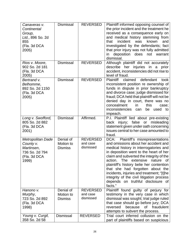| Canaveras v.<br>Continental<br>Group,<br>Ltd., 896 So. 2d<br>855<br>(Fla. 3d DCA<br>2005) | <b>Dismissal</b>                         | <b>REVERSED</b>                          | Plaintiff informed opposing counsel of<br>the prior incident and the treatment he<br>received as a consequence early on<br>and medical history stemming from<br>incident<br>that<br>was<br>known<br>and<br>investigated by the defendants; fact<br>that prior injury was not fully admitted<br>deposition does<br>not<br>in.<br>warrant<br>dismissal.                                                                                                                       |
|-------------------------------------------------------------------------------------------|------------------------------------------|------------------------------------------|-----------------------------------------------------------------------------------------------------------------------------------------------------------------------------------------------------------------------------------------------------------------------------------------------------------------------------------------------------------------------------------------------------------------------------------------------------------------------------|
| Rios v. Moore,<br>902 So. 2d 181<br>(Fla. 3d DCA<br>2005)                                 | <b>Dismissal</b>                         | <b>REVERSED</b>                          | Although plaintiff did not accurately<br>describe<br>her injuries in<br>$\mathsf{a}$<br>prior<br>accident, inconsistencies did not rise to<br>level of fraud.                                                                                                                                                                                                                                                                                                               |
| Bertrand v.<br>Belhomme,<br>892 So. 2d 1150<br>(Fla. 3d DCA<br>2005)                      | <b>Dismissal</b>                         | <b>REVERSED</b>                          | claimed<br>defendant<br><b>Plaintiff</b><br>took<br>inconsistent position re ownership of<br>funds in dispute in prior bankruptcy<br>and divorce case; judge dismissed for<br>fraud; DCA held that plaintiff will not be<br>denied day in court, there was no<br>concealment<br>in.<br>this<br>case;<br>inconsistencies<br>used<br>be<br>can<br>to<br>impeach.                                                                                                              |
| Long v. Swofford,<br>805 So. 2d 882<br>(Fla. 3d DCA<br>2001)                              | <b>Dismissal</b>                         | Affirmed.                                | P.I. Plaintiff lied about pre-existing<br>injury; false or<br>misleading<br>back<br>statement given under oath concerning<br>issues central to her case amounted to<br>fraud.                                                                                                                                                                                                                                                                                               |
| Metropolitan Dade<br>County v.<br>Martinsen,<br>736 So. 2d 794<br>(Fla. 3d DCA<br>1999)   | Denial of<br>Motion to<br><b>Dismiss</b> | <b>REVERSED</b><br>and case<br>dismissed | DCA:<br>Plaintiff's misrepresentations<br>and omissions about her accident and<br>medical history in interrogatories and<br>in deposition went to the heart of her<br>claim and subverted the integrity of the<br>action. The extensive nature of<br>plaintiff's history belie her contention<br>that she had forgotten about the<br>incidents, injuries and treatment; "[t]he<br>integrity of the civil litigation process<br>depends on truthful disclosure of<br>facts." |
| Hanono v.<br>Murphy,<br>723 So. 2d 892<br>(Fla. 3d DCA<br>1998)                           | Denial of<br>Motion to<br><b>Dismiss</b> | <b>REVERSED</b><br>and case<br>dismissed | Plaintiff found guilty of perjury for<br>testimony in the very case in which<br>dismissal was sought; trial judge ruled<br>that case should go before jury; DCA<br>fraudulent<br>reversed<br>because<br>of<br>attempts to subvert the process.                                                                                                                                                                                                                              |
| Young v. Curgil,<br>358 So. 2d 58                                                         | <b>Dismissal</b>                         | <b>REVERSED</b>                          | Trial court inferred collusion on the<br>part of plaintiffs based on suspicious                                                                                                                                                                                                                                                                                                                                                                                             |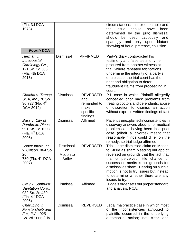| (Fla. 3d DCA<br>1978)                                                                       |                                                             |                                                                       | circumstances; matter debatable and<br>should<br>have<br>issue<br>the<br>been<br>determined by the jury; dismissal<br>cautiously<br>should<br>be<br>used<br>and<br>sparingly and only upon blatant<br>showing of fraud, pretense, collusion.                                                                                                       |
|---------------------------------------------------------------------------------------------|-------------------------------------------------------------|-----------------------------------------------------------------------|----------------------------------------------------------------------------------------------------------------------------------------------------------------------------------------------------------------------------------------------------------------------------------------------------------------------------------------------------|
| <b>Fourth DCA</b>                                                                           |                                                             |                                                                       |                                                                                                                                                                                                                                                                                                                                                    |
| Herman v.<br>Intracoastal<br>Cardiology Ctr.,<br>121 So. 3d 583<br>(Fla. 4th DCA<br>2013)   | <b>Dismissal</b>                                            | <b>AFFIRMED</b>                                                       | Party's diary contradicted his<br>testimony and false testimony he<br>procured from another witness at<br>trial. Where repeated fabrications<br>undermine the integrity of a party's<br>entire case, the trial court has the<br>right and obligation to deter<br>fraudulent claims from proceeding in<br>court.                                    |
| Chacha v. Transp.<br>USA, Inc., 78 So.<br>3d 727 (Fla. 4 <sup>th</sup><br>DCA 2012)         | <b>Dismissal</b>                                            | <b>REVERSED</b><br>and<br>remanded to<br>make<br>specific<br>findings | P.I. case in which Plaintiff allegedly<br>concealed prior back problems from<br>treating doctors and defendants; abuse<br>of discretion to dismiss an action<br>without express written findings of fact                                                                                                                                           |
| Bass v. City of<br>Pembroke Pines,<br>991 So. 2d 1008<br>(Fla. $4^{\text{th}}$ DCA<br>2008) | <b>Dismissal</b>                                            | Affirmed                                                              | Patient's unexplained inconsistencies in<br>discovery answers about prior medical<br>problems and having been in a prior<br>case (albeit a divorce) meant that<br>reasonable minds could differ on the<br>remedy, so trial judge affirmed.                                                                                                         |
| Sunex Intern Inc.<br>v. Colson, 964 So.<br>2d<br>780 (Fla. 4 <sup>th</sup> DCA<br>2007)     | <b>Dismissal</b><br><b>on</b><br>Motion to<br><b>Strike</b> | <b>REVERSED</b>                                                       | Trial judge dismissed claim on Motion<br>to Strike as sham pleading but app ct<br>reversed on grounds that the fact that<br>trial ct perceived little chance of<br>success on merits is not grounds for<br>dismissal as sham. Hearing on such a<br>motion is not to try issues but instead<br>to determine whether there are any<br>issues to try. |
| Gray v. Sunburst<br>Sanitation Corp.,<br>932 So. 2d 439<br>(Fla. $4^{th}$ DCA<br>2006)      | <b>Dismissal</b>                                            | Affirmed                                                              | Judge's order sets out proper standard<br>and analysis; PCA.                                                                                                                                                                                                                                                                                       |
| Cherubino v.<br>Fenstersheib and<br>Fox, P.A., 925<br>So. 2d 1066 (Fla.                     | <b>Dismissal</b>                                            | <b>REVERSED</b>                                                       | Legal malpractice case in which most<br>of the inconsistencies attributed to<br>plaintiffs occurred in the underlying<br>automobile<br>action;<br>not clear<br>and                                                                                                                                                                                 |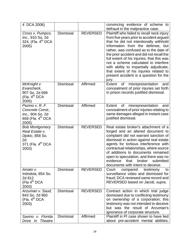| 4 DCA 2006)                                                                                                        |                  |                 | convincing evidence of scheme to                                                                                                                                                                                                                                                                                                                                                                                                                                                                                               |
|--------------------------------------------------------------------------------------------------------------------|------------------|-----------------|--------------------------------------------------------------------------------------------------------------------------------------------------------------------------------------------------------------------------------------------------------------------------------------------------------------------------------------------------------------------------------------------------------------------------------------------------------------------------------------------------------------------------------|
| Cross v. Pumpco,<br>Inc., 910 So. 2d<br>324, (Fla. 4 <sup>th</sup> DCA<br>2005)                                    | <b>Dismissal</b> | <b>REVERSED</b> | defraud in the malpractice case.<br>Plaintiff who failed to recall neck injury<br>from five years prior to accident argued<br>that he did not intentionally withhold<br>information from the defense, but<br>rather, was confused as to the date of<br>the prior accident and did not recall the<br>full extent of his injuries; that this was<br>not a scheme calculated to interfere<br>with ability to impartially adjudicate;<br>that extent of his injuries related to<br>present accident is a question for the<br>jury. |
| McKnight v.<br>Evancheck,<br>907 So. 2d 699<br>(Fla. 4 <sup>th</sup> DCA<br>2005)                                  | <b>Dismissal</b> | Affirmed        | <b>Extent</b><br>misrepresentation<br>of<br>and<br>concealment of prior injuries set forth<br>in prison records justified dismissal.                                                                                                                                                                                                                                                                                                                                                                                           |
| Piunno v. R. F.<br>Concrete Const.,<br>Inc., 904 So. 2d<br>658 (Fla. 4 <sup>th</sup> DCA<br>2005)                  | <b>Dismissal</b> | Affirmed        | Extent<br>of<br>misrepresentation<br>and<br>concealment of prior injuries relating to<br>same damages alleged in instant case<br>justified dismissal.                                                                                                                                                                                                                                                                                                                                                                          |
| <b>Bob Montgomery</b><br>Real Estate v.<br><i>Djokic</i> , 858 So.<br>2d<br>371 (Fla. 4 <sup>th</sup> DCA<br>2003) | <b>Dismissal</b> | <b>REVERSED</b> | Real estate broker's attachment of a<br>forged and an altered document to<br>complaint did not warrant sanction of<br>dismissal in action against real estate<br>agents for tortious interference with<br>contractual relationships, where source<br>of additions to documents remained<br>open to speculation, and there was no<br>evidence that broker submitted<br>documents with intent to deceive.                                                                                                                        |
| Amato v.<br>Intindola, 854 So.<br>2d 812<br>(Fla 4 <sup>th</sup> DCA<br>2003)                                      | <b>Dismissal</b> | <b>REVERSED</b> | Court<br>compared<br>testimony<br>to<br>surveillance video and dismissed for<br>fraud; DCA reviewed same record and<br>REVERSED based on Jacob, supra.                                                                                                                                                                                                                                                                                                                                                                         |
| Arzuman v. Saud,<br>843 So. 2d 950<br>(Fla. 4 <sup>th</sup> DCA<br>2003)                                           | <b>Dismissal</b> | <b>REVERSED</b> | Contract action in which trial judge<br>dismissed due to conflicting testimony<br>on ownership of a corporation; this<br>testimony was not intended to deceive<br>but was the result of Arzuman's<br>ignorance of corporate structure.                                                                                                                                                                                                                                                                                         |
| Savino v. Florida<br>Drive In Theatre                                                                              | <b>Dismissal</b> | Affirmed        | Plaintiff in PI case shown to have lied<br>about pre-accident mental abilities;                                                                                                                                                                                                                                                                                                                                                                                                                                                |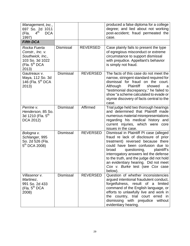| Management, Inc.,<br>697 So. 2d 1011<br>4 <sup>th</sup><br><b>DCA</b><br>(Fla.<br>1997)                       |                  |                 | produced a false diploma for a college<br>degree; and lied about not working<br>post-accident; fraud permeated the<br>case.                                                                                                                                                                                                                                                 |
|---------------------------------------------------------------------------------------------------------------|------------------|-----------------|-----------------------------------------------------------------------------------------------------------------------------------------------------------------------------------------------------------------------------------------------------------------------------------------------------------------------------------------------------------------------------|
| <b>Fifth DCA</b>                                                                                              |                  |                 |                                                                                                                                                                                                                                                                                                                                                                             |
| Rocka Fuerta<br>Constr., Inc. v.<br>Southwick, Inc.,<br>103 So. 3d 1022<br>(Fla. $5^{\text{th}}$ DCA<br>2013) | <b>Dismissal</b> | <b>REVERSED</b> | Case plainly fails to present the type<br>of egregious misconduct or extreme<br>circumstance to support dismissal<br>with prejudice. Appellant's behavior<br>is simply not fraud.                                                                                                                                                                                           |
| Gautreaux v.<br>Maya, 112 So. 3d<br>146 (Fla. 5 <sup>th</sup> DCA<br>2013)                                    | <b>Dismissal</b> | <b>REVERSED</b> | The facts of this case do not meet the<br>narrow, stringent standard required for<br>dismissal for fraud<br>on the court.<br><b>Plaintiff</b><br>Although<br>showed<br>a<br>"testimonial discrepancy," he failed to<br>show "a scheme calculated to evade or<br>stymie discovery of facts central to the<br>case.                                                           |
| Perrine v.<br>Henderson, 85 So.<br>3d 1210 (Fla. 5 <sup>th</sup><br>DCA 2012)                                 | <b>Dismissal</b> | Affirmed        | Trial judge held two thorough hearings<br>and determined that Plaintiff made<br>numerous material misrepresentations<br>regarding his medical history and<br>current injuries, which were core<br>issues in the case.                                                                                                                                                       |
| Bologna v.<br>Schlanger, 995<br>So. 2d 526 (Fla.<br>5 <sup>th</sup> DCA 2008)                                 | <b>Dismissal</b> | <b>REVERSED</b> | Dismissal in Plaintiff PI case (alleged<br>fraud re lack of disclosure of prior<br>treatment) reversed because there<br>could have been confusion due to<br>broad<br>questioning,<br>plaintiff's<br>interrogatory answers led the defense<br>to the truth, and the judge did not hold<br>an evidentiary hearing. Did not meet<br>Cox v. Burke test (see Cox case<br>below). |
| Villasenor v.<br>Martinez,<br>991 So. 2d 433<br>(Fla. 5 <sup>th</sup> DCA<br>2008)                            | <b>Dismissal</b> | <b>REVERSED</b> | Question of whether inconsistencies<br>argued intentional fraudulent conduct,<br>forgetfulness, result of a<br>limited<br>command of the English language, or<br>efforts to unlawfully live and work in<br>the country, trial court erred in<br>dismissing with prejudice without<br>evidentiary hearing.                                                                   |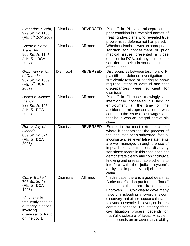| Granados v. Zehr,<br>979 So. 2d 1155<br>(Fla. 5 <sup>th</sup> DCA 2008)<br>Saenz v. Patco<br>Trans. Inc.,<br>969 So. 2d 1145<br>(Fla. $5^{th}$ DCA                                      | <b>Dismissal</b><br><b>Dismissal</b> | <b>REVERSED</b><br>Affirmed | Plaintiff in PI case misrepresented<br>prior condition but revealed names of<br>treating physicians who revealed true<br>problems so defense not hampered.<br>Whether dismissal was an appropriate<br>sanction for concealment of prior<br>medical issues presented a close<br>question for DCA, but they affirmed the                                                                                                                                                         |
|-----------------------------------------------------------------------------------------------------------------------------------------------------------------------------------------|--------------------------------------|-----------------------------|--------------------------------------------------------------------------------------------------------------------------------------------------------------------------------------------------------------------------------------------------------------------------------------------------------------------------------------------------------------------------------------------------------------------------------------------------------------------------------|
| 2007)<br>Gehrmann v. City<br>of Orlando,<br>962 So. 2d 1059<br>(Fla. 5 <sup>th</sup> DCA<br>2007)                                                                                       | <b>Dismissal</b>                     | <b>REVERSED</b>             | sanction as being in sound discretion<br>of trial judge.<br>Discrepancies between testimony of PI<br>plaintiff and defense investigation not<br>sufficiently tested at hearing to show<br>requisite intent to defraud and that<br>discrepancies were sufficient<br>for<br>dismissal.                                                                                                                                                                                           |
| Brown v. Allstate<br>Ins. Co.,<br>838 So. 2d 1264<br>(Fla. $5^{\text{th}}$ DCA<br>2003)                                                                                                 | <b>Dismissal</b>                     | Affirmed                    | Plaintiff in PI case knowingly and<br>intentionally concealed his lack of<br>employment at the time<br>of the<br>accident;<br>misrepresentation<br>was<br>central to the issue of lost wages and<br>that issue was an integral part of his<br>claim.                                                                                                                                                                                                                           |
| Ruiz v. City of<br>Orlando,<br>859 So. 2d 574<br>(Fla. 5 <sup>th</sup> DCA<br>2003)                                                                                                     | <b>Dismissal</b>                     | <b>REVERSED</b>             | Except in the most extreme cases,<br>where it appears that the process of<br>trial has itself been subverted, factual<br>inconsistencies, even false statements<br>are well managed through the use of<br>impeachment and traditional discovery<br>sanctions; record in this case does not<br>demonstrate clearly and convincingly a<br>knowing and unreasonable scheme to<br>interfere with the judicial system's<br>ability to impartially adjudicate the<br>claim.          |
| Cox v. Burke,*<br>706 So. 2d 43<br>(Fla. 5 <sup>th</sup> DCA<br>1998)<br>*Cox case is<br>frequently cited as<br>authority in cases<br>involving<br>dismissal for fraud<br>on the court. | <b>Dismissal</b>                     | Affirmed                    | "In this case, there is a good deal that<br>Burke and Gordon put forth as "fraud"<br>that is either not fraud<br><b>or</b><br><b>is</b><br>unproven Cox clearly gave many<br>false or misleading answers in sworn<br>discovery that either appear calculated<br>to evade or stymie discovery on issues<br>central to her case. The integrity of the<br>civil litigation process depends on<br>truthful disclosure of facts. A system<br>that depends on an adversary's ability |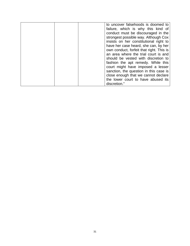| to uncover falsehoods is doomed to       |
|------------------------------------------|
| failure, which is why this kind of       |
| conduct must be discouraged in the       |
| strongest possible way. Although Cox     |
| insists on her constitutional right to   |
| have her case heard, she can, by her     |
| own conduct, forfeit that right. This is |
| an area where the trial court is and     |
| should be vested with discretion to      |
| fashion the apt remedy. While this       |
| court might have imposed a lesser        |
| sanction, the question in this case is   |
| close enough that we cannot declare      |
| the lower court to have abused its       |
| discretion."                             |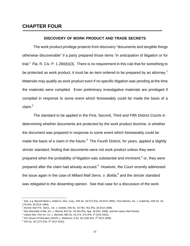### **CHAPTER FOUR**

#### **DISCOVERY OF WORK PRODUCT AND TRADE SECRETS**

The work product privilege protects from discovery "documents and tangible things otherwise discoverable" if a party prepared those items "in anticipation of litigation or for trial." Fla. R. Civ. P. 1.280(b)(3). There is no requirement in this rule that for something to be protected as work product, it must be an item ordered to be prepared by an attorney.<sup>1</sup> Materials may qualify as work product even if no specific litigation was pending at the time the materials were compiled. Even preliminary investigative materials are privileged if compiled in response to some event which foreseeably could be made the basis of a claim. $<sup>2</sup>$ </sup>

The standard to be applied in the First, Second, Third and Fifth District Courts in determining whether documents are protected by the work product doctrine, is whether the document was prepared in response to some event which foreseeably could be made the basis of a claim in the future. $3$  The Fourth District, for years, applied a slightly stricter standard, finding that documents were not work product unless they were prepared when the probability of litigation was substantial and imminent,<sup>4</sup> or, they were prepared after the claim had already accrued.<sup>5</sup> However, the Court recently addressed the issue again in the case of *Millard Mall Servs. v. Bolda*, 6 and the stricter standard was relegated to the dissenting opinion. See that case for a discussion of the work

<sup>1</sup> *See, e.g. Barnett Bank v. Dottie-G. Dev. Corp*., 645 So. 2d 573 (Fla. 2d DCA 1994); *Time Warner, Inc. v. Gadinsky*, 639 So. 2d 176 (Fla. 3d DCA 1994).

<sup>&</sup>lt;sup>2</sup> Anchor Nat'l Fin. Servs., Inc. v. Smeltz, 546 So. 2d 760, 761 (Fla. 2d DCA 1989).<br><sup>3</sup> See Marshalls of Ma, Inc. v. Minsal, 932 So. 2d 444 (Fla. App. 3d Dist. 2006), and the cases cited therein.<br><sup>4</sup> Liberty Mut. Fire I

 $6$  155 So. 3d 1272 (Fla. 4<sup>th</sup> DCA 2015).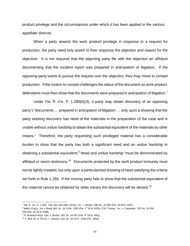product privilege and the circumstances under which it has been applied in the various appellate districts.

When a party asserts the work product privilege in response to a request for production, the party need only assert in their response the objection and reason for the objection. It is not required that the objecting party file with the objection an affidavit documenting that the incident report was prepared in anticipation of litigation. If the opposing party wants to pursue the request over the objection, they may move to compel production. If the motion to compel challenges the status of the document as work product, defendants must then show that the documents were prepared in anticipation of litigation.<sup>7</sup>

Under Fla. R. Civ. P. 1.280(b)(3), a party may obtain discovery of an opposing party's "documents … prepared in anticipation of litigation … only upon a showing that the party seeking discovery has need of the materials in the preparation of the case and is unable without undue hardship to obtain the substantial equivalent of the materials by other means." Therefore, the party requesting such privileged material has a considerable burden to show that the party has both a significant need and an undue hardship in obtaining a substantial equivalent. $8$  Need and undue hardship "must be demonstrated by affidavit or sworn testimony."<sup>9</sup> Documents protected by the work product immunity must not be lightly invaded, but only upon a particularized showing of need satisfying the criteria set forth in Rule 1.280. If the moving party fails to show that the substantial equivalent of the material cannot be obtained by other means the discovery will be denied.<sup>10</sup>

 $\frac{1}{7}$ 

<sup>&</sup>lt;sup>8</sup> Metric Eng'g., Inc v.Small, 861 So. 2d 1248, 1250 (Fla. 1<sup>st</sup> DCA 2003); CSX Transp., Inc. v. Carpenter, 725 So. 2d 434, 435 (Fla. 2d DCA 1999).

<sup>9</sup> *N. Broward Hosp. Dist. v. Button*, 592 So. 2d 367 (Fla. 4th DCA 1992). 10 *S. Bell Tel. & Tel Co. v. Deason*, 632 So. 2d 1377, 1385 (Fla. 1994).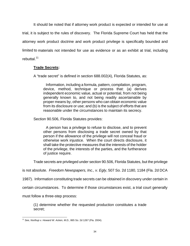It should be noted that if attorney work product is expected or intended for use at trial, it is subject to the rules of discovery. The Florida Supreme Court has held that the attorney work product doctrine and work product privilege is specifically bounded and limited to materials not intended for use as evidence or as an exhibit at trial, including rebuttal.<sup>11</sup>

# **Trade Secrets:**

A "trade secret" is defined in section 688.002(4), Florida Statutes, as:

 Information, including a formula, pattern, compilation, program, device, method, technique or process that: (a) derives independent economic value, actual or potential, from not being generally known to, and not being readily ascertainable by proper means by, other persons who can obtain economic value from its disclosure or use; and (b) is the subject of efforts that are reasonable under the circumstances to maintain its secrecy.

Section 90.506, Florida Statutes provides:

 A person has a privilege to refuse to disclose, and to prevent other persons from disclosing a trade secret owned by that person if the allowance of the privilege will not conceal fraud or otherwise work injustice. When the court directs disclosure, it shall take the protective measures that the interests of the holder of the privilege, the interests of the parties, and the furtherance of justice require.

Trade secrets are privileged under section 90.506, Florida Statutes, but the privilege

is not absolute. *Freedom Newspapers, Inc., v. Egly*, 507 So. 2d 1180, 1184 (Fla. 2d DCA

1987). Information constituting trade secrets can be obtained in discovery under certain in

certain circumstances. To determine if those circumstances exist, a trial court generally

must follow a three-step process:

(1) determine whether the requested production constitutes a trade secret;

 $\overline{a}$ <sup>11</sup> *See*, *Northup v. Howard W. Acken, M.D.,* 865 So. 2d 1267 (Fla. 2004).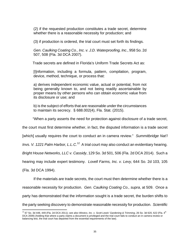(2) if the requested production constitutes a trade secret, determine whether there is a reasonable necessity for production; and

(3) if production is ordered, the trial court must set forth its findings.

*Gen. Caulking Coating Co., Inc. v. J.D. Waterproofing, Inc*., 958 So. 2d 507, 508 (Fla. 3d DCA 2007).

Trade secrets are defined in Florida's Uniform Trade Secrets Act as:

[I]nformation, including a formula, pattern, compilation, program, device, method, technique, or process that:

a) derives independent economic value, actual or potential, from not being generally known to, and not being readily ascertainable by proper means by other persons who can obtain economic value from its disclosure or use; and

b) is the subject of efforts that are reasonable under the circumstances to maintain its secrecy. § 688.002(4), Fla. Stat. (2015).

"When a party asserts the need for protection against disclosure of a trade secret,

the court must first determine whether, in fact, the disputed information is a trade secret

[which] usually requires the court to conduct an in camera review." *Summitbridge Nat'l* 

*Invs. V. 1221 Palm Harbor, L.L.C.*<sup>12</sup> A trial court may also conduct an evidentiary hearing.

*Bright House Networks, LLC v. Cassidy*, 129 So. 3d 501, 506 (Fla. 2d DCA 2014). Such a

hearing may include expert testimony. *Lovell Farms, Inc. v. Levy,* 644 So. 2d 103, 105

(Fla. 3d DCA 1994).

 $\overline{a}$ 

If the materials are trade secrets, the court must then determine whether there is a reasonable necessity for production. *Gen. Caulking Coating Co., supra*, at 509. Once a party has demonstrated that the information sought is a trade secret, the burden shifts to the party seeking discovery to demonstrate reasonable necessity for production. *Scientific* 

<sup>&</sup>lt;sup>12</sup> 67 So. 3d 448, 449 (Fla. 2d DCA 2011); see also Westco, Inc. v. Scott Lewis' Gardening & Trimming, 26 So. 3d 620, 622 (Fla. 4<sup>th</sup> DCA 2009) (holding that where a party claims a document is privileged and the trial court fails to conduct an in camera review or balancing test, the trial court has departed from the essential requirements of the law).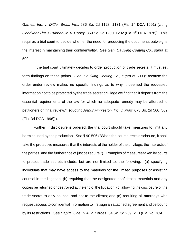*Games, Inc. v. Dittler Bros., Inc.*, 586 So. 2d 1128, 1131 (Fla. 1<sup>st</sup> DCA 1991) (citing *Goodyear Tire & Rubber Co. v. Cooey,* 359 So. 2d 1200, 1202 (Fla. 1<sup>st</sup> DCA 1978)). This requires a trial court to decide whether the need for producing the documents outweighs the interest in maintaining their confidentiality. *See Gen. Caulking Coating Co., supra* at 509.

 If the trial court ultimately decides to order production of trade secrets, it must set forth findings on these points. *Gen. Caulking Coating Co., supra* at 509 ("Because the order under review makes no specific findings as to why it deemed the requested information not to be protected by the trade secret privilege we find that 'it departs from the essential requirements of the law for which no adequate remedy may be afforded to petitioners on final review.'" (quoting *Arthur Finnieston, Inc. v. Pratt*, 673 So. 2d 560, 562 (Fla. 3d DCA 1996))).

 Further, if disclosure is ordered, the trial court should take measures to limit any harm caused by the production. *See* § 90.506 ("When the court directs disclosure, it shall take the protective measures that the interests of the holder of the privilege, the interests of the parties, and the furtherance of justice require."). Examples of measures taken by courts to protect trade secrets include, but are not limited to, the following: (a) specifying individuals that may have access to the materials for the limited purposes of assisting counsel in the litigation; (b) requiring that the designated confidential materials and any copies be returned or destroyed at the end of the litigation; (c) allowing the disclosure of the trade secret to only counsel and not to the clients; and (d) requiring all attorneys who request access to confidential information to first sign an attached agreement and be bound by its restrictions. *See Capital One, N.A. v. Forbes*, 34 So. 3d 209, 213 (Fla. 2d DCA

36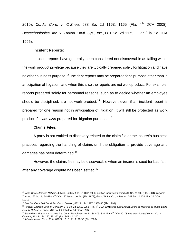2010); *Cordis Corp. v. O'Shea*, 988 So. 2d 1163, 1165 (Fla. 4<sup>th</sup> DCA 2008); *Bestechnologies, Inc. v. Trident Envtl. Sys., Inc*., 681 So. 2d 1175, 1177 (Fla. 2d DCA 1996).

### **Incident Reports**:

Incident reports have generally been considered not discoverable as falling within the work product privilege because they are typically prepared solely for litigation and have no other business purpose.<sup>13</sup> Incident reports may be prepared for a purpose other than in anticipation of litigation, and when this is so the reports are not work product. For example, reports prepared solely for personnel reasons, such as to decide whether an employee should be disciplined, are not work product.<sup>14</sup> However, even if an incident report is prepared for one reason not in anticipation of litigation, it will still be protected as work product if it was *also* prepared for litigation purposes.<sup>15</sup>

### **Claims Files**:

A party is not entitled to discovery related to the claim file or the insurer's business practices regarding the handling of claims until the obligation to provide coverage and damages has been determined.<sup>16</sup>

However, the claims file may be discoverable when an insurer is sued for bad faith after any coverage dispute has been settled.<sup>17</sup>

 $\overline{a}$ <sup>13</sup> Winn-Dixie Stores v. Nakutis, 435 So. 2d 307 (Fla. 5<sup>th</sup> DCA 1983) petition for review denied 446 So. 2d 100 (Fla. 1984); Sligar v. *Tucker*, 267 So. 2d 54 (Fla. 4th DCA 1972) cert. denied (Fla. 1972); *Grand Union Co., v. Patrick*, 247 So. 2d 474 (Fla. 3d DCA 1971).

<sup>&</sup>lt;sup>14</sup> See Southern Bell Tel. & Tel. Co. v. Deason, 632 So. 2d 1377, 1385-86 (Fla. 1994).<br><sup>15</sup> Federal Express Corp. v. Cantway, 778 So. 2d 1052, 1053 (Fla. 4<sup>th</sup> DCA 2001); see also District Board of Trustees of Miami-Dade *County College v. Chao*, 739 So. 2d 105 (Fla. 3d DCA 1999). 16 *State Farm Mutual Automobile Ins. Co. v. Tranchese*, 49 So. 3d 809, 810 (Fla. 4th DCA 2010*); see also Scottsdale Ins. Co. v.* 

*Camara*, 813 So. 2d 250, 251-52 (Fla. 3d DCA 2002). 17 *Allstate Indem. Co. v. Ruiz*, 899 So. 2d 1121, 1129-30 (Fla. 2005).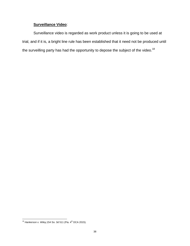# **Surveillance Video**:

Surveillance video is regarded as work product unless it is going to be used at trial, and if it is, a bright line rule has been established that it need not be produced until the surveilling party has had the opportunity to depose the subject of the video.<sup>18</sup>

 $\overline{a}$ <sup>18</sup> Hankerson v. Wiley, 154 So. 3d 511 (Fla. 4<sup>th</sup> DCA 2015).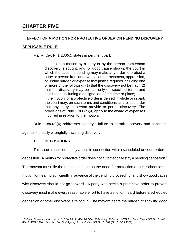# **CHAPTER FIVE**

# **EFFECT OF A MOTION FOR PROTECTIVE ORDER ON PENDING DISCOVERY**

## **APPLICABLE RULE:**

Fla. R. Civ. P. 1.280(c), states in pertinent part:

 Upon motion by a party or by the person from whom discovery is sought, and for good cause shown, the court in which the action is pending may make any order to protect a party or person from annoyance, embarrassment, oppression, or undue burden or expense that justice requires including one or more of the following: (1) that the discovery not be had; (2) that the discovery may be had only on specified terms and conditions, including a designation of the time or place; . . . If the motion for a protective order is denied in whole or in part, the court may, on such terms and conditions as are just, order that any party or person provide or permit discovery. The provisions of Rule 1.380(a)(4) apply to the award of expenses incurred in relation to the motion.

Rule 1.380(a)(4) addresses a party's failure to permit discovery and sanctions

against the party wrongfully thwarting discovery.

# **1. DEPOSITIONS**

This issue most commonly arises in connection with a scheduled or court ordered

deposition. A motion for protective order does not automatically stay a pending deposition.<sup>1</sup>

The movant must file the motion as soon as the need for protection arises, schedule the motion for hearing sufficiently in advance of the pending proceeding, and show good cause why discovery should not go forward. A party who seeks a protective order to prevent discovery must make every reasonable effort to have a motion heard before a scheduled deposition or other discovery is to occur. The movant bears the burden of showing good

<sup>1</sup> <sup>1</sup> *Rahman Momenah v. Ammache*, 616 So. 2d 121 (Fla. 2d DCA 1993); citing: *Stables and CNA Ins. Co. v. Rivers*, 559 So. 2d 440 (Fla. 1st DCA 1990). See also: *Don Mott Agency, Inc. v. Pullum*, 352 So. 2d 107 (Fla. 2d DCA 1977).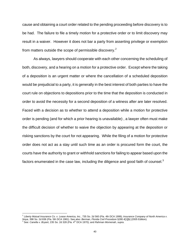cause and obtaining a court order related to the pending proceeding before discovery is to be had. The failure to file a timely motion for a protective order or to limit discovery may result in a waiver. However it does not bar a party from asserting privilege or exemption from matters outside the scope of permissible discovery.<sup>2</sup>

 As always, lawyers should cooperate with each other concerning the scheduling of both, discovery, and a hearing on a motion for a protective order. Except where the taking of a deposition is an urgent matter or where the cancellation of a scheduled deposition would be prejudicial to a party, it is generally in the best interest of both parties to have the court rule on objections to depositions prior to the time that the deposition is conducted in order to avoid the necessity for a second deposition of a witness after are later resolved. Faced with a decision as to whether to attend a deposition while a motion for protective order is pending (and for which a prior hearing is unavailable) , a lawyer often must make the difficult decision of whether to waive the objection by appearing at the deposition or risking sanctions by the court for not appearing. While the filing of a motion for protective order does not act as a stay until such time as an order is procured form the court, the courts have the authority to grant or withhold sanctions for failing to appear based upon the factors enumerated in the case law, including the diligence and good faith of counsel.<sup>3</sup>

1

<sup>2</sup> *Liberty Mutual Insurance Co. v. Lease America, Inc.*, 735 So. 2d 560 (Fla. 4th DCA 1999); *Insurance Company of North America v.* 

*Noya*, 398 So. 2d 836 (Fla. 5th DCA 1981). See also: *Berman, Florida Civil Procedure* §280.4[1][b] (2005 Edition).<br><sup>3</sup> See: *Canella v. Bryant*, 235 So. 2d 328 (Fla. 4<sup>th</sup> DCA 1970); and *Rahman Momenah, supra.*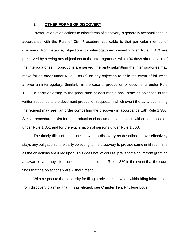### **2. OTHER FORMS OF DISCOVERY**

 Preservation of objections to other forms of discovery is generally accomplished in accordance with the Rule of Civil Procedure applicable to that particular method of discovery. For instance, objections to interrogatories served under Rule 1.340 are preserved by serving any objections to the interrogatories within 30 days after service of the interrogatories. If objections are served, the party submitting the interrogatories may move for an order under Rule 1.380(a) on any objection to or in the event of failure to answer an interrogatory. Similarly, in the case of production of documents under Rule 1.350, a party objecting to the production of documents shall state its objection in the written response to the document production request, in which event the party submitting the request may seek an order compelling the discovery in accordance with Rule 1.380. Similar procedures exist for the production of documents and things without a deposition under Rule 1.351 and for the examination of persons under Rule 1.360.

 The timely filing of objections to written discovery as described above effectively stays any obligation of the party objecting to the discovery to provide same until such time as the objections are ruled upon. This does not, of course, prevent the court from granting an award of attorneys' fees or other sanctions under Rule 1.380 in the event that the court finds that the objections were without merit**.** 

With respect to the necessity for filing a privilege log when withholding information from discovery claiming that it is privileged, see Chapter Ten, Privilege Logs.

41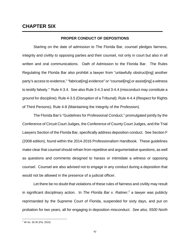### **PROPER CONDUCT OF DEPOSITIONS**

 Starting on the date of admission to The Florida Bar, counsel pledges fairness, integrity and civility to opposing parties and their counsel, not only in court but also in all written and oral communications. Oath of Admission to the Florida Bar. The Rules Regulating the Florida Bar also prohibit a lawyer from "unlawfully obstruct[ing] another party's access to evidence," "fabricat[ing] evidence" or "counsel[ing] or assist[ing] a witness to testify falsely." Rule 4-3.4. See also Rule 3-4.3 and 3-4.4 (misconduct may constitute a ground for discipline); Rule 4-3.5 (Disruption of a Tribunal); Rule 4-4.4 (Respect for Rights of Third Persons); Rule 4-8 (Maintaining the Integrity of the Profession).

 The Florida Bar's "Guidelines for Professional Conduct," promulgated jointly by the Conference of Circuit Court Judges, the Conference of County Court Judges, and the Trial Lawyers Section of the Florida Bar, specifically address deposition conduct. See Section F (2008 edition), found within the 2014-2016 Professionalism Handbook. These guidelines make clear that counsel should refrain from repetitive and argumentative questions, as well as questions and comments designed to harass or intimidate a witness or opposing counsel. Counsel are also advised not to engage in any conduct during a deposition that would not be allowed in the presence of a judicial officer.

 Let there be no doubt that violations of these rules of fairness and civility may result in significant disciplinary action. In *The Florida Bar v. Ratiner*,<sup>1</sup> a lawyer was publicly reprimanded by the Supreme Court of Florida, suspended for sixty days, and put on probation for two years, all for engaging in deposition misconduct. *See also, 5500 North* 

 1 46 So. 3d 35 (Fla. 2010)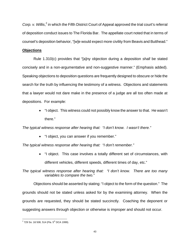Corp. v. Willis,<sup>2</sup> in which the Fifth District Court of Appeal approved the trial court's referral of deposition conduct issues to The Florida Bar. The appellate court noted that in terms of counsel's deposition behavior, "[w]e would expect more civility from Beavis and Butthead."

# **Objections**

 Rule 1.310(c) provides that "[a]ny objection during a deposition *shall* be stated concisely and in a non-argumentative and non-suggestive manner." (Emphasis added). Speaking objections to deposition questions are frequently designed to obscure or hide the search for the truth by influencing the testimony of a witness. Objections and statements that a lawyer would not dare make in the presence of a judge are all too often made at depositions. For example:

> "I object. This witness could not possibly know the answer to that. He wasn't there."

*The typical witness response after hearing that: "I don't know. I wasn't there."*

"I object, you can answer if you remember."

*The typical witness response after hearing that: "I don't remember."* 

 "I object. This case involves a totally different set of circumstances, with different vehicles, different speeds, different times of day, etc."

*The typical witness response after hearing that: "I don't know. There are too many variables to compare the two."*

 Objections should be asserted by stating: "I object to the form of the question." The grounds should not be stated unless asked for by the examining attorney. When the grounds are requested, they should be stated succinctly. Coaching the deponent or suggesting answers through objection or otherwise is improper and should not occur.

<sup>&</sup>lt;u>.</u><br>2 729 So. 2d 508, 514 (Fla. 5<sup>th</sup> DCA 1999).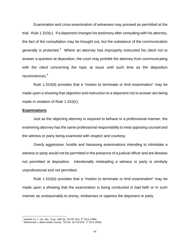Examination and cross-examination of witnesses may proceed as permitted at the trial. Rule 1.310(c). If a deponent changes his testimony after consulting with his attorney, the fact of the consultation may be brought out, but the substance of the communication generally is protected.<sup>3</sup> Where an attorney has improperly instructed his client not to answer a question at deposition, the court may prohibit the attorney from communicating with the client concerning the topic at issue until such time as the deposition recommences.<sup>4</sup>

 Rule 1.310(d) provides that a "motion to terminate or limit examination" may be made upon a showing that objection and instruction to a deponent not to answer are being made in violation of Rule 1.310(c).

#### **Examinations**

 Just as the objecting attorney is required to behave in a professional manner, the examining attorney has the same professional responsibility to treat opposing counsel and the witness or party being examined with respect and courtesy.

 Overly aggressive, hostile and harassing examinations intending to intimidate a witness or party would not be permitted in the presence of a judicial officer and are likewise not permitted at deposition. Intentionally misleading a witness or party is similarly unprofessional and not permitted.

 Rule 1.310(d) provides that a "motion to terminate or limit examination" may be made upon a showing that the examination is being conducted in bad faith or in such manner as unreasonably to annoy, embarrass or oppress the deponent or party.

<sup>&</sup>lt;sup>3</sup> Haskell Co. v. Ga. Pac. Corp., 684 So. 2d 297 (Fla. 5<sup>th</sup> DCA 1996).

<sup>&</sup>lt;sup>4</sup> McDermott v. Miami-Dade County, 753 So. 2d 729 (Fla. 1<sup>st</sup> DCA 2000).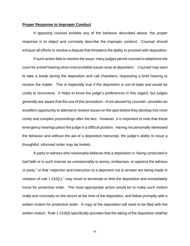#### **Proper Response to Improper Conduct**

 If opposing counsel exhibits any of the behavior described above, the proper response is to object and concisely describe the improper conduct. Counsel should exhaust all efforts to resolve a dispute that threatens the ability to proceed with deposition.

 If such action fails to resolve the issue, many judges permit counsel to telephone the court for a brief hearing when irreconcilable issues arise at deposition. Counsel may want to take a break during the deposition and call chambers, requesting a brief hearing to resolve the matter. This is especially true if the deposition is out-of-state and would be costly to reconvene. It helps to know the judge's preferences in this regard, but judges generally are aware that the use of this procedure—if not abused by counsel—provides an excellent opportunity to attempt to resolve issues on the spot before they develop into more costly and complex proceedings after the fact. However, it is important to note that these emergency hearings place the judge in a difficult position. Having not personally witnessed the behavior and without the aid of a deposition transcript, the judge's ability to issue a thoughtful, informed order may be limited.

 A party or witness who reasonably believes that a deposition is "being conducted in bad faith or in such manner as unreasonably to annoy, embarrass, or oppress the witness or party," or that "objection and instruction to a deponent not to answer are being made in violation of rule 1.310(c)," may move to terminate or limit the deposition and immediately move for protective order. The most appropriate action would be to make such motion orally and concisely on the record at the time of the deposition, and follow promptly with a written motion for protective order. A copy of the deposition will need to be filed with the written motion. Rule 1.310(d) specifically provides that the taking of the deposition *shall* be

45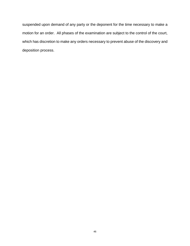suspended upon demand of any party or the deponent for the time necessary to make a motion for an order. All phases of the examination are subject to the control of the court, which has discretion to make any orders necessary to prevent abuse of the discovery and deposition process.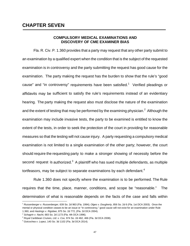### **COMPULSORY MEDICAL EXAMINATIONS AND DISCOVERY OF CME EXAMINER BIAS**

Fla. R. Civ. P*.* 1.360 provides that a party may request that any other party submit to T an examination by a qualified expert when the condition that is the subject of the requested examination is in controversy and the party submitting the request has good cause for the examination. The party making the request has the burden to show that the rule's "good cause" and "in controversy" requirements have been satisfied.<sup>1</sup> Verified pleadings or affidavits may be sufficient to satisfy the rule's requirements instead of an evidentiary hearing. The party making the request also must disclose the nature of the examination and the extent of testing that may be performed by the examining physician.<sup>2</sup> Although the examination may include invasive tests, the party to be examined is entitled to know the extent of the tests, in order to seek the protection of the court in providing for reasonable measures so that the testing will not cause injury. A party requesting a compulsory medical examination is not limited to a single examination of the other party; however, the court should require the requesting party to make a stronger showing of necessity before the second request is authorized.<sup>3</sup> A plaintiff who has sued multiple defendants, as multiple tortfeasors, may be subject to separate examinations by each defendant.<sup>4</sup>

Rule 1.360 does not specify where the examination is to be performed. The Rule requires that the time, place, manner, conditions, and scope be "reasonable." The determination of what is reasonable depends on the facts of the case and falls within

 $\overline{a}$ <sup>1</sup> *Russenberger v. Russenberger*, 639 So. 2d 963 (Fla. 1994); *Olges v. Dougherty*, 856 So. 2d 6 (Fla. 1st DCA 2003). Once the mental or physical condition ceases to be an issue or "in controversy," good cause will not exist for an examination under Rule

<sup>1.360,</sup> and Hastings v. Rigsbee, 875 So. 2d 772, (Fla. 2d DCA 2004).<br>
<sup>2</sup> Schagrin v. Nacht, 683 So. 2d 1173 (Fla. 4th DCA 1996).<br>
<sup>3</sup> Royal Caribbean Cruises, Ltd. v. Cox, 974 So. 2d 462, 466 (Fla. 3d DCA 2008).<br>
<sup>4</sup> Goico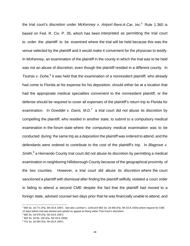the trial court's discretion under *McKenney v. Airport Rent-A-Car, Inc*.<sup>5</sup> Rule 1.360 is based on Fed. R. Civ. P. 35, which has been interpreted as permitting the trial court to order the plaintiff to be examined where the trial will be held because this was the venue selected by the plaintiff and it would make it convenient for the physician to testify. In *McKenney*, an examination of the plaintiff in the county in which the trial was to be held was not an abuse of discretion, even though the plaintiff resided in a different county. In Tsutras v. Duhe,<sup>6</sup> it was held that the examination of a nonresident plaintiff, who already had come to Florida at his expense for his deposition, should either be at a location that had the appropriate medical specialties convenient to the nonresident plaintiff, or the defense should be required to cover all expenses of the plaintiff's return trip to Florida for examination. In *Goeddel v. Davis, M.D.*<sup>7</sup> a trial court did not abuse its discretion by compelling the plaintiff, who resided in another state, to submit to a compulsory medical examination in the forum state where the compulsory medical examination was to be conducted during the same trip as a deposition the plaintiff was ordered to attend, and the defendants were ordered to contribute to the cost of the plaintiff's trip. In *Blagrove v.*  Smith,<sup>8</sup> a Hernando County trial court did not abuse its discretion by permitting a medical examination in neighboring Hillsborough County because of the geographical proximity of the two counties. However, a trial court did abuse its discretion where the court sanctioned a plaintiff with dismissal after finding the plaintiff willfully violated a court order in failing to attend a second CME despite the fact that the plaintiff had moved to a foreign state, advised counsel two days prior that he was financially unable to attend, and

 5 686 So. 2d 771 (Fla. 4th DCA 1997). *See also Leinhart v. Jurkovich* 882 So. 2d 456 (Fla. 4th DCA 2004) where request for CME 10 days before trial was denied and upheld on appeal as being within Trial Court's discretion.

<sup>6</sup> 685 So. 2d 979 (Fla. 5th DCA 1997).

<sup>7</sup> 993 So. 2d 99, 100 (Fla. 5th DCA 2008).

<sup>8</sup> 701 So. 2d 584 (Fla. 5th DCA 1997).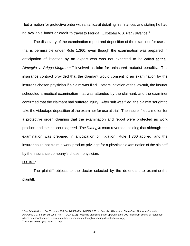filed a motion for protective order with an affidavit detailing his finances and stating he had no available funds or credit to travel to Florida. *Littlefield v. J. Pat Torrence.*<sup>9</sup>

The discovery of the examination report and deposition of the examiner for use at T trial is permissible under Rule 1.360, even though the examination was prepared in anticipation of litigation by an expert who was not expected to be called at trial. *Dimeglio v. Briggs-Mugrauer<sup>10</sup>* involved a claim for uninsured motorist benefits. The insurance contract provided that the claimant would consent to an examination by the insurer's chosen physician if a claim was filed. Before initiation of the lawsuit, the insurer scheduled a medical examination that was attended by the claimant, and the examiner confirmed that the claimant had suffered injury. After suit was filed, the plaintiff sought to take the videotape deposition of the examiner for use at trial. The insurer filed a motion for a protective order, claiming that the examination and report were protected as work product, and the trial court agreed. The *Dimeglio* court reversed, holding that although the examination was prepared in anticipation of litigation, Rule 1.360 applied, and the insurer could not claim a work product privilege for a physician examination of the plaintiff by the insurance company's chosen physician.

#### **Issue 1:**

1

The plaintiff objects to the doctor selected by the defendant to examine the plaintiff.

<sup>9</sup> See *Littelfield v. J. Pat Torrence* 778 So. 2d 368 (Fla. 2d DCA 2001). See also *Wapnick v. State Farm Mutual Automobile Insurance Co.*, 54 So. 3d 1065 (Fla. 4<sup>th</sup> DCA 2011) (requiring plaintiff to travel approximately 100 miles from county of residence where defendant offered to reimburse travel expenses, although reversing denial of coverage).<br><sup>10</sup> 708 So. 2d 637 (Fla. 2d DCA 1998).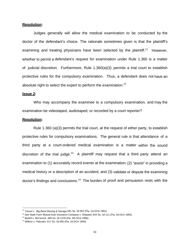### **Resolution:**

Judges generally will allow the medical examination to be conducted by the doctor of the defendant's choice. The rationale sometimes given is that the plaintiff's examining and treating physicians have been selected by the plaintiff.*<sup>11</sup>* However, whether to permit a defendant's request for examination under Rule 1.360 is a matter of judicial discretion. Furthermore, Rule 1.360(a)(3) permits a trial court to establish protective rules for the compulsory examination. Thus, a defendant does not have an absolute right to select the expert to perform the examination.<sup>12</sup>

#### **Issue 2:**

Who may accompany the examinee to a compulsory examination, and may the examination be videotaped, audiotaped, or recorded by a court reporter?

#### **Resolution:**

 $\overline{a}$ 

Rule 1.360 (a)(3) permits the trial court, at the request of either party, to establish protective rules for compulsory examinations. The general rule is that attendance of a third party at a court-ordered medical examination is a matter within the sound discretion of the trial judge.<sup>13</sup> A plaintiff may request that a third party attend an examination to (1) accurately record events at the examination; (2) "assist" in providing a medical history or a description of an accident; and (3) validate or dispute the examining doctor's findings and conclusions.<sup>14</sup> The burden of proof and persuasion rests with the

<sup>11</sup> *Toucet v. Big Bend Moving & Storage* 581 So. 2d 952 (Fla. 1st DCA 1991).

<sup>&</sup>lt;sup>12</sup> See State Farm Mutual Auto Insurance Company v. Shepard, 644 So. 2d 111 (Fla. 2d DCA 1994).<br><sup>13</sup> Bartell v. McCarrick, 498 So. 2d 1378 (Fla. 4th DCA 1986).<br><sup>14</sup> Wilkins v. Palumbo. 617 So. 2d 850 (Fla. 2d DCA 1993).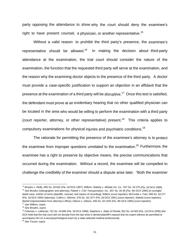party opposing the attendance to show why the court should deny the examinee's right to have present counsel, a physician, or another representative.<sup>15</sup>

Without a valid reason to prohibit the third party's presence, the examinee's representative should be allowed.<sup>16</sup> In making the decision about third-party attendance at the examination, the trial court should consider the nature of the examination, the function that the requested third party will serve at the examination, and the reason why the examining doctor objects to the presence of the third party. A doctor must provide a case-specific justification to support an objection in an affidavit that the presence at the examination of a third party will be disruptive.<sup>17</sup> Once this test is satisfied, the defendant must prove at an evidentiary hearing that no other qualified physician can be located in the area who would be willing to perform the examination with a third party (court reporter, attorney, or other representative) present.<sup>18</sup> This criteria applies to compulsory examinations for physical injuries and psychiatric conditions.<sup>19</sup>

The rationale for permitting the presence of the examinee's attorney is to protect Tthe examinee from improper questions unrelated to the examination.<sup>20</sup> Furthermore, the examinee has a right to preserve by objective means, the precise communications that occurred during the examination. Without a record, the examinee will be compelled to challenge the credibility of the examiner should a dispute arise later. "Both the examiner

 $\overline{a}$ 

<sup>15</sup> *Broyles v. Reilly*, 695 So. 2d 832 (Fla. 2d DCA 1997); *Wilkins*; *Stakely v. Allstate Ins. Co*., 547 So. 2d 275 (Fla. 2d DCA 1989). <sup>16</sup> *See Broyles* (videographer and attorney); *Palank v. CSX Transportation, Inc*., 657 So. 2d 48 (Fla. 4th DCA 1995) (in wrongful death case, mother of minor plaintiffs, counsel, and means of recording); *Wilkins* (court reporter); *McCorkle v. Fast*, 599 So. 2d 277 (Fla. 2d DCA 1992) (attorney); *Collins v. Skinner*, 576 So. 2d 1377 (Fla. 2d DCA 1991) (court reporter); *Stakely* (court reporter); *Bartell* (representative from attorney's office); *Gibson v. Gibson*, 456 So. 2d 1320 (Fla. 4th DCA 1984) (court reporter). 17 *See Wilkins*, *supra.*

<sup>18</sup> *See Broyles*, *supra.*

<sup>19</sup> *Freeman v. Latherow*, 722 So. 2d 885 (Fla. 2d DCA 1998); *Stephens v. State of Florida*, 932 So. 2d 563 (Fla. 1st DCA 2006) (the DCA held that the trial court did not deviate from the law when it denied plaintiff's request that his expert witness be permitted to accompany him on a neuropsychological exam by a state-selected medical professional).

<sup>20</sup> *See Toucet, supra.*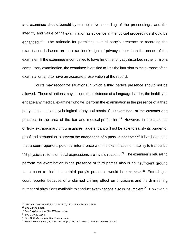and examinee should benefit by the objective recording of the proceedings, and the integrity and value of the examination as evidence in the judicial proceedings should be enhanced."21 The rationale for permitting a third party's presence or recording the examination is based on the examinee's right of privacy rather than the needs of the examiner. If the examinee is compelled to have his or her privacy disturbed in the form of a compulsory examination, the examinee is entitled to limit the intrusion to the purpose of the examination and to have an accurate preservation of the record.

Courts may recognize situations in which a third party's presence should not be allowed. Those situations may include the existence of a language barrier, the inability to engage any medical examiner who will perform the examination in the presence of a third party, the particular psychological or physical needs of the examinee, or the customs and practices in the area of the bar and medical profession.<sup>22</sup> However, in the absence of truly extraordinary circumstances, a defendant will not be able to satisfy its burden of proof and persuasion to prevent the attendance of a passive observer.<sup>23</sup> It has been held that a court reporter's potential interference with the examination or inability to transcribe the physician's tone or facial expressions are invalid reasons.<sup>24</sup> The examiner's refusal to perform the examination in the presence of third parties also is an insufficient ground for a court to find that a third party's presence would be disruptive.<sup>25</sup> Excluding a court reporter because of a claimed chilling effect on physicians and the diminishing number of physicians available to conduct examinations also is insufficient.<sup>26</sup> However, it

<u>.</u>

<sup>&</sup>lt;sup>21</sup> Gibson v. Gibson, 456 So. 2d at 1320, 1321 (Fla. 4th DCA 1984).<br><sup>22</sup> See Bartell, supra.

<sup>23</sup> *See Broyles, supra; See Wilkins, supra.*

<sup>24</sup> *See Collins, supra.* 

<sup>25</sup> *See McCorkle, supra; See Toucet, supra.* 

<sup>26</sup> *Truesdale v. Landau*, 573 So. 2d 429 (Fla. 5th DCA 1991). *See also Broyles*, *supra.*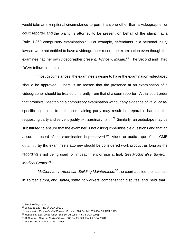would take an exceptional circumstance to permit anyone other than a videographer or court reporter and the plaintiff's attorney to be present on behalf of the plaintiff at a Rule 1.360 compulsory examination.<sup>27</sup> For example, defendants in a personal injury lawsuit were not entitled to have a videographer record the examination even though the examinee had her own videographer present. *Prince v. Mallari*. 28 The Second and Third DCAs follow this opinion.

In most circumstances, the examinee's desire to have the examination videotaped should be approved. There is no reason that the presence at an examination of a videographer should be treated differently from that of a court reporter. A trial court order that prohibits videotaping a compulsory examination without any evidence of valid, casespecific objections from the complaining party may result in irreparable harm to the requesting party and serve to justify extraordinary relief.<sup>29</sup> Similarly, an audiotape may be substituted to ensure that the examiner is not asking impermissible questions and that an accurate record of the examination is preserved.<sup>30</sup> Video or audio tape of the CME obtained by the examinee's attorney should be considered work product as long as the recording is not being used for impeachment or use at trial. See *McGarrah v. Bayfront Medical Center*. *31*

In *McClennan v. American Building Maintenance*, 32 the court applied the rationale in *Toucet*, *supra*, and *Bartell*, *supra*, to workers' compensation disputes, and held that

<u>.</u>

<sup>&</sup>lt;sup>27</sup> See *Broyles*, supra.<br><sup>28</sup> 36 So. 3d 128 (Fla. 5<sup>th</sup> DCA 2010).<br><sup>29</sup> Lunceford v. Florida Central Railroad Co., Inc., 728 So. 2d 1239 (Fla. 5th DCA 1999).<br><sup>30</sup> Medrano v. BEC Const. Corp., 588 So. 2d 1056 (Fla. 3d DC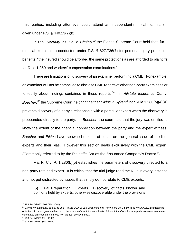third parties, including attorneys, could attend an independent medical examination given under F.S. § 440.13(2)(b).

In *U.S. Security Ins. Co. v. Cimino*,<sup>33</sup> the Florida Supreme Court held that, for a medical examination conducted under F.S. § 627.736(7) for personal injury protection benefits, "the insured should be afforded the same protections as are afforded to plaintiffs for Rule 1.360 and workers' compensation examinations."

There are limitations on discovery of an examiner performing a CME. For example, Tan examiner will not be compelled to disclose CME reports of other non-party examinees or to testify about findings contained in those reports.<sup>34</sup> In Allstate Insurance Co. v. *Boecher,<sup>35</sup>* the Supreme Court held that neither *Elkins v. Syken<sup>36</sup>* nor Rule 1.280(b)(4)(A) prevents discovery of a party's relationship with a particular expert when the discovery is propounded directly to the party. In *Boecher*, the court held that the jury was entitled to know the extent of the financial connection between the party and the expert witness. *Boecher* and *Elkins* have spawned dozens of cases on the general issue of medical experts and their bias. However this section deals exclusively with the CME expert. (Commonly referred to by the Plaintiff's Bar as the "Insurance Company's Doctor.").

Fla. R. Civ. P. 1.280(b)(5) establishes the parameters of discovery directed to a non-party retained expert. It is critical that the trial judge read the Rule in every instance and not get distracted by issues that simply do not relate to CME experts.

(5) Trial Preparation: Experts. Discovery of facts known and opinions held by experts, otherwise discoverable under the provisions

 $\overline{a}$ <sup>33</sup> 754 So. 2d 697, 701 (Fla. 2000).

<sup>34</sup> *Crowley v. Lamming*, 66 So. 3d 355 (Fla. 2d DCA 2011); *Coopersmith v. Perrine*, 91 So. 3d 246 (Fla. 4th DCA 2012) (sustaining objections to interrogatories directed to the examiner's "opinions and basis of the opinions" of other non-party examinees as same constituted an intrusion into those non-parties' privacy rights). 35 733 So. 2d 993 (Fla. 1999).

<sup>36 672</sup> So. 2d 517 (Fla. 1996).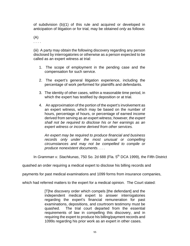of subdivision (b)(1) of this rule and acquired or developed in anticipation of litigation or for trial, may be obtained *only* as follows:

(A)

. . . .

(iii) A party may obtain the following discovery regarding any person disclosed by interrogatories or otherwise as a person expected to be called as an expert witness at trial:

- 1. The scope of employment in the pending case and the compensation for such service.
- 2. The expert's general litigation experience, including the percentage of work performed for plaintiffs and defendants.
- 3. The identity of other cases, within a reasonable time period, in which the expert has testified by deposition or at trial.
- 4. An approximation of the portion of the expert's involvement as an expert witness, which may be based on the number of hours, percentage of hours, or percentage of earned income derived from serving as an expert witness; *however, the expert shall not be required to disclose his or her earnings as an expert witness or income derived from other services.*

*An expert may be required to produce financial and business records only under the most unusual or compelling circumstances and may not be compelled to compile or produce nonexistent documents*. . . .

In *Gramman v. Stachkunas*, 750 So. 2d 688 (Fla. 5<sup>th</sup> DCA 1999), the Fifth District

quashed an order requiring a medical expert to disclose his billing records and

payments for past medical examinations and 1099 forms from insurance companies,

which had referred matters to the expert for a medical opinion. The Court stated:

[T]he discovery order which compels [the defendant] and the independent medical expert to answer interrogatories regarding the expert's financial remuneration for past examinations, depositions, and courtroom testimony must be quashed. The trial court departed from the essential requirements of law in compelling this discovery, and in requiring the expert to produce his billing/payment records and 1099s regarding his prior work as an expert in other cases.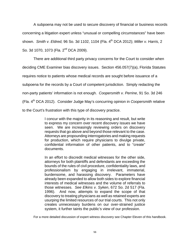A subpoena may not be used to secure discovery of financial or business records concerning a litigation expert unless "unusual or compelling circumstances" have been shown. *Smith v. Eldred,* 96 So. 3d 1102, 1104 (Fla. 4th DCA 2012); *Miller v. Harris*, 2 So. 3d 1070, 1073 (Fla. 2<sup>nd</sup> DCA 2009).

 There are additional third party privacy concerns for the Court to consider when deciding CME Examiner bias discovery issues. Section 456.057(7)(a), Florida Statutes requires notice to patients whose medical records are sought before issuance of a subpoena for the records by a Court of competent jurisdiction. Simply redacting the non-party patients' information is not enough. *Coopersmith v. Perrine*, 91 So. 3d 246 (Fla. 4th DCA 2012). Consider Judge May's concurring opinion in *Coopersmith* relative to the Court's frustration with this type of discovery practice.

> I concur with the majority in its reasoning and result, but write to express my concern over recent discovery issues we have seen. We are increasingly reviewing orders on discovery requests that go above and beyond those relevant to the case. Attorneys are propounding interrogatories and making requests for production, which require physicians to divulge private, confidential information of other patients, and to "create" documents.

> In an effort to discredit medical witnesses for the other side, attorneys for both plaintiffs and defendants are exceeding the bounds of the rules of civil procedure, confidentiality laws, and professionalism by engaging in irrelevant, immaterial, burdensome, and harassing discovery. Parameters have already been expanded to allow both sides to explore financial interests of medical witnesses and the volume of referrals to those witnesses. *See Elkins v. Syken*, 672 So. 2d 517 (Fla. 1996). And now, attempts to expand the scope of that discovery to treating physicians as well as retained experts are usurping the limited resources of our trial courts. This not only creates unnecessary burdens on our over-strained justice system, it further taints the public's view of our profession.

For a more detailed discussion of expert witness discovery see Chapter Eleven of this handbook.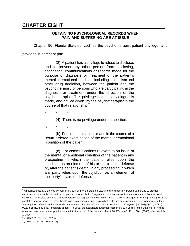# **CHAPTER EIGHT**

### **OBTAINING PSYCHOLOGICAL RECORDS WHEN PAIN AND SUFFERING ARE AT ISSUE**

Chapter 90, Florida Statutes, codifies the psychotherapist-patient privilege<sup>1</sup> and

provides in pertinent part:

(2) A patient has a privilege to refuse to disclose, and to prevent any other person from disclosing, confidential communications or records made for the purpose of diagnosis or treatment of the patient's mental or emotional condition, including alcoholism and other drug addiction, between the patient and the psychotherapist, or persons who are participating in the diagnosis or treatment under the direction of the psychotherapist. This privilege includes any diagnosis made, and advice given, by the psychotherapist in the course of that relationship.<sup>2</sup>

\* \* \*

- (4) There is no privilege under this section:
- \* \* \*

 (b) For communications made in the course of a court-ordered examination of the mental or emotional condition of the patient.

(c) For communications relevant to an issue of the mental or emotional condition of the patient in any proceeding in which the patient relies upon the condition as an element of his or her claim or defense or, after the patient's death, in any proceeding in which any party relies upon the condition as an element of the party's claim or defense. $3$ 

 $\overline{a}$ 1 A psychotherapist is defined by section 90.503(1), Florida Statutes (2015) and includes any person authorized to practice medicine or reasonably believed by the patient so to be, that is "engaged in the diagnosis or treatment of a mental or emotional condition." A medical doctor is a psychotherapist for purposes of the statute if he or she is engaged in treating or diagnosing a mental condition, however, other health care professionals, such as psychologists, are only considered psychotherapists if they are "engaged *primarily* in the diagnosis or treatment of a mental or emotional condition..." *Compare* § 90.503(1)(a)1., *with* § 90.503(1)(a)2., Fla. Stat. (emphasis added). In 2006, the Legislature amended section 90.503(1)(a), Florida Statutes, to include advanced registered nurse practitioners within the ambit of the statute. *See* § 90.503(1)(a)5., Fla. Stat.(2006) (effective July 1, 2006).

 $2$  § 90.503(2), Fla. Stat. (2015).

 $3 \text{ }$  90.503(4)(c), Fla. Stat.(2015).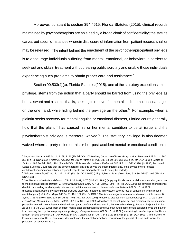carves out specific instances wherein disclosure of information from patient records shall or Moreover, pursuant to section 394.4615, Florida Statutes (2015), clinical records maintained by psychotherapists are shielded by a broad cloak of confidentiality; the statute may be released. The intent behind the enactment of the psychotherapist-patient privilege is to encourage individuals suffering from mental, emotional, or behavioral disorders to seek out and obtain treatment without fearing public scrutiny and enable those individuals experiencing such problems to obtain proper care and assistance.<sup>4</sup>

Section 90.503(4)(c), Florida Statutes (2015), one of the statutory exceptions to the both a sword and a shield, that is, seeking to recover for mental and or emotional damages plaintiff seeks recovery for mental anguish or emotional distress, Florida courts generally privilege, stems from the notion that a party should be barred from using the privilege as on the one hand, while hiding behind the privilege on the other.<sup>5</sup> For example, when a hold that the plaintiff has caused his or her mental condition to be at issue and the psychotherapist privilege is therefore, waived. $6$  The statutory privilege is also deemed waived where a party relies on his or her post-accident mental or emotional condition as

 $\overline{a}$ <sup>4</sup> *Segarra v. Segarra*, 932 So. 2d 1159, 1161 (Fla 3d DCA 2006) (citing *Cedars Healthcare Group, Ltd. v. Freeman*, 829 So. 2d 390, 391 (Fla. 3d DCA 2002)); *Attorney Ad Litem for D.K. v. Parents of D.K*., 780 So. 2d 301, 305-306 (Fla. 4th DCA 2001); *Carson v. Jackson*, 466 So. 2d 1188, 1191 (Fla. 4th DCA 1985); *see also Jaffee v. Redmond*, 518 U.S. 1, 10-12 (1996) (In 1996, the United States Supreme Court held that the psychotherapist privilege serves the public interest and, if the privilege were rejected,

confidential conversations between psychotherapists and their patients would surely be chilled.).<br><sup>5</sup> Nelson v. Womble, 657 So. 2d 1221, 1222 (Fla. 5th DCA 1995) (citing Sykes v. St. Andrews Sch., 619 So. 2d 467, 469 (Fla. DCA 1993)).

<sup>6</sup> *See Haney v. Mizell Memorial Hosp.,* 744 F.2d 1467, 1476 (11th Cir. 1984) (applying Florida law to a claim for mental anguish due to medical malpractice); *Belmont v. North Broward Hosp. Dist.,* 727 So. 2d 992, 994 (Fla. 4th DCA 1999) (no privilege after patient's death in proceeding in which party relies upon condition as element of claim or defense); *Nelson,* 657 So. 2d at 1222 (psychotherapist-patient privilege did not preclude discovery in personal injury action seeking loss of consortium and infliction of mental anguish); *Scheff v. Mayo*, 645 So. 2d 181, 182 (Fla. 3d DCA 1994) (mental anguish from rear-end motor vehicle accident); *Sykes v. St. Andrews Sch.,* 619 So. 2d 467, 468 (Fla. 4th DCA 1993) (emotional distress from sexual battery); *F.M. v. Old Cutler Presbyterian Church, Inc.,* 595 So. 2d 201, 202 (Fla. 3d DCA 1992) (allegations of sexual, physical and emotional abuse of a minor placed her mental state at issue and waived her right to confidentiality concerning her mental condition); *Arzola v. Reigosa,* 534 So. 2d 883 (Fla. 3d DCA 1988) (post-accident mental anguish damages arising out of an automobile/bicycle collision barred the plaintiff from invoking the psychotherapist-patient privilege). *Compare Nelson,* 657 So. 2d at 1222 (determining loss of enjoyment of life as a claim for loss of consortium) *with Partner-Brown v. Bornstein, D.P.M.,* 734 So. 2d 555, 556 (Fla. 5th DCA 1999) ("The allusion to loss of enjoyment of life, without more, does not place the mental or emotional condition of the plaintiff at issue so to waive the protection of section 90.503.").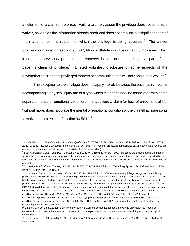an element of a claim or defense.<sup>7</sup> Failure to timely assert the privilege does not constitute waiver, so long as the information already produced does not amount to a significant part of the matter or communication for which the privilege is being asserted.<sup>8</sup> The waiver provision contained in section 90.507, Florida Statutes (2015) will apply, however, when information previously produced in discovery is considered a substantial part of the patient's claim of privilege.<sup>9</sup> Limited voluntary disclosure of some aspects of the psychotherapist-patient privileged matters or communications will not constitute a waiver.<sup>10</sup>

The exception to the privilege does not apply merely because the patient's symptoms accompanying a physical injury are of a type which might arguably be associated with some separate mental or emotional condition.<sup>11</sup> In addition, a claim for loss of enjoyment of life, "without more, does not place the mental or emotional condition of the plaintiff at issue so as to waive the protection of section 90.503."12

<sup>1</sup> <sup>7</sup> *Arzola*, 534 So. 2d 883; *Connell v. Guardianship of Connell,* 476 So. 2d 1381 (Fla. 1st DCA 1985); *Helmick v. McKinnon*, 657 So. 2d 1279, 1280 (Fla. 5th DCA 1995) (In the context of personal injury actions, pre-accident psychological and psychiatric records are relevant to determine whether the condition existed before the accident).<br><sup>8</sup> See Palm Beach County Sch. Bd. v. Morrison, 621 So. 2d 464, 469 (Fla. 4th DCA 1993) (rejecting the argument that the plaintiff

waived the psychotherapist-patient privilege because it was not timely asserted and reasoning that because it was asserted before there was an actual disclosure of the information for which the patient claimed the privilege, section 90.507, Florida Statutes was not applicable).

<sup>9</sup> *Id*.; *Garbacik v. Wal-Mart Transp., LLC,* 932 So. 2d 500, 503-504 (Fla. 5th DCA 2006) (citing *Sykes v. St. Andrews Sch*., 619 So. 2d 467, 469 (Fla. 4th DCA 1993)).

<sup>10</sup> *Commercial Carrier Corp. v. Kelley*, 903 So. 2d 240, 241 (Fla. 5th DCA 2005) (no waiver of privilege recognized, even though patient voluntarily disclosed some aspects of the privileged matters or communications during her deposition by admitting that she had been prescribed anti-depressants for her post-traumatic stress disorder following the horrific traffic crash at issue, since the plaintiff never placed her mental state a material element of any claim or defense); *Olson v. Blasco,* 676 So. 2d 481, 482 (Fla. 4th DCA 1996) (A defendant's listing of therapists' names in response to a criminal discovery request does not waive the privilege in a wrongful death action stemming from the same facts when there is no showing that there will be a defense based on a mental condition.); *see also Bandorf v. Volusia County Dept. of Corrections,* 939 So. 2d 249, 250 (Fla. 1st DCA 2006) (worker's compensation plaintiff claiming fatigue and neurological symptoms from physical injuries does not place emotional or mental condition at issue); *Segarra v. Segarra,* 932 So. 2d 1159, 1160 (Fla. 3d DCA 2006) (The psychotherapist-patient privilege is not waived in joint counseling sessions).

<sup>&</sup>lt;sup>11</sup> Bandorf, 939 So. 2d at 251 (upholding the privilege in a worker's compensation action involving an employees' repetitive exposure to mold, toxic substances and chemicals in the workplace which led the employee to suffer fatigue and neurological symptoms).

<sup>12</sup> *Byxbee v. Reyes*, 850 So. 2d 595, 596 (Fla. 4th DCA 2003) (quoting *Partner-Brown v. Bornstein*, 734 So. 2d 555, 556 (Fla. 5th DCA 1999)).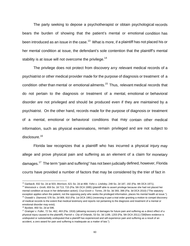The party seeking to depose a psychotherapist or obtain psychological records bears the burden of showing that the patient's mental or emotional condition has been introduced as an issue in the case.<sup>13</sup> What is more, if a plaintiff has not placed his or her mental condition at issue, the defendant's sole contention that the plaintiff's mental stability is at issue will not overcome the privilege.<sup>14</sup>

The privilege does not protect from discovery any relevant medical records of a psychiatrist or other medical provider made for the purpose of diagnosis or treatment of a condition other than mental or emotional ailments.<sup>15</sup> Thus, relevant medical records that do not pertain to the diagnosis or treatment of a mental, emotional or behavioral disorder are not privileged and should be produced even if they are maintained by a psychiatrist. On the other hand, records made for the purpose of diagnosis or treatment of a mental, emotional or behavioral conditions that may contain other medical information, such as physical examinations, remain privileged and are not subject to disclosure.<sup>16</sup>

T Florida law recognizes that a plaintiff who has incurred a physical injury may allege and prove physical pain and suffering as an element of a claim for monetary damages.17 The term "pain and suffering" has not been judicially defined, however, Florida courts have provided a number of factors that may be considered by the trier of fact in

<sup>&</sup>lt;sup>13</sup> Garbacik. 932 So. 2d at 503; Morrison, 621 So. 2d at 468; Yoho v. Lindsley, 248 So. 2d 187, 192 (Fla. 4th DCA 1971).

<sup>&</sup>lt;sup>14</sup> Weinstock v. Groth, 659 So. 2d 713, 715 (Fla. 5th DCA 1995) (plaintiff able to assert privilege because she had not placed her mental condition at issue in her defamation action); *Cruz-Govin v. Torres*, 29 So. 3d 393, 396 (Fla. 3d DCA 2010) ("The statutory exception applies when the patient, not the opposing party who seeks the privileged information, places his mental health at issue.").<br><sup>15</sup> Oswald v. Diamond, 576 So. 2d 909, 910 (Fla. 1st DCA 1991) (reversing in part a tr of medical records to the extent that medical testimony and reports not pertaining to the diagnosis and treatment of a mental or emotional disorder may exist).

<sup>&</sup>lt;sup>16</sup> Byxbee, 850 So. 2d at 596.<br><sup>17</sup> Grainger v. Fuller, 72 So. 462, 463 (Fla. 1916) (allowing recovery of damages for future pain and suffering as a direct effect of a physical injury caused to the plaintiff); *Parrish v. City of Orlando*, 53 So. 3d 1199, 1203 (Fla. 5th DCA 2011) ("[W]here evidence is undisputed or substantially undisputed that a plaintiff has experienced and will experience pain and suffering as a result of an accident, a zero award for pain and suffering is inadequate as a matter of law.").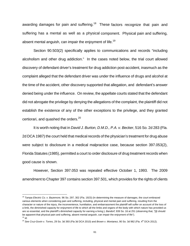awarding damages for pain and suffering.<sup>18</sup> These factors recognize that pain and suffering has a mental as well as a physical component. Physical pain and suffering, absent mental anguish, can impair the enjoyment of life.<sup>19</sup>

 Section 90.503(2) specifically applies to communications and records "including alcoholism and other drug addiction." In the cases noted below, the trial court allowed discovery of defendant driver's treatment for drug addiction post-accident, inasmuch as the complaint alleged that the defendant driver was under the influence of drugs and alcohol at the time of the accident, other discovery supported that allegation, and defendant's answer denied being under the influence. On review, the appellate courts stated that the defendant did not abrogate the privilege by denying the allegations of the complaint, the plaintiff did not establish the existence of any of the other exceptions to the privilege, and they granted certiorari, and quashed the orders.<sup>20</sup>

 It is worth noting that in *David J. Burton, D.M.D., P.A. v. Becker*, 516 So. 2d 283 (Fla. 2d DCA 1987) the court held that medical records of the physician's treatment for drug abuse were subject to disclosure in a medical malpractice case, because section 397.053(2), Florida Statutes (1985), permitted a court to order disclosure of drug treatment records when good cause is shown.

 However, Section 397.053 was repealed effective October 1, 1993. The 2009 amendment to Chapter 397 contains section 397.501, which provides for the rights of clients

1

<sup>18</sup> *Tampa Electric Co. v. Bazemore,* 96 So. 297, 302 (Fla. 1923) (In determining the measure of damages, the court embraced various elements when considering pain and suffering, including, physical and mental pain and suffering, resulting from the character or nature of the injury, the inconvenience, humiliation, and embarrassment the plaintiff will suffer on account of the loss of a limb, the diminished capacity for enjoyment of life to which all the limbs and organs of the body with which nature has provided us are so essential, and the plaintiff's diminished capacity for earning a living.); *Bandorf*, 939 So. 2d at 251 (observing that, "[i]t should be apparent that physical pain and suffering, absent mental anguish, can impair the enjoyment of life").<br><sup>19</sup> Id.<br><sup>20</sup> See Cruz-Govin v. Torres, 29 So. 3d 393 (Fla 3d DCA 2010) and Brown v. Montanez, 90 So. 3d 982 (Fla. 4<sup></sup>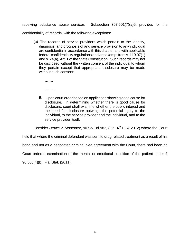receiving substance abuse services. Subsection 397.501(7)(a)5, provides for the confidentiality of records, with the following exceptions:

(a) The records of service providers which pertain to the identity, diagnosis, and prognosis of and service provision to any individual are confidential in accordance with this chapter and with applicable federal confidentiality regulations and are exempt from s. 119.07(1) and s. 24(a), Art. 1 of the State Constitution. Such records may not be disclosed without the written consent of the individual to whom they pertain except that appropriate disclosure may be made without such consent:

……

………

5. Upon court order based on application showing good cause for disclosure. In determining whether there is good cause for disclosure, court shall examine whether the public interest and the need for disclosure outweigh the potential injury to the individual, to the service provider and the individual, and to the service provider itself.

Consider *Brown v. Montanez*, 90 So. 3d 982, (Fla. 4<sup>th</sup> DCA 2012) where the Court

held that where the criminal defendant was sent to drug related treatment as a result of his

bond and not as a negotiated criminal plea agreement with the Court, there had been no

Court ordered examination of the mental or emotional condition of the patient under §

90.503(4)(b), Fla. Stat. (2011).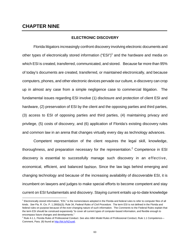# **ELECTRONIC DISCOVERY**

Florida litigators increasingly confront discovery involving electronic documents and other types of electronically stored information ("ESI")<sup>1</sup> and the hardware and media on which ESI is created, transferred, communicated, and stored. Because far more than 95% of today's documents are created, transferred, or maintained electronically, and because computers, phones, and other electronic devices pervade our culture, e-discovery can crop up in almost any case from a simple negligence case to commercial litigation. The fundamental issues regarding ESI involve (1) disclosure and protection of client ESI and hardware, (2) preservation of ESI by the client and the opposing parties and third parties, (3) access to ESI of opposing parties and third parties, (4) maintaining privacy and privilege, (5) costs of discovery, and (6) application of Florida's existing discovery rules and common law in an arena that changes virtually every day as technology advances.

Competent representation of the client requires the legal skill, knowledge, thoroughness, and preparation necessary for the representation.<sup>2</sup> Competence in ESI discovery is essential to successfully manage such discovery in an effective, economical, efficient, and balanced fashion. Since the law lags behind emerging and changing technology and because of the increasing availability of discoverable ESI, it is incumbent on lawyers and judges to make special efforts to become competent and stay current on ESI fundamentals and discovery. Staying current entails up-to-date knowledge

<sup>1</sup> <sup>1</sup> Electronically stored information, "ESI," is the nomenclature adopted in the Florida and federal rules to refer to computer files of all kinds. *See* Fla. R. Civ. P. 1.280(b)(3)*;* Rule 34, *Federal Rules of Civil Procedure*. The term ESI is not defined in the Florida and federal rules on purpose because of the ever-changing nature of such information. The *Comments* to the Federal Rules explain that the term ESI should be construed expansively "to cover all current types of computer-based information, and flexible enough to encompass future changes and developments."

<sup>&</sup>lt;sup>2</sup> Rule 4-1.1, Florida Rules of Professional Conduct. *See also* ABA Model Rules of Professional Conduct, Rule 1.1 Competence— Comment, Para. (8) found at http://bit.ly/NZsya6.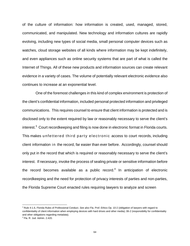of the culture of information: how information is created, used, managed, stored, communicated, and manipulated. New technology and information cultures are rapidly evolving, including new types of social media, small personal computer devices such as watches, cloud storage websites of all kinds where information may be kept indefinitely, and even appliances such as online security systems that are part of what is called the Internet of Things. All of these new products and information sources can create relevant evidence in a variety of cases. The volume of potentially relevant electronic evidence also continues to increase at an exponential level.

 One of the foremost challenges in this kind of complex environment is protection of the client's confidential information, included personal protected information and privileged communications. This requires counsel to ensure that client information is protected and is disclosed only to the extent required by law or reasonably necessary to serve the client's interest. $^3$  Court recordkeeping and filing is now done in electronic format in Florida courts. This makes unfettered third party electronic access to court records, including client information in the record, far easier than ever before. Accordingly, counsel should only put in the record that which is required or reasonably necessary to serve the client's interest. If necessary, invoke the process of sealing private or sensitive information before the record becomes available as a public record.<sup>4</sup> In anticipation of electronic recordkeeping and the need for protection of privacy interests of parties and non-parties, the Florida Supreme Court enacted rules requiring lawyers to analyze and screen

 $\overline{a}$ 

<sup>3</sup> Rule 4-1.6, Florida Rules of Professional Conduct. *See also* Fla. Prof. Ethics Op. 10-2 (obligation of lawyers with regard to confidentiality of client information when employing devices with hard drives and other media); 06-2 (responsibility for confidentiality and other obligations regarding metadata).

<sup>4</sup> Fla. R. Jud. Admin. 2.420.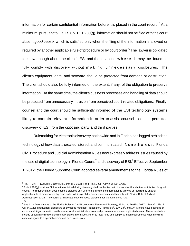information for certain confidential information before it is placed in the court record.<sup>5</sup> At a minimum, pursuant to Fla. R. Civ. P. 1.280(g), information should not be filed with the court absent *good cause*, which is satisfied only when the filing of the information is allowed or required by another applicable rule of procedure or by court order.<sup>6</sup> The lawyer is obligated to know enough about the client's ESI and the locations where it may be found to fully comply with discovery without making unnecessary disclosures. The client's equipment, data, and software should be protected from damage or destruction. The client should also be fully informed on the extent, if any, of the obligation to preserve information. At the same time, the client's business processes and handling of data should be protected from unnecessary intrusion from perceived court-related obligations. Finally, counsel and the court should be sufficiently informed of the ESI technology systems likely to contain relevant information in order to assist counsel to obtain permitted discovery of ESI from the opposing party and third parties.

Rulemaking for electronic discovery nationwide and in Florida has lagged behind the technology of how data is created, stored, and communicated. Nonetheless, Florida Civil Procedure and Judicial Administration Rules now expressly address issues caused by the use of digital technology in Florida Courts<sup>7</sup> and discovery of ESI.<sup>8</sup> Effective September 1, 2012, the Florida Supreme Court adopted several amendments to the Florida Rules of

 $\overline{a}$  $5$  Fla. R. Civ. P. 1.280(g); 1.310(f)(3); 1.340(e); 1.350(d); and Fla. R. Jud. Admin. 2.420; 2.425.

 $6$  Rule 1.280(g) provides: "Information obtained during discovery shall not be filed with the court until such time as it is filed for good cause. The requirement of good cause is satisfied only where the filing of the information is allowed or required by another applicable rule of procedure or by court order. All filings of discovery documents shall comply with Florida Rule of Judicial Administration 2.425. The court shall have authority to impose sanctions for violation of this rule."<br>
<sup>7</sup> Id.<br>
<sup>8</sup> See In re Amendments to the Florida Rules of Civil Procedure -- Electronic Discovery, 95 So. 3d 76 (Fla. 2

Civ. P. 1.285 (inadvertent disclosure of privileged material). In addition, Florida's  $9<sup>th</sup>$ , 11<sup>th</sup>, 13<sup>th</sup>, and 17<sup>th</sup> Circuits have business or commercial litigation sections with special local administrative rules and processes for more complicated cases. These local rules include special handling of electronically stored information. Refer to local rules and comply with all requirements when handling cases assigned to a special commercial or business court.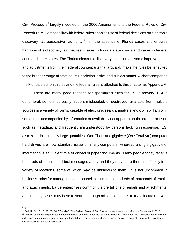Civil Procedure<sup>9</sup> largely modeled on the 2006 Amendments to the Federal Rules of Civil Procedure.<sup>10</sup> Compatibility with federal rules enables use of federal decisions on electronic discovery as persuasive authority<sup>11</sup> in the absence of Florida cases and ensures harmony of e-discovery law between cases in Florida state courts and cases in federal court and other states. The Florida electronic discovery rules contain some improvements and adjustments from their federal counterparts that arguably make the rules better suited to the broader range of state court jurisdiction in size and subject matter. A chart comparing the Florida electronic rules and the federal rules is attached to this chapter as Appendix A.

There are many good reasons for specialized rules for ESI discovery. ESI is ephemeral; sometimes easily hidden, mislabeled, or destroyed; available from multiple sources in a variety of forms; capable of electronic search, analysis and c o m p i l a t i o n; sometimes accompanied by information or availability not apparent to the creator or user, such as metadata; and frequently misunderstood by persons lacking in expertise. ESI also exists in incredibly large quantities. One Thousand gigabyte (One Terabyte) computer hard-drives are now standard issue on many computers, whereas a single gigabyte of information is equivalent to a truckload of paper documents. Many people today receive hundreds of e-mails and text messages a day and they may store them indefinitely in a variety of locations, some of which may be unknown to them. It is not uncommon in business today for management personnel to each keep hundreds of thousands of emails and attachments. Large enterprises commonly store trillions of emails and attachments, and in many cases may have to search through millions of emails to try to locate relevant

 $\overline{a}$ <sup>9</sup> *Id.*

 $10$  Fed. R. Civ. P. 16, 26, 33, 34, 37 and 45. The Federal Rules of Civil Procedure were amended, effective December 1, 2015. <sup>11</sup> Federal courts have generated copious numbers of cases under the federal e-discovery rules since 2007, because federal district judges and magistrates regularly enter published discovery opinions and orders, which creates a body of useful written law that is largely absent in Florida state court.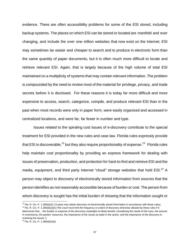evidence. There are often accessibility problems for some of the ESI stored, including backup systems. The places on which ESI can be stored or located are manifold and ever changing, and include the over one- trillion websites that now exist on the Internet. ESI may sometimes be easier and cheaper to search and to produce in electronic form than the same quantity of paper documents, but it is often much more difficult to locate and retrieve relevant ESI. Again, that is largely because of the high volume of total ESI maintained on a multiplicity of systems that may contain relevant information. The problem is compounded by the need to review most of the material for privilege, privacy, and trade secrets before it is disclosed. For these reasons it is today far more difficult and more expensive to access, search, categorize, compile, and produce relevant ESI than in the past when most records were only in paper form, were easily organized and accessed in centralized locations, and were far, far fewer in number and type.

Issues related to the spiraling cost issues of e-discovery contribute to the special treatment for ESI provided in the new rules and case law. Florida rules expressly provide that ESI is discoverable,<sup>12</sup> but they also require proportionality of expense.<sup>13</sup> Florida rules help maintain cost proportionality by providing an express framework for dealing with issues of preservation, production, and protection for hard-to-find and retrieve ESI and the media, equipment, and third party Internet "cloud" storage websites that hold ESI.<sup>14</sup> A person may object to discovery of electronically stored information from sources that the person identifies as not reasonably accessible because of burden or cost. The person from whom discovery is sought has the initial burden of showing that the information sought or

 $\overline{a}$ 

<sup>&</sup>lt;sup>12</sup> Fla. R. Civ. P. 1.280(b)(3) ("A party may obtain discovery of electronically stored information in accordance with these rules).<br><sup>13</sup> Fla. R. Civ. P. 1.280(d)(2)(ii) ("the court must limit the frequency or extent of determines that… the burden or expense of the discovery outweighs its likely benefit, considering the needs of the case, the amount in controversy, the parties' resources, the importance of the issues at stake in the action, and the importance of the discovery in resolving the issues.").

<sup>14</sup> Fla. R. Civ. P. 1.280(d)(2)(ii).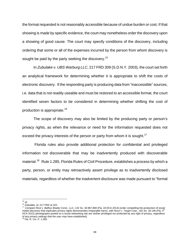the format requested is not reasonably accessible because of undue burden or cost. If that showing is made by specific evidence, the court may nonetheless order the discovery upon a showing of good cause. The court may specify conditions of the discovery, including ordering that some or all of the expenses incurred by the person from whom discovery is sought be paid by the party seeking the discovery.<sup>15</sup>

In *Zubulake v. UBS Warburg LLC*, 217 FRD 309 (S.D.N.Y. 2003), the court set forth an analytical framework for determining whether it is appropriate to shift the costs of electronic discovery. If the responding party is producing data from "inaccessible" sources, i.e. data that is not readily useable and must be restored to an accessible format, the court identified seven factors to be considered in determining whether shifting the cost of production is appropriate.<sup>16</sup>

The scope of discovery may also be limited by the producing party or person's privacy rights, as when the relevance or need for the information requested does not exceed the privacy interests of the person or party from whom it is sought.<sup>17</sup>

 Florida rules also provide additional protection for confidential and privileged information not discoverable that may be inadvertently produced with discoverable material.<sup>18</sup> Rule 1.285, Florida Rules of Civil Procedure, establishes a process by which a party, person, or entity may retroactively assert privilege as to inadvertently disclosed materials, regardless of whether the inadvertent disclosure was made pursuant to "formal

 $15$  *Id.* 

<sup>&</sup>lt;sup>16</sup> Zubulake, id, 217 FRD at 322.<br><sup>17</sup> Compare Root v. Balfour Beatty Const., LLC, 132 So. 3d 867,869 (Fla. 2d DCA 2014) (order compelling the production of social media discovery that implicates privacy rights demonstrates irreparable harm), *with Nucci v. Target Corp.*, 162 So. 3d 146 (Fla. 4<sup>th</sup>) DCA 2015) (photographs posted on a social networking site are neither privileged nor protected by any right of privacy, regardless of any privacy settings that the user may have established). 18 Fla. R. Civ. P. 1.285.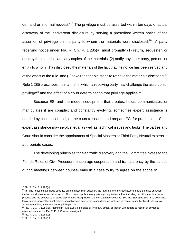demand or informal request."<sup>19</sup> The privilege must be asserted within ten days of actual discovery of the inadvertent disclosure by serving a prescribed written notice of the assertion of privilege on the party to whom the materials were disclosed.<sup>20</sup> A party receiving notice under Fla. R. Civ. P. 1.285(a) must promptly (1) return, sequester, or destroy the materials and any copies of the materials, (2) notify any other party, person, or entity to whom it has disclosed the materials of the fact that the notice has been served and of the effect of the rule, and (3) take reasonable steps to retrieve the materials disclosed. $^{21}$ Rule 1.285 prescribes the manner in which a receiving party may challenge the assertion of privilege<sup>22</sup> and the effect of a court determination that privilege applies.<sup>23</sup>

Because ESI and the modern equipment that creates, holds, communicates, or manipulates it are complex and constantly evolving, sometimes expert assistance is needed by clients, counsel, or the court to search and prepare ESI for production. Such expert assistance may involve legal as well as technical issues and tasks. The parties and Court should consider the appointment of Special Masters or Third Party Neutral experts in appropriate cases.

The developing principles for electronic discovery and the Committee Notes to the Florida Rules of Civil Procedure encourage cooperation and transparency by the parties during meetings between counsel early in a case to try to agree on the scope of

<sup>&</sup>lt;sup>19</sup> Fla. R. Civ. P. 1.285(a).

<sup>&</sup>lt;sup>20</sup> *Id.* The notice must include specifics on the materials in question, the nature of the privilege asserted, and the date on which inadvertent disclosure was discovered. The process applies to any privilege cognizable at law, including the attorney-client, work product, and the several other types of privileges recognized in the Florida Evidence Code. *See* Fla. Stat. § 90.501–.510 (journalist, lawyer-client, psychotherapist-patient, sexual assault counselor-victim, domestic violence advocate-victim, husband-wife, clergy, accountant-client, and trade secret privileges). *Id.*

 $21$  Fla. R. Civ. P. 1.285(b). Nothing in Rule 1.285 diminishes or limits any ethical obligation with regard to receipt of privileged materials pursuant to Fla. R. Prof. Conduct 4-4.4(b). *Id.*

<sup>22</sup> Fla. R. Civ. P. 1.285(c).

<sup>23</sup> Fla. R. Civ. P. 1.285(d).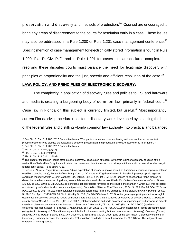preservation and discovery and methods of production.24 Counsel are encouraged to bring any areas of disagreement to the courts for resolution early in a case. These issues may also be addressed in a Rule 1.200 or Rule 1.201 case management conference.<sup>25</sup> Specific mention of case management for electronically stored information is found in Rule 1.200, Fla. R. Civ.  $P^{26}$  and in Rule 1.201 for cases that are declared complex.<sup>27</sup> In resolving these disputes courts must balance the need for legitimate discovery with principles of proportionality and the just, speedy and efficient resolution of the case.  $28$ 

# **LAW, POLICY, AND PRINCIPLES OF ELECTRONIC DISCOVERY:**

The complexity in application of discovery rules and policies to ESI and hardware and media is creating a burgeoning body of common law, primarily in federal court.<sup>29</sup> Case law in Florida on this subject is currently limited, but useful.<sup>30</sup> Most importantly, current Florida civil procedure rules for e-discovery were developed by selecting the best of the federal rules and distilling Florida common law authority into practical and balanced

 $\overline{a}$ <sup>24</sup> See Fla. R. Civ. P. 1.280, 2012 Committee Notes ("The parties should consider conferring with one another at the earliest practical opportunity to discuss the reasonable scope of preservation and production of electronically stored information."). <sup>25</sup> *See* Fla. R. Civ. P. 1.280, 2012 Committee Notes. <sup>26</sup> Fla. R. Civ. P. 1.200(a)(5)-(7).

 $27$  Fla. R. Civ. P. 1.201(b)(1)(J).

<sup>28</sup> Fla. R. Civ. P. 1.010; 1.280(d).

<sup>&</sup>lt;sup>29</sup> This chapter focuses on Florida state court e-discovery. Discussion of federal law herein is undertaken only because of the availability of federal law for guidance in state court cases and is not intended to provide practitioners with a manual for discovery in federal court cases. *See supra* n. 11.<br><sup>30</sup> See, e.g., Nucci v. Target Corp., supra n. 16 (no expectation of privacy in photos posted on Facebook regardless of privacy settings

used by producing party); *Root v. Balfour Beatty Const., LLC, supra* n. 17 (privacy interest in Facebook postings upheld against overbroad request); *Antico v. Sindt Trucking, Inc.,*148 So. 3d 163 (Fla. 1st DCA 2014) (access to decedent's iPhone granted to determine whether she was texting during automobile accident in which she was killed); *E.I. DuPont De Nemours & Co. v. Sidran*, 140 So. 3d 620, 650 (Fla. 3d DCA 2014) (sanctions not appropriate for fraud on the court in the manner in which ESI was collected and stored by defendant for discovery in multiple suits); *Osmulski v. Oldsmar Fine Wine, Inc.,* 93 So. 3d 389 (Fla. 2d DCA 2012), *rev. den.*, 109 So. 3d 781 (Fla. 2013) (preservation obligations before case is filed are explained in this case)*; Holland v. Barfield,* 35 So. 3d 2010 Fla. App. LEXIS 6293; 35 Fla. L. Weekly D 1018 (Fla. 5th DCA May 7, 2010) (order granting opposing expert in wrongful death case unrestricted access to review petitioner's hard drive and SIM card quashed as violative of privacy); *Menke v. Broward County School Board,* 916 So. 2d 8 (4th DCA 2005) (establishing basis and limits on access to opposing party's hardware in order to search for discoverable information); Strasser II: *Strasser v. Yalamanchi*, 783 So. 2d 1087 (Fla. 4th DCA 2001) (spoliation of electronic records); Strasser I: Strasser v. Yalamanchi, 669 So. 2d 1142 (Fla. 4th DCA 1996) (designating Florida procedural rules giving rise to discovery of ESI and the equipment that holds them and setting limits on scope of such discovery); *Coleman (Parent) Holdings, Inc. v. Morgan Stanley & Co., Inc.* 2005 WL 674885, (Fla. Cir. Ct., 2005) (one of the best known e-discovery opinions in the country, primarily because the sanctions for ESI spoliation resulted in a default judgment for \$1.5 Billion. The judgment was reversed on other grounds).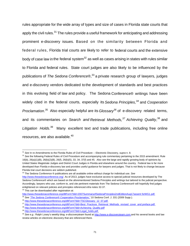T T TT rules appropriate for the wide array of types and size of cases in Florida state courts that apply the civil rules.<sup>31</sup> The rules provide a useful framework for anticipating and addressing prominent e-discovery issues. Based on the similarity between Florida and federal rules, Florida trial courts are likely to refer to federal courts and the extensive body of case law in the federal system<sup>32</sup> as well as cases arising in states with rules similar to Florida and federal rules. State court judges are also likely to be influenced by the publications of *The Sedona Conference®*, 33 a private research group of lawyers, judges and e-discovery vendors dedicated to the development of standards and best practices in this evolving field of law and policy. The Sedona Conference® writings have been widely cited in the federal courts, especially its *Sedona Principles,<sup>34</sup>* and *Cooperation Proclamation*.<sup>35</sup> Also especially helpful are its *Glossary*<sup>36</sup> of e-discovery related terms, and its commentaries on *Search and Retrieval Methods,<sup>37</sup> Achieving Quality*, 38 and *Litigation Holds*. 39 Many excellent text and trade publications, including free online resources, are also available.<sup>40</sup>

<sup>&</sup>lt;sup>31</sup> See In re Amendments to the Florida Rules of Civil Procedure -- Electronic Discovery, *supra* n. 8.

<sup>32</sup> See the following Federal Rules of Civil Procedure and accompanying rule commentary pertaining to the 2015 amendment: Rule 16(b), 26(a)(1)(B), 26(b)(2)(B), 26(f), 26(b)(5), 33, 34, 37(f) and 45. *Also see* the large and rapidly growing body of opinions by United States Magistrate Judges and District Court Judges in Florida and elsewhere around the country. Federal law is far more developed than Florida e-discovery law and provides useful guidance for lawyers and judges. That is not likely to change because Florida trial court decisions are seldom published.<br><sup>33</sup> The Sedona Conference ® publications are all available online without charge for individual use. *See* 

http://www.thesedonaconference.org/. As of 2013, judges have exclusive access to special judicial resources developed by The Sedona Conference® which are based on the aforementioned Sedona Principles and writings but tailored to the judicial perspective. Accordingly, lawyers who use, conform to, and cite pertinent materials from The Sedona Conference® will hopefully find judges enlightened on relevant policies and principles referenced *infra* notes 32-37.<br><sup>34</sup> This can be downloaded after registration at:

http://www.thesedonaconference.org/dltForm?did=2007SummaryofSedonaPrinciples2ndEditionAug17assent forWG1.pdf. <sup>35</sup> See <u>"The Sedona Conference® Cooperation Proclamation,"</u> 10 Sedona Conf. J. 331 (2009 Supp.).<br><sup>36</sup> http://www.thesedonaconference.org/dltForm?did=TSCGlossary\_12\_07.pdf.

<sup>&</sup>lt;sup>37</sup> http://www.thesedonaconference.org/dltForm?did=Best\_Practices\_Retrieval\_Methods\_revised\_cover\_and preface.pdf.

<sup>38</sup> http://www.thesedonaconference.org/dltForm?did=Achieving\_Quality.pdf

<sup>39</sup> http://www.thesedonaconference.org/dltForm?did=Legal\_holds.pdf.

<sup>40</sup> *See e.g.:* Ralph Losey's weekly blog: *e-discoveryteam* found at http://www.e-discoveryteam.com and his several books and law review articles on electronic discovery that are referenced there.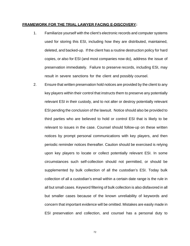#### **FRAMEWORK FOR THE TRIAL LAWYER FACING E-DISCOVERY:**

- 1. Familiarize yourself with the client's electronic records and computer systems used for storing this ESI, including how they are distributed, maintained, deleted, and backed-up. If the client has a routine destruction policy for hard copies, or also for ESI (and most companies now do), address the issue of preservation immediately. Failure to preserve records, including ESI, may result in severe sanctions for the client and possibly counsel.
- 2. Ensure that written preservation hold notices are provided by the client to any key players within their control that instructs them to preserve any potentially relevant ESI in their custody, and to not alter or destroy potentially relevant ESI pending the conclusion of the lawsuit. Notice should also be provided to third parties who are believed to hold or control ESI that is likely to be relevant to issues in the case. Counsel should follow-up on these written notices by prompt personal communications with key players, and then periodic reminder notices thereafter. Caution should be exercised is relying upon key players to locate or collect potentially relevant ESI. In some circumstances such self-collection should not permitted, or should be supplemented by bulk collection of all the custodian's ESI. Today bulk collection of all a custodian's email within a certain date range is the rule in all but small cases. Keyword filtering of bulk collection is also disfavored in all but smaller cases because of the known unreliability of keywords and concern that important evidence will be omitted. Mistakes are easily made in ESI preservation and collection, and counsel has a personal duty to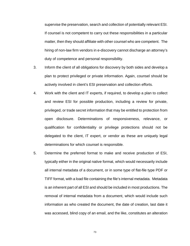supervise the preservation, search and collection of potentially relevant ESI. If counsel is not competent to carry out these responsibilities in a particular matter, then they should affiliate with other counsel who are competent. The hiring of non-law firm vendors in e-discovery cannot discharge an attorney's duty of competence and personal responsibility.

- 3. Inform the client of all obligations for discovery by both sides and develop a plan to protect privileged or private information. Again, counsel should be actively involved in client's ESI preservation and collection efforts.
- 4. Work with the client and IT experts, if required, to develop a plan to collect and review ESI for possible production, including a review for private, privileged, or trade secret information that may be entitled to protection from open disclosure. Determinations of responsiveness, relevance, or qualification for confidentiality or privilege protections should not be delegated to the client, IT expert, or vendor as these are uniquely legal determinations for which counsel is responsible.
- 5. Determine the preferred format to make and receive production of ESI, typically either in the original native format, which would necessarily include all internal metadata of a document, or in some type of flat-file type PDF or TIFF format, with a load file containing the file's internal metadata. Metadata is an inherent part of all ESI and should be included in most productions. The removal of internal metadata from a document, which would include such information as who created the document, the date of creation, last date it was accessed, blind copy of an email, and the like, constitutes an alteration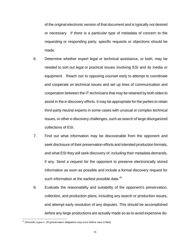of the original electronic version of that document and is typically not desired or necessary. If there is a particular type of metadata of concern to the requesting or responding party, specific requests or objections should be made.

- 6. Determine whether expert legal or technical assistance, or both, may be needed to sort out legal or practical issues involving ESI and its media or equipment. Reach out to opposing counsel early to attempt to coordinate and cooperate on technical issues and set up lines of communication and cooperation between the IT technicians that may be retained by both sides to assist in the e-discovery efforts. It may be appropriate for the parties to retain third-party neutral experts in some cases with unusual or complex technical issues, or other e-discovery challenges, such as search of large disorganized collections of ESI.
- 7. Find out what information may be discoverable from the opponent and seek disclosure of their preservation efforts and intended production formats, and what ESI they will seek discovery of, including their metadata demands, if any. Send a request for the opponent to preserve electronically stored information as soon as possible and include a formal discovery request for such information at the earliest possible date.<sup>41</sup>
- 8. Evaluate the reasonability and suitability of the opponent's preservation, collection, and production plans, including any search or production issues, and attempt early resolution of any disputes. This should be accomplished *before* any large productions are actually made so as to avoid expensive do-

<sup>41</sup> *Osmulski*, *supra* n. 29 (preservation obligations may occur before case is filed).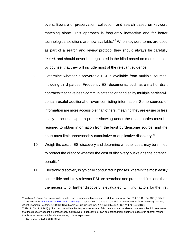overs. Beware of preservation, collection, and search based on keyword matching alone. This approach is frequently ineffective and far better technological solutions are now available. $42$  When keyword terms are used as part of a search and review protocol they should always be carefully *tested*, and should never be negotiated in the blind based on mere intuition by counsel that they will include most of the relevant evidence.

- 9. Determine whether discoverable ESI is available from multiple sources, including third parties. Frequently ESI documents, such as e-mail or draft contracts that have been communicated to or handled by multiple parties will contain useful additional or even conflicting information. Some sources of information are more accessible than others, meaning they are easier or less costly to access. Upon a proper showing under the rules, parties must be required to obtain information from the least burdensome source, and the court must limit unreasonably cumulative or duplicative discovery.<sup>43</sup>
- 10. Weigh the cost of ESI discovery and determine whether costs may be shifted to protect the client or whether the cost of discovery outweighs the potential benefit.<sup>44</sup>
- 11. Electronic discovery is typically conducted in phases wherein the most easily accessible and likely relevant ESI are searched and produced first, and then the necessity for further discovery is evaluated. Limiting factors for the first

<sup>&</sup>lt;sup>42</sup> William A. Gross Construction Associates, Inc. v. American Manufacturers Mutual Insurance Co., 256 F.R.D. 134, 136 (S.D.N.Y. 2009); Losey, R. *Adventures in Electronic Discovery***,** Chapter *Child's Game of "Go Fish" is a Poor Model for e-Discovery Search*, (West Thomson Reuters, 2011); Da Silva Moore v. Publicis Groupe, 2012 WL 607412 (S.D.N.Y. Feb. 24, 2012).<br><sup>43</sup> Fla. R. Civ. P. 1.280(d) (the court **must** limit the frequency or extent of discovery otherwise allowed by thes

that the discovery sought is unreasonably cumulative or duplicative, or can be obtained from another source or in another manner that is more convenient, less burdensome, or less expensive).<br><sup>44</sup> Fla. R. Civ. P. 1.280(d)(1); (d)(2).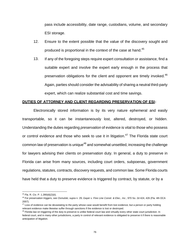pass include accessibility, date range, custodians, volume, and secondary ESI storage.

- 12. Ensure to the extent possible that the value of the discovery sought and produced is proportional in the context of the case at hand.<sup>45</sup>
- 13. If any of the foregoing steps require expert consultation or assistance, find a suitable expert and involve the expert early enough in the process that preservation obligations for the client and opponent are timely invoked.<sup>46</sup> Again, parties should consider the advisability of sharing a neutral third-party expert, which can realize substantial cost and time savings.

#### **DUTIES OF ATTORNEY AND CLIENT REGARDING PRESERVATION OF ESI:**

Electronically stored information is by its very nature ephemeral and easily transportable, so it can be instantaneously lost, altered, destroyed, or hidden. Understanding the duties regarding *preservation* of evidence is vital to those who possess or control evidence and those who seek to use it in litigation.<sup>47</sup> The Florida state court common law of preservation is unique<sup>48</sup> and somewhat unsettled, increasing the challenge for lawyers advising their clients on preservation duty. In general, a duty to preserve in Florida can arise from many sources, including court orders, subpoenas, government regulations, statutes, contracts, discovery requests, and common law. Some Florida courts have held that a duty to preserve evidence is triggered by contract, by statute, or by a

<sup>45</sup> Fla. R. Civ. P. 1.280(d)(2)(ii).

<sup>46</sup> For preservation triggers, *see Osmulski, supra* n. 29; *Gayer v. Fine Line Constr. & Elec., Inc*., 970 So. 2d 424, 426 (Fla. 4th DCA 2007).

<sup>&</sup>lt;sup>47</sup> Loss of evidence can be devastating to the party whose case would benefit from lost evidence; but a person or party holding relevant evidence make likewise suffer through sanctions if the evidence is lost or destroyed.<br><sup>48</sup> Florida law on triggering of the duty to preserve is unlike federal court law and virtually every other state court jurisd

federal court, and in many other jurisdictions, a party in control of relevant evidence is obligated to preserve it if there is reasonable anticipation of litigation.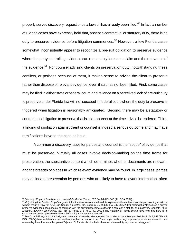properly served discovery request once a lawsuit has already been filed.<sup>49</sup> In fact, a number of Florida cases have expressly held that, absent a contractual or statutory duty, there is no duty to preserve evidence before litigation commences.<sup>50</sup> However, a few Florida cases somewhat inconsistently appear to recognize a pre-suit obligation to preserve evidence where the party controlling evidence can reasonably foresee a claim and the relevance of the evidence. $51$  For counsel advising clients on preservation duty, notwithstanding these conflicts, or perhaps because of them, it makes sense to advise the client to preserve rather than dispose of relevant evidence, even if suit has not been filed. First, some cases may be filed in either state or federal court, and reliance on a perceived lack of pre-suit duty to preserve under Florida law will not succeed in federal court where the duty to preserve is triggered when litigation is reasonably anticipated. Second, there may be a statutory or contractual obligation to preserve that is not apparent at the time advice is rendered. Third, a finding of spoliation against client or counsel is indeed a serious outcome and may have ramifications beyond the case at issue.

A common e-discovery issue for parties and counsel is the "scope" of evidence that must be preserved. Virtually all cases involve decision-making on the time frame for preservation, the substantive content which determines whether documents are relevant, and the breadth of places in which relevant evidence may be found. In large cases, parties may delineate preservation by persons who are likely to have relevant information, often

<sup>&</sup>lt;sup>49</sup> See, e.g., Royal & Sunalliance v. Lauderdale Marine Center, 877 So. 2d 843, 845 (4th DCA 2004).

<sup>&</sup>lt;sup>50</sup> Id. (holding that "we find Royal's argument that there was a common law duty to preserve the evidence in anticipation of litigation to be without merit"); *Gayer v. Fine Line Constr. & Electric, Inc.,* supra n. 45 at 426 (Fla. 4th DCA 2007)(holding that "[b]ecause a duty to preserve evidence does not exist at common law, the duty must originate either in a contract, a statute, or a discovery request"); *In re: Electric Machinery Enterprises, Inc.*, 416 B.R. 801, 873 (M.D. Fla. 2009)("The majority of Florida courts have held that there is no common law duty to preserve evidence *before* litigation has commenced").<br><sup>51</sup> See Osmulski, supra n. 29 at 393, citing American Hospitality Management Co. of Minnesota v. Hettiger, 904 So. 2d 547, 549 (Fla. 4th

DCA 2005)(where a defendant has evidence within its control, it can "be charged with a duty to preserve evidence where it could reasonably have foreseen the [plaintiff's] claim."). This is also the federal rule on when a duty to preserve is triggered.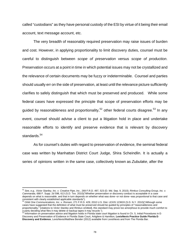called "custodians" as they have personal custody of the ESI by virtue of it being their email account, text message account, etc.

The very breadth of reasonably required preservation may raise issues of burden and cost. However, in applying proportionality to limit discovery duties, counsel must be careful to distinguish between *scope of preservation* versus *scope of production*. Preservation occurs at a point in time in which potential issues may not be crystallized and the relevance of certain documents may be fuzzy or indeterminable. Counsel and parties should usually err on the side of preservation, at least until the relevance picture sufficiently clarifies to safely distinguish that which must be preserved and produced. While some federal cases have expressed the principle that scope of preservation efforts may be quided by reasonableness and proportionality,  $52$  other federal courts disagree.<sup>53</sup> In any event, counsel should advise a client to put a litigation hold in place and undertake reasonable efforts to identify and preserve evidence that is relevant by discovery standards.<sup>54</sup>

As for counsel's duties with regard to preservation of evidence, the seminal federal case was written by Manhattan District Court Judge, Shira Scheindlin. It is actually a series of opinions written in the same case, collectively known as *Zubulake*, after the

<sup>52</sup> *See, e.g., Victor Stanley, Inc. v. Creative Pipe, Inc*., 269 F.R.D. 497, 523 (D. Md. Sep. 9, 2010); *Rimkus Consulting Group, Inc. v. Cammarata*, 688 F. Supp. 2d 598, 613 (S.D. Tex. 2010)("Whether preservation or discovery conduct is acceptable in a case depends on what is *reasonable*, and that in turn depends on whether what was done--or not done--was *proportional* to that case and consistent with clearly established applicable standards").

Orbit One Communications, Inc. v. Ronsen, 271 F.R.D. 429; 2010 U.S. Dist. LEXIS 123633 (S.D. N.Y. 2010)("Although some cases have suggested that the definition of what must be preserved should be guided by principles of "reasonableness and proportionality," [citations to *Victor Stanley* and *Rimkus* omitted], this standard may prove too amorphous to provide much comfort to a party deciding what files it may delete or backup tapes it may recycle.").

Information on preservation advice and litigation holds in Florida state court litigation is found in Ch. 5, Initial Procedures in E-Discovery and Preservation of Evidence in Florida State Court, Artigliere & Hamilton, **LexisNexis Practice Guide Florida E-Discovery and Evidence**, LexisNexis/Matthew Bender (2012) available from LexisNexis and from The Florida Bar.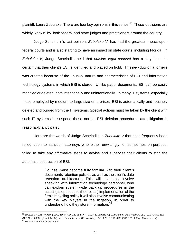plaintiff, Laura Zubulake. There are four key opinions in this series.<sup>55</sup> These decisions are widely known by both federal and state judges and practitioners around the country.

 Judge Scheindlin's last opinion, *Zubulake V*, has had the greatest impact upon federal courts and is also starting to have an impact on state courts, including Florida. In *Zubulake V*, Judge Scheindlin held that *outside legal counsel* has a duty to make certain that their client's ESI is identified and placed on hold. This new duty on attorneys was created because of the unusual nature and characteristics of ESI and information technology systems in which ESI is stored. Unlike paper documents, ESI can be easily modified or deleted, both intentionally and unintentionally. In many IT systems, especially those employed by medium to large size enterprises, ESI is automatically and routinely deleted and purged from the IT systems. Special actions must be taken by the client with such IT systems to suspend these normal ESI deletion procedures after litigation is reasonably anticipated.

Here are the words of Judge Scheindlin in *Zubulake V* that have frequently been relied upon to sanction attorneys who either unwittingly, or sometimes on purpose, failed to take any affirmative steps to advise and supervise their clients to stop the automatic destruction of ESI:

> Counsel must become fully familiar with their client's documents retention policies as well as the client's data retention architecture. This will invariably involve speaking with information technology personnel, who can explain system wide back up procedures in the actual (as opposed to theoretical) implementation of the firm's recycling policy it will also involve communicating with the key players in the litigation, in order to understand how they store information.<sup>56</sup>

<sup>55</sup> *Zubulake v UBS Warburg LLC*, 216 F.R.D. 280 (S.D.N.Y. 2003) (*Zubulake III*); *Zubulake v. UBS Warburg LLC*, 220 F.R.D. 212 (S.D.N.Y. 2003) (*Zubulake IV*); and *Zubulake v. UBS Warburg LLC*, 229 F.R.D. 422 (S.D.N.Y. 2004) (*Zubulake V*). 56 *Zubulake V, supra* n. 54 at 432.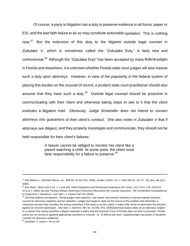Of course, a party to litigation has a duty to preserve evidence in all forms, paper or ESI, and the bad faith failure to do so may constitute actionable spoliation. This is nothing new.57 But the extension of this duty to the litigants' outside legal counsel in *Zubulake V*, which is sometimes called the "*Zubulake* Duty," is fairly new and controversial.58 Although the "Zubulake Duty" has been accepted by many federal judges in Florida and elsewhere, it is unknown whether Florida state court judges will also impose such a duty upon attorneys. However, in view of the popularity in the federal system of placing this burden on the counsel of record, a prudent state court practitioner should also assume that they have such a duty. $59$  Outside legal counsel should be proactive in communicating with their client and otherwise taking steps to see to it that the client institutes a litigation hold. Obviously, Judge Scheindlin does not intend to convert attorneys into guarantors of their client's conduct. She also notes in *Zubulake V* that if attorneys are diligent, and they properly investigate and communicate, they should not be held responsible for their client's failures:

> A lawyer cannot be obliged to monitor her client like a parent watching a child. At some point, the client must bear responsibility for a failure to preserve. $60$

<sup>57</sup> *See Martino v. Wal-Mart Stores, Inc.,* 908 So. 2d 342 (Fla. 2005); *Golden Yachts, Inc. v. Hall*, 920 So. 2d 777, 781 (Fla. 4th DCA 2006).

<sup>58</sup> See *Metro. Opera Ass'n Inc. v. Local 100, Hotel Employees and Restaurant Employees Int'l Union*, 212 F.R.D. 178, 218-219 (S.D.N.Y. 2003); *but see* Thomas Allman, *Deterring E-Discovery Misconduct By Counsel Sanctions: The Unintended Consequences*  of Qualcomm v. Broadcom, 118 Yale L.J. Pocket Part 161 (2009).<br><sup>59</sup> Like their federal counterparts, Florida judges have statutory, rule-based, and inherent authority to sanction parties and their

counsel for discovery violations and for spoliation. Judges are taught to seek out the source of the problem and administer a measured sanction that remedies the wrong committed. If the party is not the culprit, it makes little sense to administer the sanction against an innocent participant. *See Ham v. Dunmire,* 891 So. 2d 492, (Fla. 2004)(dismissal based solely on an attorney's neglect in a manner that unduly punishes a litigant espouses a policy that the Supreme Court of Florida does not wish to promote). Florida courts are not averse to applying appropriate sanctions to counsel. *Id.* at 498 (a trial court "unquestionably has power to discipline counsel" for discovery violations).

<sup>60</sup> *Zubulake V, supra* n. 54 at 433.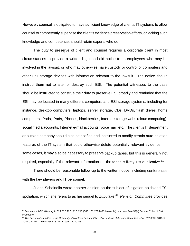However, counsel is obligated to have sufficient knowledge of client's IT systems to allow counsel to competently supervise the client's evidence preservation efforts, or lacking such knowledge and competence, should retain experts who do.

The duty to preserve of client and counsel requires a corporate client in most circumstances to provide a written litigation hold notice to its employees who may be involved in the lawsuit, or who may otherwise have custody or control of computers and other ESI storage devices with information relevant to the lawsuit. The notice should instruct them not to alter or destroy such ESI. The potential witnesses to the case should be instructed to construe their duty to preserve ESI broadly and reminded that the ESI may be located in many different computers and ESI storage systems, including for instance, desktop computers, laptops, server storage, CDs, DVDs, flash drives, home computers, iPods, iPads, iPhones, blackberries, Internet storage webs (cloud computing), social media accounts, Internet e-mail accounts, voice mail, etc. The client's IT department or outside company should also be notified and instructed to modify certain auto-deletion features of the IT system that could otherwise delete potentially relevant evidence. In some cases, it may also be necessary to preserve backup tapes, but this is generally not required, especially if the relevant information on the tapes is likely just duplicative.  $61$ 

There should be reasonable follow-up to the written notice, including conferences with the key players and IT personnel.

Judge Scheindlin wrote another opinion on the subject of litigation holds and ESI spoliation, which she refers to as her sequel to *Zubulake*. 62 *Pension Committee* provides

<sup>61</sup> *Zubulake v. UBS Warburg LLC*, 220 F.R.D. 212, 218 (S.D.N.Y. 2003) (Zubulake IV); also see Rule 37(e) Federal Rules of Civil Procedure.

<sup>62</sup> *The Pension Committee of the University of Montreal Pension Plan, et al. v. Banc of America Securities, et al*., 2010 WL 184312, 2010 U.S. Dist. LEXIS 4546 (S.D.N.Y. Jan. 15, 2010).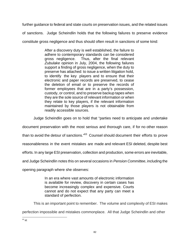further guidance to federal and state courts on preservation issues, and the related issues

of sanctions. Judge Scheindlin holds that the following failures to preserve evidence

constitute gross negligence and thus should often result in sanctions of some kind:

After a discovery duty is well established, the failure to adhere to contemporary standards can be considered gross negligence. Thus, after the final relevant *Zubulake* opinion in July, 2004, the following failures support a finding of gross negligence, when the duty to preserve has attached: to issue a written litigation hold, to identify the key players and to ensure that their electronic and paper records are preserved, to cease the deletion of email or to preserve the records of former employees that are in a party's possession, custody, or control, and to preserve backup tapes when they are the sole source of relevant information or when they relate to key players, if the relevant information maintained by those players is not obtainable from readily accessible sources.

Judge Scheindlin goes on to hold that "parties need to anticipate and undertake

document preservation with the most serious and thorough care, if for no other reason

than to avoid the detour of sanctions."<sup>63</sup> Counsel should document their efforts to prove

reasonableness in the event mistakes are made and relevant ESI deleted, despite best

efforts. In any large ESI preservation, collection and production, some errors are inevitable,

and Judge Scheindlin notes this on several occasions in *Pension Committee*, including the

opening paragraph where she observes:

In an era where vast amounts of electronic information is available for review, discovery in certain cases has become increasingly complex and expensive. Courts cannot and do not expect that any party can meet a standard of perfection.

This is an important point to remember. The volume and complexity of ESI makes

perfection impossible and mistakes commonplace. All that Judge Scheindlin and other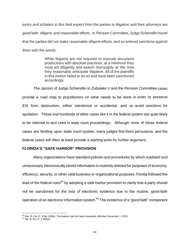jurors and scholars in this field expect from the parties to litigation and their attorneys are good faith, diligent, and reasonable efforts. In *Pension Committee*, Judge Scheindlin found that the parties did not make reasonable diligent efforts, and so entered sanctions against them with the words:

> While litigants are not required to execute document productions with absolute precision, at a minimum they must act diligently and search thoroughly at the time they reasonably anticipate litigation. All of the plaintiffs in this motion failed to do so and have been sanctioned accordingly.

The opinion of Judge Scheindlin in *Zubulake V* and the *Pension Committee* cases provide a road map to practitioners on what needs to be done in order to preserve ESI from destruction, either intentional or accidental, and so avoid sanctions for spoliation. These and hundreds of other cases like it in the federal system are quite likely to be referred to and cited in state court proceedings. Although none of these federal cases are binding upon state court system, many judges find them persuasive, and the federal cases will often at least provide a starting point for further argument.

## **FLORIDA'S "SAFE HARBOR" PROVISION**

Many organizations have standard policies and procedures by which outdated and unnecessary electronically stored information is routinely deleted for purposes of economy, efficiency, security, or other valid business or organizational purposes. Florida followed the lead of the federal rules<sup>64</sup> by adopting a safe harbor provision to clarify that a party should not be sanctioned for the loss of electronic evidence due to the routine, good-faith operation of an electronic information system.65 The existence of a "good faith" component

 $\overline{a}$ <sup>64</sup> Fed. R. Civ. P. 37(e) (2006). The federal rule has been amended, effective December 1, 2015.<br><sup>65</sup> Fla. R. Civ. P. 1.380(e).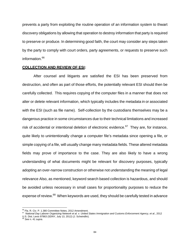prevents a party from exploiting the routine operation of an information system to thwart discovery obligations by allowing that operation to destroy information that party is required to preserve or produce. In determining good faith, the court may consider any steps taken by the party to comply with court orders, party agreements, or requests to preserve such information.<sup>66</sup>

## **COLLECTION AND REVIEW OF ESI:**

After counsel and litigants are satisfied the ESI has been preserved from destruction, and often as part of those efforts, the potentially relevant ESI should then be carefully collected. This requires copying of the computer files in a manner that does not alter or delete relevant information, which typically includes the metadata in or associated with the ESI (such as file name). Self-collection by the custodians themselves may be a dangerous practice in some circumstances due to their technical limitations and increased risk of accidental or intentional deletion of electronic evidence.<sup>67</sup> They are, for instance, quite likely to unintentionally change a computer file's metadata since opening a file, or simple copying of a file, will usually change many metadata fields. These altered metadata fields may prove of importance to the case. They are also likely to have a wrong understanding of what documents might be relevant for discovery purposes, typically adopting an over-narrow construction or otherwise not understanding the meaning of legal relevance Also, as mentioned, keyword search based collection is hazardous, and should be avoided unless necessary in small cases for proportionality purposes to reduce the expense of review.<sup>68</sup> When keywords are used, they should be carefully tested in advance

<sup>&</sup>lt;sup>66</sup> Fla. R. Civ. P. 1.380 Committee Notes, 2012 Amendment.<br><sup>67</sup> National Day Laborer Organizing Network et al. v. United States Immigration and Customs Enforcement Agency, et al., 2012 U.S. Dist. Lexis 97863 (SDNY, July 13, 2012) (J. Scheindlin). <sup>68</sup> *See* n. 41 *supra*.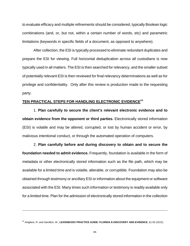to evaluate efficacy and multiple refinements should be considered, typically Boolean logic combinations (and, or, but not, within a certain number of words, etc) and parametric limitations (keywords in specific fields of a document, as opposed to anywhere).

After collection, the ESI is typically processed to eliminate redundant duplicates and prepare the ESI for viewing. Full horizontal deduplication across all custodians is now typically used in all matters. The ESI is then searched for relevancy, and the smaller subset of potentially relevant ESI is then reviewed for final relevancy determinations as well as for privilege and confidentiality. Only after this review is production made to the requesting party.

# **TEN PRACTICAL STEPS FOR HANDLING ELECTRONIC EVIDENCE**<sup>69</sup>

1. **Plan carefully to secure the client's relevant electronic evidence and to obtain evidence from the opponent or third parties.** Electronically stored information (ESI) is volatile and may be altered, corrupted, or lost by human accident or error, by malicious intentional conduct, or through the automated operation of computers.

2. **Plan carefully before and during discovery to obtain and to secure the foundation needed to admit evidence.** Frequently, foundation is available in the form of metadata or other electronically stored information such as the file path, which may be available for a limited time and is volatile, alterable, or corruptible. Foundation may also be obtained through testimony or ancillary ESI or information about the equipment or software associated with the ESI. Many times such information or testimony is readily available only for a limited time. Plan for the admission of electronically stored information in the collection

<sup>69</sup> Artigliere, R. and Hamilton, W., **LEXISNEXIS® PRACTICE GUIDE: FLORIDA E-DISCOVERY AND EVIDENCE**, §1.05 (2015).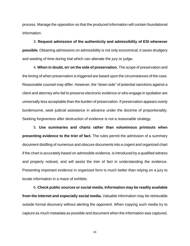process. Manage the opposition so that the produced information will contain foundational information.

3. **Request admission of the authenticity and admissibility of ESI whenever possible.** Obtaining admissions on admissibility is not only economical; it saves drudgery and wasting of time during trial which can alienate the jury or judge.

4. **When in doubt, err on the side of preservation.** The scope of preservation and the timing of when preservation is triggered are based upon the circumstances of the case. Reasonable counsel may differ. However, the "down side" of potential sanctions against a client and attorney who fail to preserve electronic evidence or who engage in spoliation are universally less acceptable than the burden of preservation. If preservation appears overly burdensome, seek judicial assistance in advance under the doctrine of proportionality. Seeking forgiveness after destruction of evidence is not a reasonable strategy.

5. **Use summaries and charts rather than voluminous printouts when presenting evidence to the trier of fact.** The rules permit the admission of a summary document distilling of numerous and obscure documents into a cogent and organized chart if the chart is accurately based on admissible evidence, is introduced by a qualified witness and properly noticed, and will assist the trier of fact in understanding the evidence. Presenting important evidence in organized form is much better than relying on a jury to locate information in a maze of exhibits.

6. **Check public sources or social media. Information may be readily available from the Internet and especially social media.** Valuable information may be retrievable outside formal discovery without alerting the opponent. When copying such media try to capture as much metadata as possible and document when the information was captured.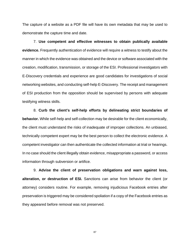The capture of a website as a PDF file will have its own metadata that may be used to demonstrate the capture time and date.

7. **Use competent and effective witnesses to obtain publically available evidence.** Frequently authentication of evidence will require a witness to testify about the manner in which the evidence was obtained and the device or software associated with the creation, modification, transmission, or storage of the ESI. Professional investigators with E-Discovery credentials and experience are good candidates for investigations of social networking websites, and conducting self-help E-Discovery. The receipt and management of ESI production from the opposition should be supervised by persons with adequate testifying witness skills.

8. **Curb the client's self-help efforts by delineating strict boundaries of behavior.** While self-help and self-collection may be desirable for the client economically, the client must understand the risks of inadequate of improper collections. An unbiased, technically competent expert may be the best person to collect the electronic evidence. A competent investigator can then authenticate the collected information at trial or hearings. In no case should the client illegally obtain evidence, misappropriate a password, or access information through subversion or artifice.

9. **Advise the client of preservation obligations and warn against loss, alteration, or destruction of ESI.** Sanctions can arise from behavior the client (or attorney) considers routine. For example, removing injudicious Facebook entries after preservation is triggered may be considered spoliation if a copy of the Facebook entries as they appeared before removal was not preserved.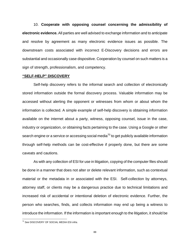10. **Cooperate with opposing counsel concerning the admissibility of electronic evidence.** All parties are well advised to exchange information and to anticipate and resolve by agreement as many electronic evidence issues as possible. The downstream costs associated with incorrect E-Discovery decisions and errors are substantial and occasionally case dispositive. Cooperation by counsel on such matters is a sign of strength, professionalism, and competency.

#### **"SELF-HELP" DISCOVERY**

Self-help discovery refers to the informal search and collection of electronically stored information outside the formal discovery process. Valuable information may be accessed without alerting the opponent or witnesses from whom or about whom the information is collected. A simple example of self-help discovery is obtaining information available on the internet about a party, witness, opposing counsel, issue in the case, industry or organization, or obtaining facts pertaining to the case. Using a Google or other search engine or a service or accessing social media<sup>70</sup> to get publicly available information through self-help methods can be cost-effective if properly done, but there are some caveats and cautions.

As with any collection of ESI for use in litigation, copying of the computer files should be done in a manner that does not alter or delete relevant information, such as contextual material or the metadata in or associated with the ESI. Self-collection by attorneys, attorney staff, or clients may be a dangerous practice due to technical limitations and increased risk of accidental or intentional deletion of electronic evidence. Further, the person who searches, finds, and collects information may end up being a witness to introduce the information. If the information is important enough to the litigation, it should be

<sup>70</sup> *See* DISCOVERY OF SOCIAL MEDIA ESI *infra*.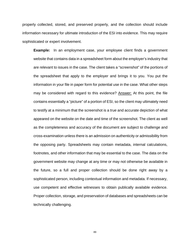properly collected, stored, and preserved properly, and the collection should include information necessary for ultimate introduction of the ESI into evidence. This may require sophisticated or expert involvement.

**Example:** In an employment case, your employee client finds a government website that contains data in a spreadsheet form about the employer's industry that are relevant to issues in the case. The client takes a "screenshot" of the portions of the spreadsheet that apply to the employer and brings it to you. You put the information in your file in paper form for potential use in the case. What other steps may be considered with regard to this evidence? Answer: At this point, the file contains essentially a "picture" of a portion of ESI, so the client may ultimately need to testify at a minimum that the screenshot is a true and accurate depiction of what appeared on the website on the date and time of the screenshot. The client as well as the completeness and accuracy of the document are subject to challenge and cross-examination unless there is an admission on authenticity or admissibility from the opposing party. Spreadsheets may contain metadata, internal calculations, footnotes, and other information that may be essential to the case. The data on the government website may change at any time or may not otherwise be available in the future, so a full and proper collection should be done right away by a sophisticated person, including contextual information and metadata. If necessary, use competent and effective witnesses to obtain publically available evidence. Proper collection, storage, and preservation of databases and spreadsheets can be technically challenging.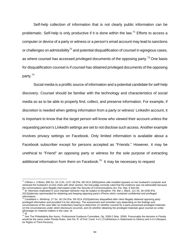Self-help collection of information that is not clearly public information can be problematic. Self-help is only productive if it is done within the law.<sup>71</sup> Efforts to access a computer or device of a party or witness or a person's email account may lead to sanctions or challenges on admissibility<sup>72</sup> and potential disqualification of counsel in egregious cases, as where counsel has accessed privileged documents of the opposing party.<sup>73</sup> One basis for disqualification counsel is if counsel has obtained privileged documents of the opposing party.74

Social media is a prolific source of information and a potential candidate for self-help discovery. Counsel should be familiar with the technology and characteristics of social media so as to be able to properly find, collect, and preserve information. For example, if discretion is needed when getting information from a party or witness' LinkedIn account, it is important to know that the target person will know who viewed their account unless the requesting person's LinkedIn settings are set to not disclose such access. Another example involves privacy settings on Facebook. Only limited information is available about a Facebook subscriber except for persons accepted as "Friends." However, it may be unethical to "Friend" an opposing party or witness for the sole purpose of extracting additional information from them on Facebook.<sup>75</sup> It may be necessary to request

<sup>71</sup> *O'Brien v. O'Brien*, 899 So. 2d 1133, 1137–38 (Fla. 5th DCA 2005)(where wife installed spyware on her husband's computer and retrieved the husband's on-line chats with other women, the trial judge correctly ruled that the evidence was not admissible because the conversations were illegally intercepted under the Security of Communications Act, Fla. Stat. § 934.03).<br><sup>72</sup> Id. Attorneys implicated in such improper behavior may be subject to discipline. *Fla. Bar v. Black*, 121 So

<sup>2013)(</sup>attorney reprimanded for obtaining and keeping opposing party's iPhone which contained confidential and privileged

information).<br><sup>73</sup> C*astellano v. Winthrop*, 27 So. 3d 134 (Fla. 5th DCA 2010)(attorney disqualified after client illegally obtained opposing party privileged information and provided it to her attorney). The assessment and remedies vary depending on the findings and circumstances of the case after an evidentiary hearing to determine (1) whether counsel for a party possessed privileged materials, (2) the circumstances under which disclosure occurred, and (3) whether obtaining the privileged materials gave counsel an unfair<br>advantage on material matters in the case. *Id*.

<sup>&</sup>lt;sup>74</sup> *Id.*<br><sup>75</sup> See The Philadelphia Bar Assoc. Professional Guidance Committee, Op. 2009-2 (Mar. 2009). Presumably the decision in Florida would be the same under Florida Rules. See Fla. R. of Prof. Cond. 4-4.1 (Truthfulness in Statements to Others) and 4-4.4 (Respect for Rights of Third Persons).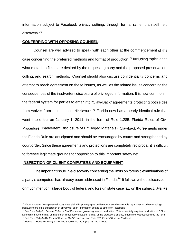information subject to Facebook privacy settings through formal rather than self-help discovery.<sup>76</sup>

## **CONFERRING WITH OPPOSING COUNSEL:**

Counsel are well advised to speak with each other at the commencement of the case concerning the preferred methods and format of production, $<sup>77</sup>$  including topics as to</sup> what metadata fields are desired by the requesting party and the proposed preservation, culling, and search methods. Counsel should also discuss confidentiality concerns and attempt to reach agreement on these issues, as well as the related issues concerning the consequences of the inadvertent disclosure of privileged information. It is now common in the federal system for parties to enter into "Claw-Back" agreements protecting both sides from waiver from unintentional disclosure.<sup>78</sup> Florida now has a nearly identical rule that went into effect on January 1, 2011, in the form of Rule 1.285, Florida Rules of Civil Procedure (Inadvertent Disclosure of Privileged Materials). Clawback Agreements under the Florida Rule are anticipated and should be encouraged by courts and strengthened by court order. Since these agreements and protections are completely reciprocal, it is difficult to foresee legitimate grounds for opposition to this important safety net.

# **INSPECTION OF CLIENT COMPUTERS AND EQUIPMENT:**

One important issue in e-discovery concerning the limits on forensic examinations of a party's computers has already been addressed in Florida.<sup>79</sup> It follows without discussion, or much mention, a large body of federal and foreign state case law on the subject. *Menke* 

 $\overline{a}$ <sup>76</sup> *Nucci, supra* n. 16 (a personal injury case plaintiff's photographs on Facebook are discoverable regardless of privacy settings because there is no expectation of privacy for such information posted to others on Facebook).<br>77 See Rule 34(b)(2), *Federal Rules of Civil Procedure*, governing form of production. This essentially requires production of

its original native format, or in another "reasonably useable" format, at the producer's choice, unless the request specifies the form.<br><sup>78</sup> See Rule 26(b)(5)(B), *Federal Rules of Civil Procedure,* and Rule 502, *Federal*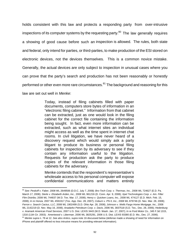holds consistent with this law and protects a responding party from over-intrusive inspections of its computer systems by the requesting party. $80$  The law generally requires a showing of good cause before such an inspection is allowed. The rules, both state and federal, only intend for parties, or third-parties, to make production of the ESI stored on electronic devices, not the devices themselves. This is a common novice mistake. Generally, the actual devices are only subject to inspection in unusual cases where you can prove that the party's search and production has not been reasonably or honestly performed or other even more rare circumstances.<sup>81</sup> The background and reasoning for this law are set out well in *Menke*:

> Today, instead of filing cabinets filled with paper documents, computers store bytes of information in an "electronic filing cabinet." Information from that cabinet can be extracted, just as one would look in the filing cabinet for the correct file containing the information being sought. In fact, even more information can be extracted, such as what internet sites an individual might access as well as the time spent in internet chat rooms. In civil litigation, we have never heard of a discovery request which would simply ask a party litigant to produce its business or personal filing cabinets for inspection by its adversary to see if they contain any information useful to the litigation. Requests for production ask the party to produce copies of the relevant information in those filing cabinets for the adversary.

Menke contends that the respondent's representative's wholesale access to his personal computer will expose confidential communications and matters entirely

<sup>80</sup> *See*: *Peskoff v. Faber*, 2008 WL 2649506 (D.D.C. July *7, 2008); Bro-Tech Corp. v. Thermax, Inc.*, 2008 WL 724627 (E.D. Pa. March 17, 2008); *Sterle v. Elizabeth Arden, Inc.*, 2008 WL 961216 (D. Conn. Apr. 9, 2008); *Xpel Technologies Corp. v. Am. Filter Film Distribs;* 2008 WL 744837 (W.D. Tex. Mar. 17, 2008); *Henry v. Quicken Loans, Inc.,* 2008 WL 474127 (E.D. Mich. Feb. 15, 2008); *In re Honza,* 2007 WL 4591917 (Tex. App. Dec. 28, 2007); *Coburn v. PN II, Inc.*, 2008 WL 879746 (D. Nev. Mar. 28, 2008); *Ferron v. Search Cactus, LLC*, 2008 WL 1902499 (S.D. Ohio Apr. 28, 2008); *Johnson v. Wells Fargo Home Mortgage, Inc.*, 2008 WL 2142219 (D. Nev. May 16, 2008); *Anadarko Petroleum Corp. v. Davis*, 2006 WL 3837518 (S.D. Tex., Dec. 28, 2006); *Hedenburg v. Aramark American Food Services*, 2007 U.S. Dist. LEXIS 3443 (W.D. Wash. Jan. 17, 2007); *In re Ford Motor Co.*, 345 F.3d 1315, 1316 (11th Cir. 2003); Ameriwood v. Liberman, 2006 WL 3825291, 2006 U.S. Dist. LEXIS 93380 (E.D. Mo., Dec. 27, 2006).<br><sup>81</sup> Menke supra n. 78 at 12. See also Antico, supra note 16 discussed below (defense made a showing of iPhone and plaintiff offered no less intrusive means for providing relevant information).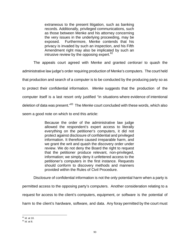extraneous to the present litigation, such as banking records. Additionally, privileged communications, such as those between Menke and his attorney concerning the very issues in the underlying proceeding, may be exposed. Furthermore, Menke contends that his privacy is invaded by such an inspection, and his Fifth Amendment right may also be implicated by such an intrusive review by the opposing expert. $82$ 

The appeals court agreed with Menke and granted *certiorari* to quash the administrative law judge's order requiring production of Menke's computers. The court held that production and search of a computer is to be conducted by the producing party so as to protect their confidential information. *Menke* suggests that the production of the computer itself is a last resort only justified "in situations where evidence of intentional deletion of data was present."83 The *Menke* court concluded with these words, which also seem a good note on which to end this article:

> Because the order of the administrative law judge allowed the respondent's expert access to literally everything on the petitioner's computers, it did not protect against disclosure of confidential and privileged information. It therefore caused irreparable harm, and we grant the writ and quash the discovery order under review. We do not deny the Board the right to request that the petitioner produce relevant, non-privileged, information; we simply deny it unfettered access to the petitioner's computers in the first instance. Requests should conform to discovery methods and manners provided within the Rules of Civil Procedure.

Disclosure of confidential information is not the only potential harm when a party is

permitted access to the opposing party's computers. Another consideration relating to a

request for access to the client's computers, equipment, or software is the potential of

harm to the client's hardware, software, and data. Any foray permitted by the court must

 $82$  *ld* at 10

<sup>&</sup>lt;sup>83</sup> *Id.* at 8.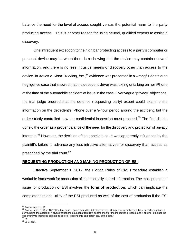balance the need for the level of access sought versus the potential harm to the party producing access. This is another reason for using neutral, qualified experts to assist in discovery.

One infrequent exception to the high bar protecting access to a party's computer or personal device may be when there is a showing that the device may contain relevant information, and there is no less intrusive means of discovery other than access to the device. In *Antico v. Sindt Trucking, Inc.*,<sup>84</sup> evidence was presented in a wrongful death auto negligence case that showed that the decedent-driver was texting or talking on her iPhone at the time of the automobile accident at issue in the case. Over vague "privacy" objections, the trial judge ordered that the defense (requesting party) expert could examine the information on the decedent's iPhone over a 9-hour period around the accident, but the order strictly controlled how the confidential inspection must proceed.<sup>85</sup> The first district upheld the order as a proper balance of the need for the discovery and protection of privacy interests.<sup>86</sup> However, the decision of the appellate court was apparently influenced by the plaintiff's failure to advance any less intrusive alternatives for discovery than access as prescribed by the trial court.<sup>87</sup>

#### **REQUESTING PRODUCTION AND MAKING PRODUCTION OF ESI:**

Effective September 1, 2012, the Florida Rules of Civil Procedure establish a workable framework for production of electronically stored information. The most prominent issue for production of ESI involves the **form of production**, which can implicate the completeness and utility of the ESI produced as well of the cost of production if the ESI

 $\overline{a}$ 

<sup>&</sup>lt;sup>84</sup> Antico, s*upra* n. 16.<br><sup>85</sup> Antico, s*upra* n. 16 at 167 ("[the trial court's order] limits the data that the expert may review to the nine-hour period immediately surrounding the accident; it gives Petitioner's counsel a front-row seat to monitor the inspection process; and it allows Petitioner the opportunity to interpose objections before Respondents can obtain any of the data." 86 *Id.*

<sup>87</sup> *Id.* at 168.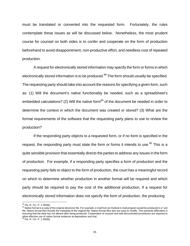must be translated or converted into the requested form. Fortunately, the rules contemplate these issues as will be discussed below. Nonetheless, the most prudent course for counsel on both sides is to confer and cooperate on the form of production beforehand to avoid disappointment, non-productive effort, and needless cost of repeated production.

 A request for electronically stored information may specify the form or forms in which electronically stored information is to be produced.<sup>88</sup> The form should usually be specified. The requesting party should take into account the reasons for specifying a given form, such as: (1) Will the document's native functionality be needed, such as a spreadsheet's embedded calculations? (2) Will the native form<sup>89</sup> of the document be needed in order to determine the context in which the document was created or stored? (3) What are the format requirements of the software that the requesting party plans to use to review the production?

If the responding party objects to a requested form, or if no form is specified in the request, the responding party must state the form or forms it intends to use.<sup>90</sup> This is a quite sensible provision that essentially directs the parties to address any issues in the form of production. For example, if a responding party specifies a form of production and the requesting party fails to object to the form of production, the court has a meaningful record on which to determine whether production in another format will be required and which party should be required to pay the cost of the additional production. If a request for electronically stored information does not specify the form of production, the producing

<sup>&</sup>lt;sup>88</sup> Fla. R. Civ. P. 1.350(b).

<sup>89</sup> Native format is a copy of the original electronic file. For example, e-mail from an Outlook e-mail program would be produced in a \*.pst file. Native format files include the metadata of the original file. Native format files also are easy to modify. This presents difficulties in ensuring that the data has not altered after being produced. Cooperation of counsel and well-documented procedures are required to allow effective use of native format evidence at depositions and trial.<br><sup>90</sup> Fla. R. Civ. P. 1.350(b).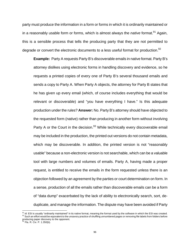party must produce the information in a form or forms in which it is ordinarily maintained or in a reasonably usable form or forms, which is almost always the *native* format.<sup>91</sup> Again, this is a sensible process that tells the producing party that they are not permitted to degrade or convert the electronic documents to a less useful format for production.<sup>92</sup>

**Example:** Party A requests Party B's discoverable emails in native format. Party B's attorney dislikes using electronic forms in handling discovery and evidence, so he requests a printed copies of every one of Party B's several thousand emails and sends a copy to Party A. When Party A objects, the attorney for Party B states that he has given up every email (which, of course includes everything that would be relevant or discoverable) and "you have everything I have." Is this adequate production under the rules? **Answer:** No. Party B's attorney should have objected to the requested form (native) rather than producing in another form without involving Party A or the Court in the decision.<sup>93</sup> While technically every discoverable email may be included in the production, the printed out versions do not contain metadata, which may be discoverable. In addition, the printed version is not "reasonably usable" because a non-electronic version is not searchable, which can be a valuable tool with large numbers and volumes of emails. Party A, having made a proper request, is entitled to receive the emails in the form requested unless there is an objection followed by an agreement by the parties or court determination on form. In a sense, production of all the emails rather than discoverable emails can be a form of "data dump" exacerbated by the lack of ability to electronically search, sort, deduplicate, and manage the information. The dispute may have been avoided if Party

<sup>&</sup>lt;sup>91</sup> Id. ESI is usually "ordinarily maintained" in its native format, meaning the format used by the software in which the ESI was created. 22 Such an effort would be equivalent to the unsavory practice of shuffling unnumbered pages or removing file labels from folders before producing paper discovery to the opponent.

<sup>93</sup> Fla. R. Civ. P. 1.350(b).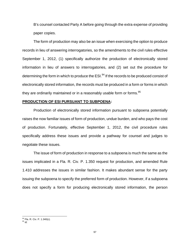B's counsel contacted Party A before going through the extra expense of providing paper copies.

The form of production may also be an issue when exercising the option to produce records in lieu of answering interrogatories, so the amendments to the civil rules effective September 1, 2012, (1) specifically authorize the production of electronically stored information in lieu of answers to interrogatories, and (2) set out the procedure for determining the form in which to produce the ESI.<sup>94</sup> If the records to be produced consist of electronically stored information, the records must be produced in a form or forms in which they are ordinarily maintained or in a reasonably usable form or forms.<sup>95</sup>

### **PRODUCTION OF ESI PURSUANT TO SUBPOENA:**

Production of electronically stored information pursuant to subpoena potentially raises the now familiar issues of form of production, undue burden, and who pays the cost of production. Fortunately, effective September 1, 2012, the civil procedure rules specifically address these issues and provide a pathway for counsel and judges to negotiate these issues.

The issue of form of production in response to a subpoena is much the same as the issues implicated in a Fla. R. Civ. P. 1.350 request for production, and amended Rule 1.410 addresses the issues in similar fashion. It makes abundant sense for the party issuing the subpoena to specify the preferred form of production. However, if a subpoena does not specify a form for producing electronically stored information, the person

 $\overline{a}$ 94 Fla. R. Civ. P. 1.340(c). 95 *Id.*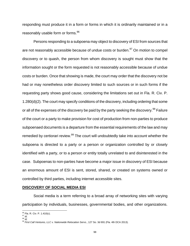responding must produce it in a form or forms in which it is ordinarily maintained or in a reasonably usable form or forms.<sup>96</sup>

Persons responding to a subpoena may object to discovery of ESI from sources that are not reasonably accessible because of undue costs or burden.<sup>97</sup> On motion to compel discovery or to quash, the person from whom discovery is sought must show that the information sought or the form requested is not reasonably accessible because of undue costs or burden. Once that showing is made, the court may order that the discovery not be had or may nonetheless order discovery limited to such sources or in such forms if the requesting party shows good cause, considering the limitations set out in Fla. R. Civ. P. 1.280(d)(2). The court may specify conditions of the discovery, including ordering that some or all of the expenses of the discovery be paid by the party seeking the discovery.<sup>98</sup> Failure of the court or a party to make provision for cost of production from non-parties to produce subpoenaed documents is a departure from the essential requirements of the law and may remedied by certiorari review.<sup>99</sup> The court will undoubtedly take into account whether the subpoena is directed to a party or a person or organization controlled by or closely identified with a party, or to a person or entity totally unrelated to and disinterested in the case. Subpoenas to non-parties have become a major issue in discovery of ESI because an enormous amount of ESI is sent, stored, shared, or created on systems owned or controlled by third parties, including internet accessible sites.

#### **DISCOVERY OF SOCIAL MEDIA ESI**

 Social media is a term referring to a broad array of networking sites with varying participation by individuals, businesses, governmental bodies, and other organizations.

 $^{96}_{97}$  Fla. R. Civ. P. 1.410(c).<br> $^{97}$  Id.

<sup>&</sup>lt;sup>99</sup> First Call Ventures, LLC v. Nationwide Relocation Servs., 127 So. 3d 691 (Fla. 4th DCA 2013).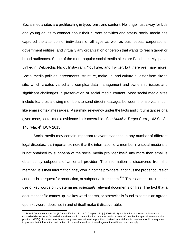Social media sites are proliferating in type, form, and content. No longer just a way for kids and young adults to connect about their current activities and status, social media has captured the attention of individuals of all ages as well as businesses, corporations, government entities, and virtually any organization or person that wants to reach target or broad audiences. Some of the more popular social media sites are Facebook, Myspace, LinkedIn, Wikipedia, Flickr, Instagram, YouTube, and Twitter, but there are many more. Social media policies, agreements, structure, make-up, and culture all differ from site to site, which creates varied and complex data management and ownership issues and significant challenges in preservation of social media content. Most social media sites include features allowing members to send direct messages between themselves, much like emails or text messages. Assuming relevancy under the facts and circumstances of a given case, social media evidence is discoverable. *See Nucci v. Target Corp*., 162 So. 3d 146 (Fla.  $4^{th}$  DCA 2015).

Social media may contain important relevant evidence in any number of different legal disputes. It is important to note that the information of a member in a social media site is not obtained by subpoena of the social media provider itself, any more than email is obtained by subpoena of an email provider. The information is discovered from the member. It is their information, they own it, not the providers, and thus the proper course of conduct is a request for production, or subpoena, from them.<sup>100</sup> Text searches are run, the use of key words only determines *potentially* relevant documents or files. The fact that a document or file comes up in a key word search, or otherwise is found to contain an agreed upon keyword, does not in and of itself make it discoverable.

<sup>&</sup>lt;sup>100</sup> Stored Communications Act (SCA, codified at 18 U.S.C. Chapter 121 §§ 2701–2712) is a law that addresses voluntary and compelled disclosure of "stored wire and electronic communications and transactional records" held by third-party internet service providers (ISPs). It is a waste of time to subpoena internet service providers. Instead, a social media member should be requested to produce their information, and motions to compel should be directed against them if they do not comply.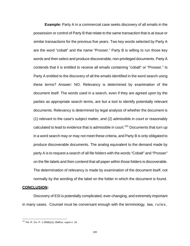**Example:** Party A in a commercial case seeks discovery of all emails in the possession or control of Party B that relate to the same transaction that is at issue or similar transactions for the previous five years. Two key words selected by Party A are the word "cobalt" and the name "Prosser." Party B is willing to run those key words and then select and produce discoverable, non-privileged documents. Party A contends that it is entitled to receive all emails containing "cobalt" or "Prosser." Is Party A entitled to the discovery of all the emails identified in the word search using these terms? Answer: NO. Relevancy is determined by examination of the document itself. The words used in a search, even if they are agreed upon by the parties as appropriate search terms, are but a tool to identify potentially relevant documents. Relevancy is determined by legal analysis of whether the document is (1) relevant to the case's subject matter, and (2) admissible in court or reasonably calculated to lead to evidence that is admissible in court.<sup>101</sup> Documents that turn up in a word search may or may not meet these criteria, and Party B is only obligated to produce discoverable documents. The analog equivalent to the demand made by party A is to request a search of all file folders with the words "Cobalt" and "Prosser" on the file labels and then contend that all paper within those folders is discoverable. The determination of relevancy is made by examination of the document itself, not normally by the wording of the label on the folder in which the document is found.

#### **CONCLUSION:**

 $\overline{a}$ 

Discovery of ESI is potentially complicated, ever-changing, and extremely important in many cases. Counsel must be conversant enough with the terminology, law, r ules,

<sup>101</sup> Fla. R. Civ. P. 1.280(b)(1); *Balfour, supra* n. 16.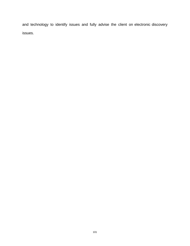and technology to identify issues and fully advise the client on electronic discovery issues.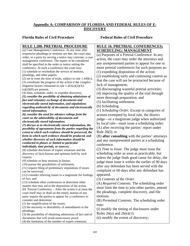# **Appendix A: COMPARISON OF FLORIDA AND FEDERAL RULES OF E-DISCOVERY**

# **Florida Rules of Civil Procedure Federal Rules of Civil Procedure**

| <b>RULE 1.200. PRETRIAL PROCEDURE</b>                                                                         | <b>RULE 16. PRETRIAL CONFERENCES;</b>             |
|---------------------------------------------------------------------------------------------------------------|---------------------------------------------------|
| (a) Case Management Conference. At any time after                                                             | <b>SCHEDULING; MANAGEMENT</b>                     |
| responsive pleadings or motions are due, the court may                                                        | (a) Purposes of a Pretrial Conference. In any     |
| order, or a party by serving a notice may convene, a case                                                     | action, the court may order the attorneys and     |
| management conference. The matter to be considered                                                            |                                                   |
| shall be specified in the order or notice setting the                                                         | any unrepresented parties to appear for one or    |
| conference. At such a conference the court may:                                                               | more pretrial conferences for such purposes as:   |
| (1) schedule or reschedule the service of motions,                                                            | (1) expediting disposition of the action;         |
| pleadings, and other papers;                                                                                  | (2) establishing early and continuing control so  |
| (2) set or reset the time of trials, subject to rule $1.440(c)$ ;                                             | that the case will not be protracted because of   |
| (3) coordinate the progress of the action if the complex                                                      | lack of management;                               |
| litigation factors contained in rule $1.201(a)(2)(A)$ -                                                       | (3) discouraging wasteful pretrial activities;    |
| $(a)(2)(H)$ are present;                                                                                      |                                                   |
| (4) limit, schedule, order, or expedite discovery;<br>(5) consider the possibility of obtaining admissions of | (4) improving the quality of the trial through    |
| fact and voluntary exchange of documents and                                                                  | more thorough preparation; and                    |
| electronically stored information, and stipulations                                                           | (5) facilitating settlement.                      |
| regarding authenticity of documents and electronically                                                        | (b) Scheduling.                                   |
| stored information;                                                                                           | (1) Scheduling Order. Except in categories of     |
| (6) consider the need for advance rulings from the                                                            | actions exempted by local rule, the district      |
| court on the admissibility of documents and                                                                   | judge-or a magistrate judge when authorized       |
| electronically stored information;                                                                            |                                                   |
| (7) discuss as to electronically stored information, the                                                      | by local rule—must issue a scheduling order:      |
| possibility of agreements from the parties regarding the                                                      | (A) after receiving the parties' report under     |
| extent to which such evidence should be preserved, the                                                        | Rule $26(f)$ ; or                                 |
| form in which such evidence should be produced, and                                                           | (B) after consulting with the parties' attorneys  |
| whether discovery of such information should be                                                               | and any unrepresented parties at a scheduling     |
| conducted in phases or limited to particular                                                                  | conference.                                       |
| individuals, time periods, or sources;                                                                        |                                                   |
| $(8)$ schedule disclosure of expert witnesses and the                                                         | (2) Time to Issue. The judge must issue the       |
| discovery of facts known and opinions held by such                                                            | scheduling order as soon as practicable, but      |
| experts;                                                                                                      | unless the judge finds good cause for delay, the  |
| $(9)$ schedule or hear motions in limine;                                                                     | judge must issue it within the earlier of 90 days |
| $(10)$ pursue the possibilities of settlement;                                                                | after any defendant has been served with the      |
| $(11)$ require filing of preliminary stipulations if issues<br>can be narrowed;                               | complaint or 60 days after any defendant has      |
| $(12)$ consider referring issues to a magistrate for findings                                                 | appeared.                                         |
| of fact; and                                                                                                  |                                                   |
| $(13)$ schedule other conferences or determine other                                                          | (3) Contents of the Order.                        |
| matters that may aid in the disposition of the action.                                                        | (A) Required Contents. The scheduling order       |
| (b) Pretrial Conference. --After the action is at issue the                                                   | must limit the time to join other parties, amend  |
| court itself may or shall on the timely motion of any                                                         | the pleadings, complete discovery, and file       |
| party require the parties to appear for a conference to                                                       | motions.                                          |
| consider and determine:                                                                                       | (B) Permitted Contents. The scheduling order      |
| (1) the simplification of the issues;                                                                         |                                                   |
| (2) the necessity or desirability of amendments to the                                                        | may:                                              |
| pleadings;                                                                                                    | (i) modify the timing of disclosures under        |
| (3) the possibility of obtaining admissions of fact and of                                                    | Rules $26(a)$ and $26(e)(1)$ ;                    |
| documents that will avoid unnecessary proof;                                                                  | (ii) modify the extent of discovery;              |
| (4) the limitation of the number of expert witnesses;                                                         |                                                   |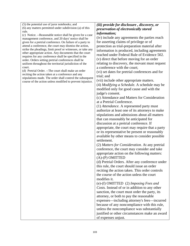| (5) the potential use of juror notebooks; and                                                                | (iii) provide for disclosure, discovery, or     |
|--------------------------------------------------------------------------------------------------------------|-------------------------------------------------|
| (6) any matters permitted under subdivision (a) of this                                                      | preservation of electronically stored           |
| rule.<br>(c) Notice. --Reasonable notice shall be given for a case                                           | information;                                    |
| management conference, and 20 days' notice shall be                                                          | (iv) include any agreements the parties reach   |
| given for a pretrial conference. On failure of a party to                                                    | for asserting claims of privilege or of         |
| attend a conference, the court may dismiss the action,                                                       | protection as trial-preparation material after  |
| strike the pleadings, limit proof or witnesses, or take any                                                  | information is produced, including agreements   |
| other appropriate action. Any documents that the court                                                       | reached under Federal Rule of Evidence 502.     |
| requires for any conference shall be specified in the<br>order. Orders setting pretrial conferences shall be | (v) direct that before moving for an order      |
| uniform throughout the territorial jurisdiction of the                                                       | relating to discovery, the movant must request  |
| court.                                                                                                       | a conference with the court;                    |
| (d) Pretrial Order. --The court shall make an order                                                          | (vi) set dates for pretrial conferences and for |
| reciting the action taken at a conference and any                                                            | trial; and                                      |
| stipulations made. The order shall control the subsequent                                                    | (vii) include other appropriate matters.        |
| course of the action unless modified to prevent injustice.                                                   | (4) Modifying a Schedule. A schedule may be     |
|                                                                                                              | modified only for good cause and with the       |
|                                                                                                              | judge's consent.                                |
|                                                                                                              | (c) Attendance and Matters for Consideration    |
|                                                                                                              | at a Pretrial Conference.                       |
|                                                                                                              | (1) Attendance. A represented party must        |
|                                                                                                              | authorize at least one of its attorneys to make |
|                                                                                                              | stipulations and admissions about all matters   |
|                                                                                                              | that can reasonably be anticipated for          |
|                                                                                                              | discussion at a pretrial conference. If         |
|                                                                                                              | appropriate, the court may require that a party |
|                                                                                                              | or its representative be present or reasonably  |
|                                                                                                              | available by other means to consider possible   |
|                                                                                                              | settlement.                                     |
|                                                                                                              | (2) Matters for Consideration. At any pretrial  |
|                                                                                                              | conference, the court may consider and take     |
|                                                                                                              | appropriate action on the following matters:    |
|                                                                                                              | $(A)$ - $(P)$ OMITTED                           |
|                                                                                                              | (d) Pretrial Orders. After any conference under |
|                                                                                                              | this rule, the court should issue an order      |
|                                                                                                              | reciting the action taken. This order controls  |
|                                                                                                              | the course of the action unless the court       |
|                                                                                                              | modifies it.                                    |
|                                                                                                              |                                                 |
|                                                                                                              | (e)-(f) OMITTED (2) Imposing Fees and           |
|                                                                                                              | Costs. Instead of or in addition to any other   |
|                                                                                                              | sanction, the court must order the party, its   |
|                                                                                                              | attorney, or both to pay the reasonable         |
|                                                                                                              | expenses—including attorney's fees—incurred     |
|                                                                                                              | because of any noncompliance with this rule,    |
|                                                                                                              | unless the noncompliance was substantially      |
|                                                                                                              | justified or other circumstances make an award  |
|                                                                                                              | of expenses unjust.                             |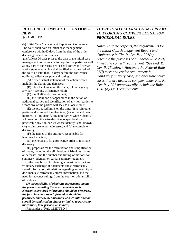## **RULE 1.201. COMPLEX LITIGATION – NEW**  (a) OMITTED

(b) Initial Case Management Report and Conference*.*  The court shall hold an initial case management conference within 60 days from the date of the order declaring the action complex.

 (1) At least 20 days prior to the date of the initial case management conference, attorneys for the parties as well as any parties appearing pro se shall confer and prepare a joint statement, which shall be filed with the clerk of the court no later than 14 days before the conference, outlining a discovery plan and stating: (A) a brief factual statement of the action, which

includes the claims and defenses;

 (B) a brief statement on the theory of damages by any party seeking affirmative relief;

(C) the likelihood of settlement;

 (D) the likelihood of appearance in the action of additional parties and identification of any non-parties to whom any of the parties will seek to allocate fault;

 (E) the proposed limits on the time: (i) to join other parties and to amend the pleadings, (ii) to file and hear motions, (iii) to identify any non-parties whose identity is known, or otherwise describe as specifically as practicable any non-parties whose identity is not known, (iv) to disclose expert witnesses, and (v) to complete discovery;

 (F) the names of the attorneys responsible for handling the action;

 (G) the necessity for a protective order to facilitate discovery;

 (H) proposals for the formulation and simplification of issues, including the elimination of frivolous claims or defenses, and the number and timing of motions for summary judgment or partial summary judgment;

 (I) the possibility of obtaining admissions of fact and voluntary exchange of documents and electronically stored information, stipulations regarding authenticity of documents, electronically stored information, and the need for advance rulings from the court on admissibility of evidence;

*(J) the possibility of obtaining agreements among the parties regarding the extent to which such electronically stored information should be preserved, the form in which such information should be produced, and whether discovery of such information should be conducted in phases or limited to particular individuals, time periods, or sources;*  [Remainder of Rule OMITTED ]

# *THERE IS NO FEDERAL COUNTERPART TO FLORIDA'S COMPLEX LITIGATION PROCEDURAL RULES.*

**Note:** *In some respects, the requirements for the Initial Case Management Report and Conference in Fla. R. Civ. P. 1.201(b) resemble the purposes of a Federal Rule 26(f) "meet and confer" requirement. (See Fed. R. Civ. P. 26 below). However, the Federal Rule 26(f) meet and confer requirement is mandatory in every case, and only state court cases that are declared complex under Fla. R. Civ. P. 1.201 automatically include the Rule 1.201(b)(1)(J) requirements.*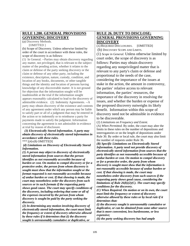# **RULE 1.280. GENERAL PROVISIONS GOVERNING DISCOVERY**

(a) Discovery Methods*.* 

[OMITTED ]

(b) Scope of Discovery. Unless otherwise limited by order of the court in accordance with these rules, the scope of discovery is as follows:

(1) In General*.* --Parties may obtain discovery regarding any matter, not privileged, that is relevant to the subject matter of the pending action, whether it relates to the claim or defense of the party seeking discovery or the claim or defense of any other party, including the existence, description, nature, custody, condition, and location of any books, documents, or other tangible things and the identity and location of persons having knowledge of any discoverable matter. It is not ground for objection that the information sought will be inadmissible at the trial if the information sought appears reasonably calculated to lead to the discovery of admissible evidence. (2) Indemnity Agreements*.* --A party may obtain discovery of the existence and contents of any agreement under which any person may be liable to satisfy part or all of a judgment that may be entered in the action or to indemnify or to reimburse a party for payments made to satisfy the judgment. Information concerning the agreement is not admissible in evidence at trial by reason of disclosure.

*(3) Electronically Stored Information. A party may obtain discovery of electronically stored information in accordance with these rules.*  \*\*\* [(4)-(8) OMITTED]

*(d) Limitations on Discovery of Electronically Stored Information.* 

*(1) A person may object to discovery of electronically stored information from sources that the person identifies as not reasonably accessible because of burden or cost. On motion to compel discovery or for a protective order, the person from whom discovery is sought must show that the information sought or the format requested is not reasonably accessible because of undue burden or cost. If that showing is made, the court may nonetheless order the discovery from such sources or in such formats if the requesting party shows good cause. The court may specify conditions of the discovery, including ordering that some or all of the expenses incurred by the person from whom discovery is sought be paid by the party seeking the discovery.* 

*(2) In determining any motion involving discovery of electronically stored information, the court must limit the frequency or extent of discovery otherwise allowed by these rules if it determines that (i) the discovery sought is unreasonably cumulative or duplicative, or* 

# **RULE 26. DUTY TO DISCLOSE; GENERAL PROVISIONS GOVERNING DISCOVERY**

(A) REQUIRED DISCLOSURES. [OMITTED] (b) DISCOVERY SCOPE AND LIMITS.

(1) *Scope in General.* Unless otherwise limited by court order, the scope of discovery is as follows: Parties may obtain discovery regarding any nonprivileged matter that is relevant to any party's claim or defense and proportional to the needs of the case, considering the importance of the issues at stake in the action, the amount in controversy, the parties' relative access to relevant information, the parties' resources, the importance of the discovery in resolving the issues, and whether the burden or expense of the proposed discovery outweighs its likely benefit. Information within this scope of discovery need not be admissible in evidence to be discoverable.

(2) *Limitations on Frequency and Extent.*  (A) *When Permitted.* By order, the court may alter the limits in these rules on the number of depositions and interrogatories or on the length of depositions under Rule 30. By order or local rule, the court may also limit the number of requests under Rule 36.

*(B) Specific Limitations on Electronically Stored Information. A party need not provide discovery of electronically stored information from sources that the party identifies as not reasonably accessible because of undue burden or cost. On motion to compel discovery or for a protective order, the party from whom discovery is sought must show that the information is not reasonably accessible because of undue burden or cost. If that showing is made, the court may nonetheless order discovery from such sources if the requesting party shows good cause, considering the limitations of Rule 26(b)(2)(C). The court may specify conditions for the discovery.* 

*(C) When Required. On motion or on its own, the court must limit the frequency or extent of discovery otherwise allowed by these rules or by local rule if it determines that:* 

*(i) the discovery sought is unreasonably cumulative or duplicative, or can be obtained from some other source that is more convenient, less burdensome, or less expensive;* 

*(ii) the party seeking discovery has had ample*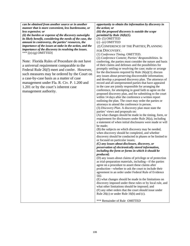| can be obtained from another source or in another          | opportunity to obtain the information by discovery in                                                                |
|------------------------------------------------------------|----------------------------------------------------------------------------------------------------------------------|
| manner that is more convenient, less burdensome, or        | the action; or                                                                                                       |
| less expensive; or                                         | (iii) the proposed discovery is outside the scope                                                                    |
| (ii) the burden or expense of the discovery outweighs      | permitted by Rule $26(b)(1)$ .                                                                                       |
| its likely benefit, considering the needs of the case, the | $(3)$ - $(5)$ OMITTED                                                                                                |
| amount in controversy, the parties' resources, the         | $(c)$ –(e) OMITTED                                                                                                   |
| importance of the issues at stake in the action, and the   | (f) CONFERENCE OF THE PARTIES; PLANNING                                                                              |
| importance of the discovery in resolving the issues.       | FOR DISCOVERY.                                                                                                       |
| *** $[(e)-(g)$ OMITTED]                                    | (1) Conference Timing. OMITTED.                                                                                      |
|                                                            | (2) Conference Content; Parties' Responsibilities. In                                                                |
| Note: Florida Rules of Procedure do not have               | conferring, the parties must consider the nature and basis                                                           |
| a universal requirement comparable to the                  | of their claims and defenses and the possibilities for                                                               |
| Federal Rule 26(f) meet and confer. However,               | promptly settling or resolving the case; make or arrange                                                             |
|                                                            | for the disclosures required by Rule $26(a)(1)$ ; discuss                                                            |
| such measures may be ordered by the Court on               | any issues about preserving discoverable information;                                                                |
| a case-by-case basis as a matter of case                   | and develop a proposed discovery plan. The attorneys of                                                              |
| management under Fla. R. Civ. P. 1.200 and                 | record and all unrepresented parties that have appeared                                                              |
| 1.201 or by the court's inherent case                      | in the case are jointly responsible for arranging the                                                                |
| management authority.                                      | conference, for attempting in good faith to agree on the                                                             |
|                                                            | proposed discovery plan, and for submitting to the court                                                             |
|                                                            | within 14 days after the conference a written report                                                                 |
|                                                            | outlining the plan. The court may order the parties or                                                               |
|                                                            | attorneys to attend the conference in person.                                                                        |
|                                                            | (3) Discovery Plan. A discovery plan must state the                                                                  |
|                                                            | parties' views and proposals on:                                                                                     |
|                                                            | (A) what changes should be made in the timing, form, or                                                              |
|                                                            | requirement for disclosures under Rule 26(a), including<br>a statement of when initial disclosures were made or will |
|                                                            | be made;                                                                                                             |
|                                                            | (B) the subjects on which discovery may be needed,                                                                   |
|                                                            | when discovery should be completed, and whether                                                                      |
|                                                            | discovery should be conducted in phases or be limited to                                                             |
|                                                            | or focused on particular issues;                                                                                     |
|                                                            | (C) any issues about disclosure, discovery, or                                                                       |
|                                                            | preservation of electronically stored information,                                                                   |
|                                                            | including the form or forms in which it should be                                                                    |
|                                                            | produced;                                                                                                            |
|                                                            | (D) any issues about claims of privilege or of protection                                                            |
|                                                            | as trial-preparation materials, including-if the parties                                                             |
|                                                            | agree on a procedure to assert these claims after                                                                    |
|                                                            | production—whether to ask the court to include their                                                                 |
|                                                            | agreement in an order under Federal Rule of Evidence                                                                 |
|                                                            | 502.<br>(E) what changes should be made in the limitations on                                                        |
|                                                            | discovery imposed under these rules or by local rule, and                                                            |
|                                                            | what other limitations should be imposed; and                                                                        |
|                                                            | (F) any other orders that the court should issue under                                                               |
|                                                            | Rule $26(c)$ or under Rule $16(b)$ and (c).                                                                          |
|                                                            |                                                                                                                      |
|                                                            | *** Remainder of Rule OMITTED                                                                                        |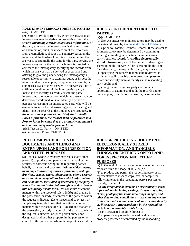#### **RULE 1.340. INTERROGATORIES TO PARTIES**

#### (a)-(b) OMITTED

(c) Option to Produce Records. When the answer to an interrogatory may be derived or ascertained from the records *(including electronically stored information)* of the party to whom the interrogatory is directed or from an examination, audit, or inspection of the records or from a compilation, abstract, or summary based on the records and the burden of deriving or ascertaining the answer is substantially the same for the party serving the interrogatory as for the party to whom it is directed, an answer to the interrogatory specifying the records from which the answer may be derived or ascertained and offering to give the party serving the interrogatory a reasonable opportunity to examine, audit, or inspect the records and to make copies, compilations, abstracts, or summaries is a sufficient answer. An answer shall be in sufficient detail to permit the interrogating party to locate and to identify, as readily as can the party interrogated, the records from which the answer may be derived or ascertained, or shall identify a person or persons representing the interrogated party who will be available to assist the interrogating party in locating and identifying the records at the time they are produced*. If the records to be produced consist of electronically stored information, the records shall be produced in a form or forms in which they are ordinarily maintained or in a reasonably usable form or forms.*  (d) Effect on Co-Party*.* --OMITTED (e) Service and Filing. OMITTED

### **RULE 1.350. PRODUCTION OF DOCUMENTS AND THINGS AND ENTRY UPON LAND FOR INSPECTION AND OTHER PURPOSES**

(a) Request; Scope. Any party may request any other party (1) to produce and permit the party making the request, or someone acting in the requesting party's behalf, to inspect and copy *any designated documents, including electronically stored information, writings, drawings, graphs, charts, photographs, phono-records, and other data compilations from which information can be obtained, translated, if necessary, by the party to whom the request is directed through detection devices into reasonably usable form,* that constitute or contain matters within the scope of rule 1.280(b) and that are in the possession, custody, or control of the party to whom the request is directed; (2) to inspect and copy, test, or sample any tangible things that constitute or contain matters within the scope of rule 1.280(b) and that are in the possession, custody, or control of the party to whom the request is directed; or (3) to permit entry upon designated land or other property in the possession or control of the party upon whom the request is served for

# **RULE 33. INTERROGATORIES TO PARTIES**

#### (a)-(c) OMITTED

(c) Use. An answer to an interrogatory may be used to the extent allowed by the Federal Rules of Evidence. (d) Option to Produce Business Records. If the answer to an interrogatory may be determined by examining, auditing, compiling, abstracting, or summarizing a party's business records **(including electronically stored information),** and if the burden of deriving or ascertaining the answer will be substantially the same for either party, the responding party may answer by: (1) specifying the records that must be reviewed, in sufficient detail to enable the interrogating party to locate and identify them as readily as the responding party could; and

(2) giving the interrogating party a reasonable opportunity to examine and audit the records and to make copies, compilations, abstracts, or summaries.

## **RULE 34. PRODUCING DOCUMENTS, ELECTRONICALLY STORED INFORMATION, AND TANGIBLE THINGS, OR ENTERING ONTO LAND, FOR INSPECTION AND OTHER PURPOSES**

(a) In General. A party may serve on any other party a request within the scope of Rule 26(b):

(1) to produce and permit the requesting party or its representative to inspect, copy, test, or sample the following items in the responding party's possession, custody, or control:

(A) *any designated documents or electronically stored information—including writings, drawings, graphs, charts, photographs, sound recordings, images, and other data or data compilations—stored in any medium from which information can be obtained either directly or, if necessary, after translation by the responding party into a reasonably usable form;* or (B) any designated tangible things; or

(2) to permit entry onto designated land or other property possessed or controlled by the responding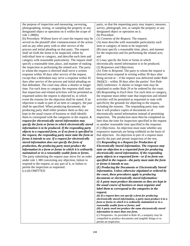the purpose of inspection and measuring, surveying, photographing, testing, or sampling the property or any designated object or operation on it within the scope of rule 1.280(b).

(b) Procedure. Without leave of court the request may be served on the plaintiff after commencement of the action and on any other party with or after service of the process and initial pleading on that party. The request shall set forth the items to be inspected, either by individual item or category, and describe each item and category with reasonable particularity. The request shall specify a reasonable time, place, and manner of making the inspection or performing the related acts. The party to whom the request is directed shall serve a written response within 30 days after service of the request, except that a defendant may serve a response within 45 days after service of the process and initial pleading on that defendant. The court may allow a shorter or longer time. For each item or category the response shall state that inspection and related activities will be permitted as requested unless the request is objected to, in which event the reasons for the objection shall be stated. If an objection is made to part of an item or category, the part shall be specified. When producing documents, the producing party shall either produce them as they are kept in the usual course of business or shall identify them to correspond with the categories in the request. *A request for electronically stored information may specify the form or forms in which electronically stored information is to be produced. If the responding party objects to a requested form, or if no form is specified in the request, the responding party must state the form or forms it intends to use. If a request for electronically stored information does not specify the form of production, the producing party must produce the information in a form or forms in which it is ordinarily maintained or in a reasonably usable form or forms.* The party submitting the request may move for an order under rule 1.380 concerning any objection, failure to respond to the request, or any part of it, or failure to permit the inspection as requested.

(c)-(d) OMITTED

party, so that the requesting party may inspect, measure, survey, photograph, test, or sample the property or any designated object or operation on it.

(b) Procedure.

(1) *Contents of the Request.* The request:

(A) must describe with reasonable particularity each item or category of items to be inspected; (B) must specify a reasonable time, place, and manner

for the inspection and for performing the related acts; and

(C) may specify the form or forms in which electronically stored information is to be produced. (2) *Responses and Objections.*

(A) *Time to Respond.* The party to whom the request is directed must respond in writing within 30 days after being served or – if the request was delivered under Rule  $26(d)(2)$  – within 30 days after the parties' first Rule 26(f) conference. A shorter or longer time may be stipulated to under Rule 29 or be ordered by the court. (B) *Responding to Each Item.* For each item or category, the response must either state that inspection and related activities will be permitted as requested or state with specificity the grounds for objecting to the request, including the reasons. The responding party may state that it will produce copies of documents or of electronically stored information instead of permitting inspection. The production must then be completed no later than the time for inspection specified in the request or another reasonable time specified in the response. (C) *Objections.* An objection must state whether any responsive materials are being withheld on the basis of that objection. An objection to part of a request must specify the part and permit inspection of the rest. (D) *Responding to a Request for Production of Electronically Stored Information. The response may state an objection to a requested form for producing electronically stored information. If the responding party objects to a requested form—or if no form was* 

*specified in the request—the party must state the form or forms it intends to use.* 

*(E) Producing the Documents or Electronically Stored Information. Unless otherwise stipulated or ordered by the court, these procedures apply to producing documents or electronically stored information:* 

*(i) A party must produce documents as they are kept in the usual course of business or must organize and label them to correspond to the categories in the request;* 

*(ii) If a request does not specify a form for producing electronically stored information, a party must produce it in a form or forms in which it is ordinarily maintained or in a reasonably usable form or forms; and* 

*(iii) A party need not produce the same electronically stored information in more than one form.* 

(c) Nonparties. As provided in Rule 45, a nonparty may be compelled to produce documents and tangible things or to permit an inspection.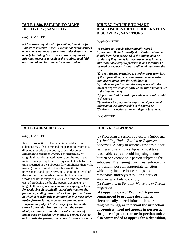## **RULE 1.380. FAILURE TO MAKE DISCOVERY; SANCTIONS**

#### (a)-(d) OMITTED

*(e) Electronically Stored Information; Sanctions for Failure to Preserve. Absent exceptional circumstances, a court may not impose sanctions under these rules on a party for failing to provide electronically stored information lost as a result of the routine, good faith operation of an electronic information system.*

## **RULE 37. FAILURE TO MAKE DISCLOSURES OR TO COOPERATE IN DISCOVERY; SANCTIONS**

#### (a)-(d) OMITTED

*(e) Failure to Provide Electronically Stored Information. If electronically stored information that should have been preserved in the anticipation or conduct of litigation is lost because a party failed to take reasonable steps to preserve it, and it cannot be restored or replaced through additional discovery, the court:* 

*(1) upon finding prejudice to another party from loss of the information, may order measures no greater than necessary to cure the prejudice; or* 

*(2) only upon finding that the party acted with the intent to deprive another party of the information's use in the litigation may:* 

*(A) presume that the lost information was unfavorable to the party;* 

*(B) instruct the jury that it may or must presume the information was unfavorable to the party; or (C) dismiss the action or enter a default judgment.* 

(f) OMITTED

## **RULE 1.410. SUBPOENA**

#### (a)-(b) OMITTED

 (c) For Production of Documentary Evidence. A subpoena may also command the person to whom it is directed to produce the books, papers, documents *(including electronically stored information),* or tangible things designated therein, but the court, upon motion made promptly and in any event at or before the time specified in the subpoena for compliance therewith, may (1) quash or modify the subpoena if it is unreasonable and oppressive, or (2) condition denial of the motion upon the advancement by the person in whose behalf the subpoena is issued of the reasonable cost of producing the books, papers, documents, or tangible things. *If a subpoena does not specify a form for producing electronically stored information, the person responding must produce it in a form or forms in which it is ordinarily maintained or in a reasonably usable form or forms. A person responding to a subpoena may object to discovery of electronically stored information from sources that the person identifies as not reasonably accessible because of undue costs or burden. On motion to compel discovery or to quash, the person from whom discovery is sought* 

## **RULE 45 SUBPOENA**

(c) Protecting a Person Subject to a Subpoena. (1) *Avoiding Undue Burden or Expense; Sanctions.* A party or attorney responsible for issuing and serving a subpoena must take reasonable steps to avoid imposing undue burden or expense on a person subject to the subpoena. The issuing court must enforce this duty and impose an appropriate sanction which may include lost earnings and reasonable attorney's fees—on a party or attorney who fails to comply. (2) *Command to Produce Materials or Permit Inspection.* **(A)** *Appearance Not Required.* **A person** 

**commanded to produce documents, electronically stored information, or tangible things, or to permit the inspection of premises, need not appear in person at the place of production or inspection unless also commanded to appear for a deposition,**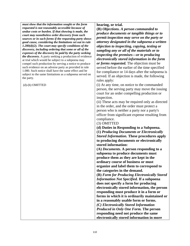*must show that the information sought or the form requested is not reasonably accessible because of undue costs or burden. If that showing is made, the court may nonetheless order discovery from such sources or in such forms if the requesting party shows good cause, considering the limitations set out in rule 1.280(d)(2). The court may specify conditions of the discovery, including ordering that some or all of the expenses of the discovery be paid by the party seeking the discovery.* A party seeking a production of evidence at trial which would be subject to a subpoena may compel such production by serving a notice to produce such evidence on an adverse party as provided in rule 1.080. Such notice shall have the same effect and be subject to the same limitations as a subpoena served on the party.

(d)-(h) OMITTED

**hearing, or trial.** 

**(B)** *Objections. A person commanded to produce documents or tangible things or to permit inspection may serve on the party or attorney designated in the subpoena a written objection to inspecting, copying, testing or sampling any or all of the materials or to inspecting the premises—or to producing electronically stored information in the form or forms requested.* The objection must be served before the earlier of the time specified for compliance or 14 days after the subpoena is served. If an objection is made, the following rules apply:

(i) At any time, on notice to the commanded person, the serving party may move the issuing court for an order compelling production or inspection.

(ii) These acts may be required only as directed in the order, and the order must protect a person who is neither a party nor a party's officer from significant expense resulting from compliance.

(3) OMITTED

**(d) Duties in Responding to a Subpoena. (1)** *Producing Documents or Electronically Stored Information.* **These procedures apply to producing documents or electronically stored information:** 

**(A)** *Documents.* **A person responding to a subpoena to produce documents must produce them as they are kept in the ordinary course of business or must organize and label them to correspond to the categories in the demand.** 

**(B)** *Form for Producing Electronically Stored Information Not Specified.* **If a subpoena does not specify a form for producing electronically stored information, the person responding must produce it in a form or forms in which it is ordinarily maintained or in a reasonably usable form or forms.**  *(C) Electronically Stored Information Produced in Only One Form.* **The person responding need not produce the same electronically stored information in more**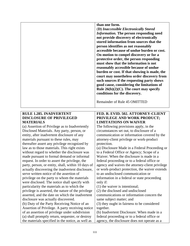|                                                    | than one form.<br>(D) Inaccessible Electronically Stored<br>Information. The person responding need<br>not provide discovery of electronically<br>stored information from sources that the<br>person identifies as not reasonably<br>accessible because of undue burden or cost.<br>On motion to compel discovery or for a<br>protective order, the person responding<br>must show that the information is not<br>reasonably accessible because of undue<br>burden or cost. If that showing is made, the<br>court may nonetheless order discovery from<br>such sources if the requesting party shows<br>good cause, considering the limitations of<br>Rule $26(b)(2)(C)$ . The court may specify<br>conditions for the discovery.<br>Remainder of Rule 45 OMITTED |
|----------------------------------------------------|-------------------------------------------------------------------------------------------------------------------------------------------------------------------------------------------------------------------------------------------------------------------------------------------------------------------------------------------------------------------------------------------------------------------------------------------------------------------------------------------------------------------------------------------------------------------------------------------------------------------------------------------------------------------------------------------------------------------------------------------------------------------|
| <b>RULE 1.285. INADVERTENT</b>                     | FED. R. EVID. 502. ATTORNEY-CLIENT                                                                                                                                                                                                                                                                                                                                                                                                                                                                                                                                                                                                                                                                                                                                |
| <b>DISCLOSURE OF PRIVILEGED</b>                    | PRIVILEGE AND WORK PRODUCT;                                                                                                                                                                                                                                                                                                                                                                                                                                                                                                                                                                                                                                                                                                                                       |
| <b>MATERIALS</b>                                   | <b>LIMITATIONS ON WAIVER</b>                                                                                                                                                                                                                                                                                                                                                                                                                                                                                                                                                                                                                                                                                                                                      |
| (a) Assertion of Privilege as to Inadvertently     | The following provisions apply, in the                                                                                                                                                                                                                                                                                                                                                                                                                                                                                                                                                                                                                                                                                                                            |
| Disclosed Materials. Any party, person, or         | circumstances set out, to disclosure of a                                                                                                                                                                                                                                                                                                                                                                                                                                                                                                                                                                                                                                                                                                                         |
| entity, after inadvertent disclosure of any        | communication or information covered by the                                                                                                                                                                                                                                                                                                                                                                                                                                                                                                                                                                                                                                                                                                                       |
| materials pursuant to these rules, may             | attorney-client privilege or work-product                                                                                                                                                                                                                                                                                                                                                                                                                                                                                                                                                                                                                                                                                                                         |
| thereafter assert any privilege recognized by      | protection.                                                                                                                                                                                                                                                                                                                                                                                                                                                                                                                                                                                                                                                                                                                                                       |
| law as to those materials. This right exists       | (a) Disclosure Made in a Federal Proceeding or                                                                                                                                                                                                                                                                                                                                                                                                                                                                                                                                                                                                                                                                                                                    |
| without regard to whether the disclosure was       | to a Federal Office or Agency; Scope of a                                                                                                                                                                                                                                                                                                                                                                                                                                                                                                                                                                                                                                                                                                                         |
| made pursuant to formal demand or informal         | Waiver. When the disclosure is made in a                                                                                                                                                                                                                                                                                                                                                                                                                                                                                                                                                                                                                                                                                                                          |
| request. In order to assert the privilege, the     | federal proceeding or to a federal office or                                                                                                                                                                                                                                                                                                                                                                                                                                                                                                                                                                                                                                                                                                                      |
| party, person, or entity, shall, within 10 days of | agency and waives the attorney-client privilege                                                                                                                                                                                                                                                                                                                                                                                                                                                                                                                                                                                                                                                                                                                   |
| actually discovering the inadvertent disclosure,   | or work-product protection, the waiver extends                                                                                                                                                                                                                                                                                                                                                                                                                                                                                                                                                                                                                                                                                                                    |
| serve written notice of the assertion of           | to an undisclosed communication or                                                                                                                                                                                                                                                                                                                                                                                                                                                                                                                                                                                                                                                                                                                                |
| privilege on the party to whom the materials       | information in a federal or state proceeding                                                                                                                                                                                                                                                                                                                                                                                                                                                                                                                                                                                                                                                                                                                      |
| were disclosed. The notice shall specify with      | only if:                                                                                                                                                                                                                                                                                                                                                                                                                                                                                                                                                                                                                                                                                                                                                          |
| particularity the materials as to which the        | $(1)$ the waiver is intentional;                                                                                                                                                                                                                                                                                                                                                                                                                                                                                                                                                                                                                                                                                                                                  |
| privilege is asserted, the nature of the privilege | (2) the disclosed and undisclosed                                                                                                                                                                                                                                                                                                                                                                                                                                                                                                                                                                                                                                                                                                                                 |
| asserted, and the date on which the inadvertent    | communications or information concern the                                                                                                                                                                                                                                                                                                                                                                                                                                                                                                                                                                                                                                                                                                                         |
| disclosure was actually discovered.                | same subject matter; and                                                                                                                                                                                                                                                                                                                                                                                                                                                                                                                                                                                                                                                                                                                                          |
| (b) Duty of the Party Receiving Notice of an       | (3) they ought in fairness to be considered                                                                                                                                                                                                                                                                                                                                                                                                                                                                                                                                                                                                                                                                                                                       |
| Assertion of Privilege. A party receiving notice   | together.                                                                                                                                                                                                                                                                                                                                                                                                                                                                                                                                                                                                                                                                                                                                                         |
| of an assertion of privilege under subdivision     | (b) Inadvertent Disclosure. When made in a                                                                                                                                                                                                                                                                                                                                                                                                                                                                                                                                                                                                                                                                                                                        |
| (a) shall promptly return, sequester, or destroy   | federal proceeding or to a federal office or                                                                                                                                                                                                                                                                                                                                                                                                                                                                                                                                                                                                                                                                                                                      |
| the materials specified in the notice, as well as  | agency, the disclosure does not operate as a                                                                                                                                                                                                                                                                                                                                                                                                                                                                                                                                                                                                                                                                                                                      |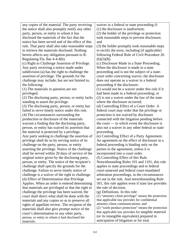| any copies of the material. The party receiving    | waiver in a federal or state proceeding if:          |
|----------------------------------------------------|------------------------------------------------------|
| the notice shall also promptly notify any other    | $(1)$ the disclosure is inadvertent;                 |
| party, person, or entity to whom it has            | (2) the holder of the privilege or protection        |
| disclosed the materials of the fact that the       | took reasonable steps to prevent disclosure;         |
| notice has been served and of the effect of this   | and                                                  |
| rule. That party shall also take reasonable steps  | (3) the holder promptly took reasonable steps        |
| to retrieve the materials disclosed. Nothing       | to rectify the error, including (if applicable)      |
| herein affects any obligation pursuant to R.       | following Federal Rule of Civil Procedure 26         |
| Regulating Fla. Bar 4-4.4(b).                      | (b)(5)(B).                                           |
| (c) Right to Challenge Assertion of Privilege.     | (c) Disclosure Made in a State Proceeding.           |
| Any party receiving a notice made under            | When the disclosure is made in a state               |
| subdivision (a) has the right to challenge the     | proceeding and is not the subject of a state-        |
| assertion of privilege. The grounds for the        | court order concerning waiver, the disclosure        |
| challenge may include, but are not limited to,     | does not operate as a waiver in a federal            |
| the following:                                     | proceeding if the disclosure:                        |
| $(1)$ The materials in question are not            | (1) would not be a waiver under this rule if it      |
| privileged.                                        | had been made in a federal proceeding; or            |
| (2) The disclosing party, person, or entity lacks  | (2) is not a waiver under the law of the state       |
| standing to assert the privilege.                  | where the disclosure occurred.                       |
| (3) The disclosing party, person, or entity has    | (d) Controlling Effect of a Court Order. A           |
| failed to serve timely notice under this rule.     | federal court may order that the privilege or        |
| (4) The circumstances surrounding the              | protection is not waived by disclosure               |
| production or disclosure of the materials          | connected with the litigation pending before         |
| warrant a finding that the disclosing party,       | the court $-$ in which event the disclosure is       |
| person, or entity has waived its assertion that    | also not a waiver in any other federal or state      |
| the material is protected by a privilege.          | proceeding.                                          |
| Any party seeking to challenge the assertion of    | (e) Controlling Effect of a Party Agreement.         |
| privilege shall do so by serving notice of its     | An agreement on the effect of disclosure in a        |
| challenge on the party, person, or entity          | federal proceeding is binding only on the            |
| asserting the privilege. Notice of the challenge   | parties to the agreement, unless it is               |
| shall be served within 20 days of service of the   | incorporated into a court order.                     |
| original notice given by the disclosing party,     | (f) Controlling Effect of this Rule.                 |
| person, or entity. The notice of the recipient's   | Notwithstanding Rules 101 and 1101, this rule        |
| challenge shall specify the grounds for the        | applies to state proceedings and to federal          |
| challenge. Failure to serve timely notice of       | court-annexed and federal court-mandated             |
| challenge is a waiver of the right to challenge.   | arbitration proceedings, in the circumstances        |
| (d) Effect of Determination that Privilege         | set out in the rule. And notwithstanding Rule        |
| Applies. When an order is entered determining      | 501, this rule applies even if state law provides    |
| that materials are privileged or that the right to | the rule of decision.                                |
| challenge the privilege has been waived, the       | $(g)$ Definitions. In this rule:                     |
| court shall direct what shall be done with the     | (1) "attorney-client privilege" means the protection |
| materials and any copies so as to preserve all     | that applicable law provides for confidential        |
| rights of appellate review. The recipient of the   | attorney-client communications; and                  |
| materials shall also give prompt notice of the     | (2) "work-product protection" means the protection   |
| court's determination to any other party,          | that applicable law provides for tangible material   |
| person, or entity to whom it had disclosed the     | (or its intangible equivalent) prepared in           |
| materials.                                         | anticipation of litigation or for trial.             |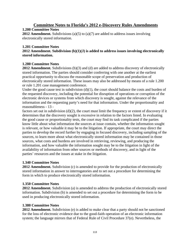# **Committee Notes to Florida's 2012 e-Discovery Rules Amendments**

# **1.200 Committee Notes**

**2012 Amendment.** Subdivisions (a)(5) to (a)(7) are added to address issues involving electronically stored information.

# **1.201 Committee Notes**

# **2012 Amendment. Subdivision (b)(1)(J) is added to address issues involving electronically stored information.**

# **1.280 Committee Notes**

**2012 Amendment.** Subdivisions (b)(3) and (d) are added to address discovery of electronically stored information. The parties should consider conferring with one another at the earliest practical opportunity to discuss the reasonable scope of preservation and production of electronically stored information. These issues may also be addressed by means of a rule 1.200 or rule 1.201 case management conference.

Under the good cause test in subdivision  $(d)(1)$ , the court should balance the costs and burden of the requested discovery, including the potential for disruption of operations or corruption of the electronic devices or systems from which discovery is sought, against the relevance of the information and the requesting party's need for that information. Under the proportionality and reasonableness - 13 -

factors set out in subdivision (d)(2), the court must limit the frequency or extent of discovery if it determines that the discovery sought is excessive in relation to the factors listed. In evaluating the good cause or proportionality tests, the court may find its task complicated if the parties know little about what information the sources at issue contain, whether the information sought is relevant, or how valuable it may be to the litigation. If appropriate, the court may direct the parties to develop the record further by engaging in focused discovery, including sampling of the sources, to learn more about what electronically stored information may be contained in those sources, what costs and burdens are involved in retrieving, reviewing, and producing the information, and how valuable the information sought may be to the litigation in light of the availability of information from other sources or methods of discovery, and in light of the parties' resources and the issues at stake in the litigation.

# **1.340 Committee Notes**

**2012 Amendment.** Subdivision (c) is amended to provide for the production of electronically stored information in answer to interrogatories and to set out a procedure for determining the form in which to produce electronically stored information.

# **1.350 Committee Notes**

**2012 Amendment.** Subdivision (a) is amended to address the production of electronically stored information. Subdivision (b) is amended to set out a procedure for determining the form to be used in producing electronically stored information.

# **1.380 Committee Notes**

**2012 Amendment.** Subdivision (e) is added to make clear that a party should not be sanctioned for the loss of electronic evidence due to the good-faith operation of an electronic information system; the language mirrors that of Federal Rule of Civil Procedure 37(e). Nevertheless, the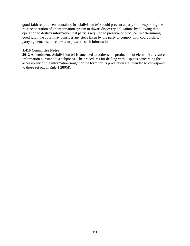good-faith requirement contained in subdivision (e) should prevent a party from exploiting the routine operation of an information system to thwart discovery obligations by allowing that operation to destroy information that party is required to preserve or produce. In determining good faith, the court may consider any steps taken by the party to comply with court orders, party agreements, or requests to preserve such information.

## **1.410 Committee Notes**

**2012 Amendment.** Subdivision (c) is amended to address the production of electronically stored information pursuant to a subpoena. The procedures for dealing with disputes concerning the accessibility of the information sought or the form for its production are intended to correspond to those set out in Rule 1.280(d).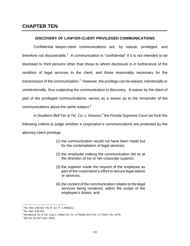# **CHAPTER TEN**

#### **DISCOVERY OF LAWYER-CLIENT PRIVILEGED COMMUNICATIONS**

Confidential lawyer-client communications are, by statute, privileged, and therefore not discoverable.<sup>1</sup> A communication is "confidential" if it is not intended to be disclosed to third persons other than those to whom disclosure is in furtherance of the rendition of legal services to the client, and those reasonably necessary for the transmission of the communication.<sup>2</sup> However, the privilege can be waived, intentionally or unintentionally, thus subjecting the communication to discovery. A waiver by the client of part of the privileged communications, serves as a waiver as to the remainder of the communications about the same subject. $3$ 

In *Southern Bell Tel. & Tel. Co. v. Deason*,<sup>4</sup> the Florida Supreme Court set forth the following criteria to judge whether a corporation's communications are protected by the attorney-client privilege:

- (1) the communication would not have been made but for the contemplation of legal services;
- (2) the employee making the communication did so at the direction of his or her corporate superior;
- (3) the superior made the request of the employee as part of the corporation's effort to secure legal advice or services;
- (4) the content of the communication relates to the legal services being rendered, within the scope of the employee's duties; and

<sup>1</sup> Fla. Stat. § 90.502; Fla. R. Civ. P. 1.280(b)(1).

<sup>&</sup>lt;sup>2</sup> Fla. Stat. § 90.502.

<sup>&</sup>lt;sup>3</sup> Iternational Tel. & Tel. Corp v. United Tel. Co. of Florida, 60 F.R.D. 177 (M.D. Fla. 1973).

 <sup>632</sup> So. 2d 1377 (Fla. 1994).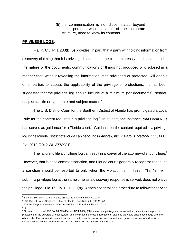(5) the communication is not disseminated beyond those persons who, because of the corporate structure, need to know its contents.

## **PRIVILEGE LOGS:**

Fla. R. Civ. P. 1.280(b)(5) provides, in part, that a party withholding information from discovery claiming that it is privileged shall make the claim expressly, and shall describe the nature of the documents, communications or things not produced or disclosed in a manner that, without revealing the information itself privileged or protected, will enable other parties to assess the applicability of the privilege or protections. It has been suggested that the privilege log should include at a minimum (for documents), sender, recipients, title or type, date and subject matter.<sup>5</sup>

The U.S. District Court for the Southern District of Florida has promulgated a Local Rule for the content required in a privilege log. $6$  In at least one instance, that Local Rule has served as guidance for a Florida court.<sup>7</sup> Guidance for the content required in a privilege log in the Middle District of Florida can be found in *Arthrex, Inc. v. Parcus Medical, LLC, M.D.,* Fla. 2012 (2012 WL 3778981).

The failure to file a privilege log can result in a waiver of the attorney-client privilege. $^8$ However, that is not a common sanction, and Florida courts generally recognize that such a sanction should be resorted to only when the violation is serious.<sup>9</sup> The failure to submit a privilege log at the same time as a discovery response is served, does not waive the privilege. Fla. R. Civ. P. 1.280(b)(5) does not detail the procedure to follow for service

<sup>5</sup> *Bankers Sec. Ins. Co. v. Symons*, 889 So. 2d 93 (Fla. 5th DCA 2004). 6

 $6$  U.S. District Court, Southern District of Florida, Local Rule 26.1(g)(3)(B)(ii).

<sup>&</sup>lt;sup>7</sup> TIG Ins. Corp. of America v. Johnson, 799 So. 2d 339 (Fla. 4th DCA 2001).<br><sup>8</sup> Id.<br><sup>9</sup> Gosman v. Luzinski, 937 So. 2d 293 (Fla. 4th DCA 2006) ("Attorney-client privilege and work-product immunity are important protections in the adversarial legal system, and any breach of these privileges can give one party and undue advantage over the other party. Florida's courts generally recognize that an implicit waiver of an important privilege as a sanction for a discovery violation should not be favored, but resorted to only when the violation is serious.").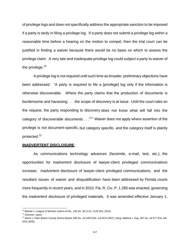of privilege logs and does not specifically address the appropriate sanction to be imposed if a party is tardy in filing a privilege log. If a party does not submit a privilege log within a reasonable time before a hearing on the motion to compel, then the trial court can be justified in finding a waiver because there would be no basis on which to assess the privilege claim. A very late and inadequate privilege log could subject a party to waiver of the privilege. $10$ 

A privilege log is not required until such time as broader, preliminary objections have been addressed. "A party is required to file a [privilege] log only if the information is otherwise discoverable. Where the party claims that the production of documents is burdensome and harassing . . . the scope of discovery is at issue. Until the court rules on the request, the party responding to discovery does not know what will fall into the category of discoverable documents . . ."<sup>11</sup> Waiver does not apply where assertion of the privilege is not document-specific, but category specific, and the category itself is plainly protected.12

#### **INADVERTENT DISCLOSURE:**

As communications technology advances (facsimile, e-mail, test, etc.), the opportunities for inadvertent disclosure of lawyer-client privileged communications increase. Inadvertent disclosure of lawyer-client privileged communications, and the resultant issues of waiver and disqualification have been addressed by Florida courts more frequently in recent years, and in 2010, Fla. R. Civ. P. 1.285 was enacted, governing the inadvertent disclosure of privileged materials. It was amended effective January 1,

<sup>10</sup> *Bainter v. League of Women Voters of Fla*., 150 So. 3d 1115, 1129 (Fla. 2014). 11 *Gosman, supra.*

<sup>12</sup> *Nevin v. Palm Beach County School Board,* 958 So. 2d 1003 (Fla. 1st DCA 2007); citing: *Matlock v. Day,* 907 So. 2d 577 (Fla. 5th DCA 2005).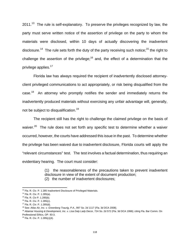2011.<sup>13</sup> The rule is self-explanatory. To preserve the privileges recognized by law, the party must serve written notice of the assertion of privilege on the party to whom the materials were disclosed, within 10 days of actually discovering the inadvertent disclosure.<sup>14</sup> The rule sets forth the duty of the party receiving such notice;<sup>15</sup> the right to challenge the assertion of the privilege;<sup>16</sup> and, the effect of a determination that the privilege applies.<sup>17</sup>

T T T Florida law has always required the recipient of inadvertently disclosed attorneyclient privileged communications to act appropriately, or risk being disqualified from the case.<sup>18</sup> An attorney who promptly notifies the sender and immediately returns the inadvertently produced materials without exercising any unfair advantage will, generally, not be subject to disqualification.<sup>19</sup>

The recipient still has the right to challenge the claimed privilege on the basis of waiver.<sup>20</sup> The rule does not set forth any specific test to determine whether a waiver occurred, however, the courts have addressed this issue in the past. To determine whether the privilege has been waived due to inadvertent disclosure, Florida courts will apply the "relevant circumstances" test. The test involves a factual determination, thus requiring an evidentiary hearing. The court must consider:

> (1) the reasonableness of the precautions taken to prevent inadvertent disclosure in view of the extent of document production; (2) the number of inadvertent disclosures;

 $\overline{a}$ <sup>13</sup> Fla. R. Civ. P. 1.285 Inadvertent Disclosure of Privileged Materials.<br><sup>14</sup> Fla. R. Civ. P. 1.285(a).

<sup>15</sup> Fla. R. Civ P. 1.285(b).

<sup>16</sup> Fla. R. Civ. P. 1.285(c).

<sup>17</sup> Fla. R. Civ. P. 1.285(d).

<sup>&</sup>lt;sup>18</sup> See: *Atlas Air, Inc. v. Greenberg Traurig, P.A.,* 997 So. 2d 1117 (Fla. 3d DCA 2008).<br><sup>19</sup> *Abamar Housing & Development, Inc. v. Lisa Daly Lady Decor, 724 So. 2d 572 (Fla. 3d DCA 1998); citing Fla. Bar Comm. On* Professional Ethics, OP. 93-3.

 $20$  Fla. R. Civ. P. 1.285(c)(4).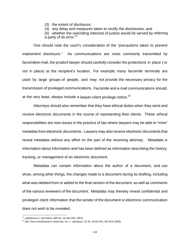- (3) the extent of disclosure;
- (4) any delay and measures taken to rectify the disclosures; and

(5) whether the overriding interests of justice would be served by relieving a party of its error. $21$ 

One should note the court's consideration of the "precautions taken to prevent inadvertent disclosure." As communications are more commonly transmitted by facsimile/e-mail, the prudent lawyer should carefully consider the protections in place ( or not in place) at the recipient's location. For example, many facsimile terminals are used by large groups of people, and may not provide the necessary privacy for the transmission of privileged communications. Facsimile and e-mail communications should, at the very least, always include a lawyer-client privilege notice. $^{22}$ 

Attorneys should also remember that they have ethical duties when they send and receive electronic documents in the course of representing their clients. These ethical responsibilities are now issues in the practice of law where lawyers may be able to "mine" metadata from electronic documents. Lawyers may also receive electronic documents that reveal metadata without any effort on the part of the receiving attorney. Metadata is information about information and has been defined as information describing the history, tracking, or management of an electronic document.

Metadata can contain information about the author of a document, and can show, among other things, the changes made to a document during its drafting, including what was deleted from or added to the final version of the document, as well as comments of the various reviewers of the document. Metadata may thereby reveal confidential and privileged client information that the sender of the document or electronic communication does not wish to be revealed.

 $21$  Lightbourne v. McCollum, 969 So. 2d 326 (Fla. 2007).

<sup>&</sup>lt;sup>22</sup> See: *Nova Southeastern University, Inc. v. Jacobson*, 25 So. 3d 82 (Fla. 4th DCA 2009).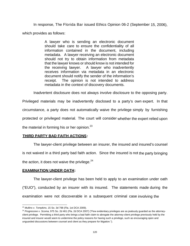In response, The Florida Bar issued Ethics Opinion 06-2 (September 15, 2006), which provides as follows:

> A lawyer who is sending an electronic document should take care to ensure the confidentiality of all information contained in the document, including metadata. A lawyer receiving an electronic document should not try to obtain information from metadata that the lawyer knows or should know is not intended for the receiving lawyer. A lawyer who inadvertently receives information via metadata in an electronic document should notify the sender of the information's receipt. The opinion is not intended to address metadata in the context of discovery documents.

Inadvertent disclosure does not always involve disclosure to the opposing party.

Privileged materials may be inadvertently disclosed to a party's own expert. In that circumstance, a party does not automatically waive the privilege simply by furnishing protected or privileged material. The court will consider whether the expert relied upon the material in forming his or her opinion. $^{23}$ 

## **IHIRD PARTY BAD FAITH ACTIONS:**

The lawyer-client privilege between an insurer, the insured and insured's counsel is not waived in a third party bad faith action. Since the insured is not the party bringing the action, it does not waive the privilege. $24$ 

## **EXAMINATION UNDER OATH:**

The lawyer-client privilege has been held to apply to an examination under oath ("EUO"), conducted by an insurer with its insured. The statements made during the examination were not discoverable in a subsequent criminal case involving the

<sup>&</sup>lt;sup>23</sup> Mullins v. Tompkins, 15 So. 3d 798 (Fla. 1st DCA 2009).

<sup>&</sup>lt;sup>24</sup> Progressive v. Scoma, 975 So. 2d 461 (Fla. 2d DCA 2007) ("Few evidentiary privileges are as jealously guarded as the attorneyclient privilege. Permitting a third party who brings a bad faith claim to abrogate the attorney-client privilege previously held by the insured and insurer would seem to undermine the policy reasons for having such a privilege, such as encouraging open and unguarded discussions between counsel and client as they prepare for litigation.").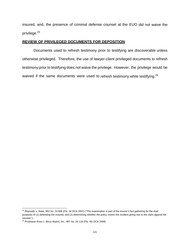insured, and, the presence of criminal defense counsel at the EUO did not waive the privilege.<sup>25</sup>

# **REVIEW OF PRIVILEGED DOCUMENTS FOR DEPOSITION:**

Documents used to refresh testimony prior to testifying are discoverable unless otherwise privileged. Therefore, the use of lawyer-client privileged documents to refresh testimony prior to testifying does not waive the privilege. However, the privilege would be waived if the same documents were used to refresh testimony while testifying.<sup>26</sup>

<u>.</u>

<sup>25</sup> *Reynolds v. State*, 963 So. 2d 908 (Fla. 2d DCA 2007) ("The examination is part of the insurer's fact gathering for the dual purposes of (1) defending the insured, and (2) determining whether the policy covers the incident giving rise to the claim against the insured.").

<sup>26</sup> *Proskauer Rose v. Boca Airport, Inc.*, 987 So. 2d 116 (Fla. 4th DCA 2008).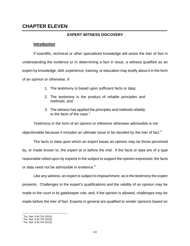# **CHAPTER ELEVEN**

## **EXPERT WITNESS DISCOVERY**

## **Introduction**

If scientific, technical or other specialized knowledge will assist the trier of fact in understanding the evidence or in determining a fact in issue, a witness qualified as an expert by knowledge, skill, experience, training, or education may testify about it in the form of an opinion or otherwise, if:

- 1. The testimony is based upon sufficient facts or data;
- 2. The testimony is the product of reliable principles and methods; and
- 3. The witness has applied the principles and methods reliably to the facts of the case.<sup>1</sup>

Testimony in the form of an opinion or inference otherwise admissible is not objectionable because it includes an ultimate issue to be decided by the trier of fact. $2$ 

 The facts or data upon which an expert bases an opinion may be those perceived by, or made known to, the expert at or before the trial. If the facts or data are of a type reasonable relied upon by experts in the subject to support the opinion expressed, the facts or data need not be admissible in evidence.<sup>3</sup>

 Like any witness, an expert is subject to impeachment, as is the testimony the expert presents. Challenges to the expert's qualifications and the validity of an opinion may be made to the court in its gatekeeper role; and, if the opinion is allowed, challenges may be made before the trier of fact. Experts in general are qualified to render opinions based on

<sup>1</sup> 1 Fla. Stat. § 90.702 (2015).

 $^{2}$  Fla. Stat. § 90.703 (2015).

 $^3$  Fla. Stat. § 90.704 (2015).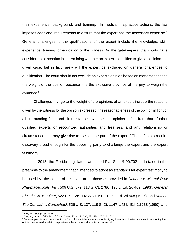their experience, background, and training. In medical malpractice actions, the law imposes additional requirements to ensure that the expert has the necessary expertise.<sup>4</sup> General challenges to the qualifications of the expert include the knowledge, skill, experience, training, or education of the witness. As the gatekeepers, trial courts have considerable discretion in determining whether an expert is qualified to give an opinion in a given case, but in fact rarely will the expert be excluded on general challenges to qualification. The court should not exclude an expert's opinion based on matters that go to the weight of the opinion because it is the exclusive province of the jury to weigh the evidence.<sup>5</sup>

Challenges that go to the weight of the opinions of an expert include the reasons given by the witness for the opinion expressed, the reasonableness of the opinion in light of all surrounding facts and circumstances, whether the opinion differs from that of other qualified experts or recognized authorities and treatises, and any relationship or circumstance that may give rise to bias on the part of the expert.<sup>6</sup> These factors require discovery broad enough for the opposing party to challenge the expert and the expert testimony.

In 2013, the Florida Legislature amended Fla. Stat. § 90.702 and stated in the preamble to the amendment that it intended to adopt as standards for expert testimony to be used by the courts of this state to be those as provided in *Daubert v. Merrell Dow Pharmaceuticals, Inc.*, 509 U.S. 579, 113 S. Ct. 2786, 125 L. Ed. 2d 469 (1993), *General Electric Co. v. Joiner*, 522 U.S. 136, 118 S. Ct. 512, 139 L. Ed. 2d 508 (1997), and *Kumho Tire Co., Ltd. v. Carmichael*, 526 U.S. 137, 119 S. Ct. 1167, 143 L. Ed. 2d 238 (1999), and

<sup>&</sup>lt;sup>4</sup> *E.g.*, Fla. Stat. § 766.102(5).<br><sup>5</sup> See, e.g., *Univ. of Fla. Bd. of Trs. v. Stone*, 92 So. 3d 264, 272 (Fla. 1<sup>st</sup> DCA 2012).

For example, bias can be shown in the form of financial remuneration for testifying, financial or business interest in supporting the opinions expressed, a relationship between the witness and a party or counsel, etc.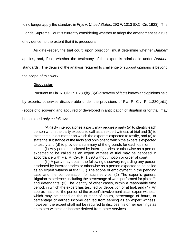to no longer apply the standard in *Frye v. United States*, 293 F. 1013 (D.C. Cir. 1923). The Florida Supreme Court is currently considering whether to adopt the amendment as a rule of evidence, to the extent that it is procedural.

As gatekeeper, the trial court, upon objection, must determine whether *Daubert* applies, and, if so, whether the testimony of the expert is admissible under *Daubert*  standards. The details of the analysis required to challenge or support opinions is beyond the scope of this work.

## **Discussion**

Pursuant to Fla. R. Civ. P. 1.280(b)(5)(A) discovery of facts known and opinions held

by experts, otherwise discoverable under the provisions of Fla. R. Civ. P. 1.280(b)(1)

(scope of discovery) and acquired or developed in anticipation of litigation or for trial, may

be obtained *only as follows*:

(A)(i) By interrogatories a party may require a party (a) to identify each person whom the party expects to call as an expert witness at trial and (b) to state the subject matter on which the expert is expected to testify, and (c) to state the substance of the facts and opinions to which the expert is expected to testify and (d) to provide a summary of the grounds for each opinion.

(ii) Any person disclosed by interrogatories or otherwise as a person expected to be called as an expert witness at trial may be deposed in accordance with Fla. R. Civ. P. 1.390 without motion or order of court.

(iii) A party may obtain the following discovery regarding any person disclosed by interrogatories or otherwise as a person expected to be called as an expert witness at trial: (1) The scope of employment in the pending case and the compensation for such service; (2) The expert's general litigation experience, including the percentage of work performed for plaintiffs and defendants. (3) The identity of other cases, within a reasonable time period, in which the expert has testified by deposition or at trial; and (4) An approximation of the portion of the expert's involvement as an expert witness, which may be based on the number of hours, percentage of hours, or percentage of earned income derived from serving as an expert witness; however, the expert shall not be required to disclose his or her earnings as an expert witness or income derived from other services.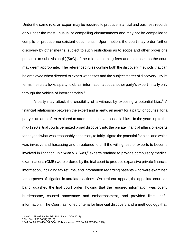Under the same rule, an expert may be required to produce financial and business records only under the most unusual or compelling circumstances and may not be compelled to compile or produce nonexistent documents. Upon motion, the court may order further discovery by other means, subject to such restrictions as to scope and other provisions pursuant to subdivision (b)(5)(C) of the rule concerning fees and expenses as the court may deem appropriate. The referenced rules confine both the discovery methods that can be employed when directed to expert witnesses and the subject matter of discovery. By its terms the rule allows a party to obtain information about another party's expert initially only through the vehicle of interrogatories.<sup>7</sup>

A party may attack the credibility of a witness by exposing a potential bias.<sup>8</sup> A financial relationship between the expert and a party, an agent for a party, or counsel for a party is an area often explored to attempt to uncover possible bias. In the years up to the mid-1990's, trial courts permitted broad discovery into the private financial affairs of experts far beyond what was reasonably necessary to fairly litigate the potential for bias, and which was invasive and harassing and threatened to chill the willingness of experts to become involved in litigation. In Syken v. Elkins, <sup>9</sup> experts retained to provide compulsory medical examinations (CME) were ordered by the trial court to produce expansive private financial information, including tax returns, and information regarding patients who were examined for purposes of litigation in unrelated actions. On certiorari appeal, the appellate court, en banc, quashed the trial court order, holding that the required information was overly burdensome, caused annoyance and embarrassment, and provided little useful information. The Court fashioned criteria for financial discovery and a methodology that

1

<sup>&</sup>lt;sup>7</sup> Smith v. Eldred, 96 So. 3d 1102 (Fla. 4<sup>th</sup> DCA 2012).

 $8$  Fla. Stat. § 90.608(2) (2015).

<sup>9</sup> 644 So. 2d 539 (Fla. 3d DCA 1994), approved, 672 So. 2d 517 (Fla. 1996)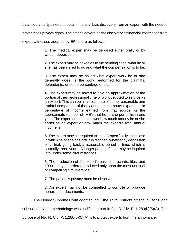balanced a party's need to obtain financial bias discovery from an expert with the need to

protect their privacy rights. The criteria governing the discovery of financial information from

expert witnesses adopted by *Elkins* are as follows:

1. The medical expert may be deposed either orally or by written deposition.

2. The expert may be asked as to the pending case, what he or she has been hired to do and what the compensation is to be.

3. The expert may be asked what expert work he or she generally does. Is the work performed for the plaintiffs, defendants, or some percentage of each.

4. The expert may be asked to give an approximation of the portion of their professional time or work devoted to service as an expert. This can be a fair estimate of some reasonable and truthful component of that work, such as hours expended, or percentage of income earned from that source, or the approximate number of IME's that he or she performs in one year. The expert need not answer how much money he or she earns as an expert or how much the expert's total annual income is.

5. The expert may be required to identify specifically each case in which he or she has actually testified, whether by deposition or at trial, going back a reasonable period of time, which is normally three years. A longer period of time may be inquired into under some circumstances.

6. The production of the expert's business records, files, and 1099's may be ordered produced only upon the most unusual or compelling circumstance.

7. The patient's privacy must be observed.

8. An expert may not be compelled to compile or produce nonexistent documents.

The Florida Supreme Court adopted in full the Third District's criteria in *Elkins,* and

subsequently the methodology was codified in part in Fla. R. Civ. P. 1.280(b)(5)(A). The

purpose of Fla. R. Civ. P. 1.280(b)(5)(A) is to protect experts from the annoyance,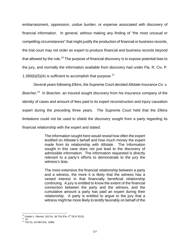embarrassment, oppression, undue burden, or expense associated with discovery of financial information. In general, without making any finding of "the most unusual or compelling circumstances" that might justify the production of financial or business records, the trial court may not order an expert to produce financial and business records beyond that allowed by the rule.<sup>10</sup> The purpose of financial discovery is to expose potential bias to the jury, and normally the information available from discovery had under Fla. R. Civ. P. 1.280(b)(5)(A) is sufficient to accomplish that purpose.<sup>11</sup>

Several years following *Elkins*, the Supreme Court decided *Allstate Insurance Co. v. Boecher*. 12 In *Boecher*, an insured sought discovery from his insurance company of the identity of cases and amount of fees paid to its expert reconstruction and injury causation expert during the preceding three years. The Supreme Court held that the *Elkins* limitations could not be used to shield the discovery sought from a party regarding its financial relationship with the expert and stated:

> The information sought here would reveal how often the expert testified on Allstate's behalf and how much money the expert made from its relationship with Allstate. The Information sought in this case does not just lead to the discovery of admissible information. The information requested is directly relevant to a party's efforts to demonstrate to the jury the witness's bias.

> The more extensive the financial relationship between a party and a witness, the more it is likely that the witness has a vested interest in that financially beneficial relationship continuing. A jury is entitled to know the extent of the financial connection between the party and the witness, and the cumulative amount a party has paid an expert during their relationship. A party is entitled to argue to the jury that a witness might be more likely to testify favorably on behalf of the

 $\overline{a}$ <sup>10</sup> Grabel v. Sterrett, 163 So. 3d 704 (Fla. 4<sup>th</sup> DCA 2015).<br><sup>11</sup> *Id.*<br><sup>12</sup> 733 So. 2d 993 (Fla. 1999).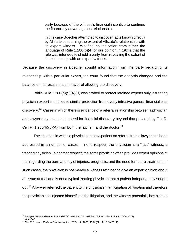party because of the witness's financial incentive to continue the financially advantageous relationship.

In this case Boecher attempted to discover facts known directly by Allstate concerning the extent of Allstate's relationship with its expert witness. We find no indication from either the language of Rule 1.280(b)(4) or our opinion in *Elkins* that the rule was intended to shield a party from revealing the extent of its relationship with an expert witness.

Because the discovery in *Boecher* sought information from the party regarding its relationship with a particular expert, the court found that the analysis changed and the balance of interests shifted in favor of allowing the discovery.

While Rule 1.280(b)(5)(A)(iii) was drafted to protect retained experts only, a treating physician expert is entitled to similar protection from overly intrusive general financial bias discovery.<sup>13</sup> Cases in which there is evidence of a referral relationship between a physician and lawyer may result in the need for financial discovery beyond that provided by Fla. R. Civ. P. 1.280(b)(5)(A) from both the law firm and the doctor.<sup>14</sup>

The situation in which a physician treats a patient on referral from a lawyer has been addressed in a number of cases. In one respect, the physician is a "fact" witness, a treating physician. In another respect, the same physician often provides expert opinions at trial regarding the permanency of injuries, prognosis, and the need for future treatment. In such cases, the physician is not merely a witness retained to give an expert opinion about an issue at trial and is not a typical treating physician that a patient independently sought out.<sup>15</sup> A lawyer referred the patient to the physician in anticipation of litigation and therefore the physician has injected himself into the litigation, and the witness potentially has a stake

 $^{13}$  Steinger, Iscoe & Greene, P.A. v GEICO Gen. Ins. Co., 103 So. 3d 200, 203-04 (Fla. 4<sup>th</sup> DCA 2012).

<sup>13</sup> *Steinger, Iscoe & Greene, P.A. v GEICO Gen. Ins. Co*., 103 So. 3d 200, 203-04 (Fla. 4th DCA 2012). 14 *Id*. at 547 15 *See Katzman v. Rediron Fabrication, Inc*., 76 So. 3d 1060, 1064 (Fla. 4th DCA 2011).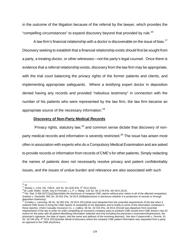in the outcome of the litigation because of the referral by the lawyer, which provides the "compelling circumstances" to expand discovery beyond that provided by rule.16

A law firm's financial relationship with a doctor is discoverable on the issue of bias.<sup>17</sup> Discovery seeking to establish that a financial relationship exists should first be sought from a party, a treating doctor, or other witnesses—not the party's legal counsel. Once there is evidence that a referral relationship exists, discovery from the law firm may be appropriate, with the trial court balancing the privacy rights of the former patients and clients, and implementing appropriate safeguards. Where a testifying expert doctor in deposition denied having any records and provided "nebulous testimony" in connection with the number of his patients who were represented by the law firm, the law firm became an appropriate source of the necessary information.<sup>18</sup>

### **Discovery of Non-Party Medical Records**

Privacy rights, statutory law,<sup>19</sup> and common sense dictate that discovery of nonparty medical records and information is severely restricted.<sup>20</sup> The issue has arisen most often in association with experts who do a Compulsory Medical Examination and are asked to provide records or information from records of CME's for other patients. Simply redacting the names of patients does not necessarily resolve privacy and patient confidentiality issues, and the issues of undue burden and relevance are also associated with such

 $16$  Id.

<sup>&</sup>lt;sup>17</sup> Worley v. Cent. Fla. YMCA, 163 So. 3d 1240 (Fla. 5<sup>th</sup> DCA 2015).<br><sup>18</sup>*ld; Lytal, Reiter, Smith, Ivey & Fronrath, L.L.P. v. Malay,* 133 So. 3d 1178 (Fla. 4th DCA 2014).<br><sup>19</sup> Fla. Stat. § 456.057(7)(a)(3)(prohibits the *Graham v. Dacheikh*, 991 So. 2d 932 (Fla. 2d DCA 2008)(disclosure is disclosure whether it is production of records or through deposition testimony).

<sup>20</sup> *Crowley v. Lamming*, 66 So. 3d 355 (Fla. 2d DCA 2011)(trial court departed from the essential requirements of the law when it ordered CME doctor to bring the CME reports of nonparties to his deposition and to testify to some of the information contained in those reports); *USAA Casualty Insurance Co. v. Callery*, 66 So. 3d 315 (Fla. 2d DCA 2011)(it was departure from essential requirements of the law to enter an order compelling an insurance company party to produce CME results from CME doctor's last 20 exams for the party with all patient-identifying information redacted and only including the physician's conclusions/impressions, the physician's signature, the date of report, and the name and address of the receiving attorney). *See also Coopersmith v. Perrine*, 91 So. 3d 246 (Fla. 4<sup>th</sup> DCA 2012)(similar denial of discovery where the nonparty CME patient information was requested from a party as opposed to the CME physician).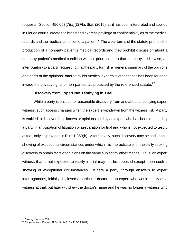requests. Section 456.057(7)(a)(3) Fla. Stat. (2015), as it has been interpreted and applied in Florida courts, creates "a broad and express privilege of confidentiality as to the medical records and the medical condition of a patient." The clear terms of the statute prohibit the production of a nonparty patient's medical records and they prohibit discussion about a nonparty patient's medical condition without prior notice to that nonparty.<sup>21</sup> Likewise, an interrogatory to a party requesting that the party furnish a "general summary of the opinions and basis of the opinions" offered by his medical experts in other cases has been found to invade the privacy rights of non-parties, as protected by the referenced statute.<sup>22</sup>

#### **Discovery from Expert Not Testifying in Trial**

While a party is entitled to reasonable discovery from and about a testifying expert witness, such access changes when the expert is withdrawn from the witness list. A party is entitled to discover facts known or opinions held by an expert who has been retained by a party in anticipation of litigation or preparation for trial and who is not expected to testify at trial, only as provided in Rule 1.360(b). Alternatively, such discovery may be had upon a showing of exceptional circumstances under which it is impracticable for the party seeking discovery to obtain facts or opinions on the same subject by other means. Thus, an expert witness that is not expected to testify in trial may not be deposed except upon such a showing of exceptional circumstances. Where a party, through answers to expert interrogatories, initially disclosed a particular doctor as an expert who would testify as a witness at trial, but later withdrew the doctor's name and he was no longer a witness who

<sup>&</sup>lt;sup>21</sup> Crowley, supra at 358.

<sup>21</sup> *Crowley*, *supra* at 358. 22 *Coopersmith v. Perrine*, 91 So. 3d 246 (Fla 4th DCA 2012).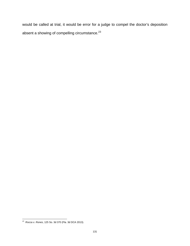would be called at trial, it would be error for a judge to compel the doctor's deposition absent a showing of compelling circumstance.<sup>23</sup>

 $\overline{a}$ *23 Rocca v. Rones*, 125 So. 3d 370 (Fla. 3d DCA 2013).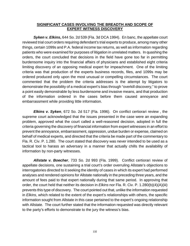## **SIGNIFICANT CASES INVOLVING THE BREADTH AND SCOPE OF EXPERT WITNESS DISCOVERY**

**Syken v. Elkins, 644 So. 2d 539 (Fla. 3d DCA 1994). En banc, the appellate court** reviewed trial court orders requiring defendant's trial experts to produce, among many other things, certain 1099s and P.A. federal income tax returns, as well as information regarding patients who were examined for purposes of litigation in unrelated matters. In quashing the orders, the court concluded that decisions in the field have gone too far in permitting burdensome inquiry into the financial affairs of physicians and established eight criteria limiting discovery of an opposing medical expert for impeachment. One of the limiting criteria was that production of the experts business records, files, and 1099s may be ordered produced only upon the most unusual or compelling circumstances. The court commented that the problem the criteria addresses is the attempt by litigators to demonstrate the possibility of a medical expert's bias through "overkill discovery," to prove a point easily demonstrable by less burdensome and invasive means, and that production of the information ordered in the cases before them caused annoyance and embarrassment while providing little information.

*Elkins v. Syken*, 672 So. 2d 517 (Fla. 1996). On conflict certiorari review , the supreme court acknowledged that the issues presented in the case were an expanding problem, approved what the court called a well-reasoned decision, adopted in full the criteria governing the discovery of financial information from expert witnesses in an effort to prevent the annoyance, embarrassment, oppression, undue burden or expense, claimed on behalf of medical experts, and directed that the criteria be made part of the commentary to Fla. R. Civ. P. 1.280. The court stated that discovery was never intended to be used as a tactical tool to harass an adversary in a manner that actually chills the availability of information by non-party witnesses.

*Allstate v. Boecher*, 733 So. 2d 993 (Fla. 1999). Conflict certiorari review of appellate decisions, one sustaining a trial court's order overruling Allstate's objections to interrogatories directed to it seeking the identity of cases in which its expert had performed analyses and rendered opinions for Allstate nationally in the preceding three years, and the amount of fees paid to that expert nationally during that same period. In approving that order, the court held that neither its decision in *Elkins* nor Fla. R. Civ. P. 1.280(b)(4)(A)(iii) prevents this type of discovery. The court pointed out that, unlike the information requested in *Elkins*, which related to the extent of the expert's relationships with others, the specific information sought from Allstate in this case pertained to the expert's ongoing relationship with Allstate. The court further stated that the information requested was directly relevant to the party's efforts to demonstrate to the jury the witness's bias.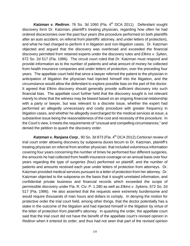Katzman v. Rediron, 76 So. 3d 1060 (Fla. 4<sup>th</sup> DCA 2011). Defendant sought discovery form Dr. Katzman, plaintiff's treating physician, regarding how often he had ordered discectomies over the past four years (the procedure performed on both plaintiffs after an auto accident, on referral from plaintiffs' attorney, and under letters of protection), and what he had charged to perform it in litigation and non-litigation cases. Dr. Katzman objected and argued that the discovery was overbroad and exceeded the financial discovery permitted from retained experts under the discovery rules and *Elkins v. Syken*, 672 So. 2d 517 (Fla. 1996). The circuit court ruled that Dr. Katzman must respond and provide information as to the number of patients and what amount of money he collected from health insurance companies and under letters of protection, over the preceding four years. The appellate court held that since a lawyer referred the patient to the physician in anticipation of litigation the physician had injected himself into the litigation, and the circumstance would allow the defendant to explore possible bias on the part of the doctor. It agreed that *Elkins* discovery should generally provide sufficient discovery into such financial bias. The appellate court further held that the discovery sought is not relevant merely to show that the witness may be biased based on an ongoing financial relationship with a party or lawyer, but was relevant to a discrete issue, whether the expert had performed an allegedly unnecessary and costly procedure with greater frequency in litigation cases, and whether he allegedly overcharged for the medical services at issue, a substantive issue being the reasonableness of the cost and necessity of the procedure. In the Court's view, it meets the requirements of "unusual and compelling circumstances," and denied the petition to quash the discovery order.

Katzman v. Ranjana Corp., 90 So. 3d 873 (Fla. 4<sup>th</sup> DCA 2012).Certiorari review of trial court order allowing discovery by subpoena duces tecum to Dr. Katzman, plaintiff's treating physician on referral from another physician, that included voluminous information covering four years concerning the number of times he performed four different surgeries, the amounts he had collected from health insurance coverage on an annual basis over four years regarding the type of surgeries (four) performed on plaintiff, and the number of patients and amounts received each year under letters of protection from attorneys. Dr. Katzman provided medical services pursuant to a letter of protection from her attorney. Dr. Katzman objected to the subpoena on the basis that it sought unrelated information, and confidential private business and financial records which exceeded the scope of permissible discovery under Fla. R. Civ. P. 1.280 as well as *Elkins v. Sykens*, 672 So. 2d 517 (Fla. 1996). He also asserted that the requests were extremely burdensome and would require thousands of man hours and dollars to comply. In denying the motion for protective order the trial court held, among other things, that the doctor potentially has a stake in the outcome of the litigation and had injected himself in the litigation by virtue of the letter of protection from plaintiff's attorney. In quashing the order, the appellate court said that the trial court did not have the benefit of the appellate court's revised opinion in *Rediron* when it entered its order, and thus had not seen that part of the revised opinion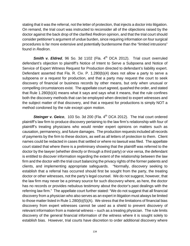stating that it was the referral, not the letter of protection, that injects a doctor into litigation. On remand, the trial court was instructed to reconsider all of the objections raised by the doctor against the back drop of the clarified *Rediron* opinion, and that the trial court should consider petitioner's argument of undue burden, since requiring information on four surgical procedures is far more extensive and potentially burdensome than the "limited intrusions" found in *Rediron*.

**Smith v. Eldred**, 96 So. 3d 1102 (Fla. 4<sup>th</sup> DCA 2012). Trial court overruled defendant's objection to plaintiff's Notice of Intent to Serve a Subpoena and Notice of Service of Expert Witness Request for Production directed to defendant's liability expert. Defendant asserted that Fla. R. Civ. P. 1.280(b)(4) does not allow a party to serve a subpoena or a request for production, and that a party may request the court to seek discovery of financial or business records by other means, but only when unusual or compelling circumstances exist. The appellate court agreed, quashed the order, and stated that Rule 1.280(b)(4) means what it says and says what it means, that the rule confines both the discovery methods that can be employed when directed to expert witnesses and the subject matter of that discovery, and that a request for productions is simply NOT a method condoned by the rule except upon motion.

**Steinger v. Geico**, 103 So. 3d 200 (Fla. 4<sup>th</sup> DCA 2012). The trial court ordered plaintiff's law firm to produce discovery pertaining to the law firm's relationship with four of plaintiff's treating physicians who would render expert opinions on matters such as causation, permanency, and future damages. The production requests included all records of payments by the firm to these doctors, as well as all letters of protection to them. Client names could be redacted in cases that settled or where no lawsuit was filed. The appellate court stated that where there is a preliminary showing that the plaintiff was referred to the doctor by the lawyer (whether directly or through a third party) or vice versa, the defendant is entitled to discover information regarding the extent of the relationship between the law firm and the doctor with the trial court balancing the privacy rights of the former patients and clients, and implementing appropriate safeguards. "Normally, discovery seeking to establish that a referral has occurred should first be sought from the party, the treating doctor or other witnesses, not the party's legal counsel. We do not suggest, however, that the law firm may never be a primary source for such discovery where, as here, the doctor has no records or provides nebulous testimony about the doctor's past dealings with the referring law firm." The appellate court further stated: "We do not suggest that all financial discovery from a physician who also serves as an expert in litigation must always be limited to those matter listed in Rule 1.280(b)(5)(A). We stress that the limitations of financial bias discovery from expert witnesses cannot be used as a shield to prevent discovery of relevant information from a material witness – such as a treating physician. The rule limits discovery of the general financial information of the witness where it is sought solely to establish bias. However, trial courts have discretion to order additional discovery where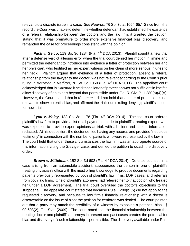relevant to a discrete issue in a case. *See Rediron*, 76 So. 3d at 1064-65." Since from the record the Court was unable to determine whether defendant had established the existence of a referral relationship between the doctors and the law firm, it granted the petition, stating that it was premature to order more extensive financial bias discovery, and remanded the case for proceedings consistent with the opinion.

**Pack v. Geico**, 119 So. 3d 1284 (Fla. 4<sup>th</sup> DCA 2013). Plaintiff sought a new trial after a defense verdict alleging error when the trial court denied her motion in limine and permitted the defendant to introduce into evidence a letter of protection between her and her physician, who testified as her expert witness on her claim of more serious injuries to her neck. Plaintiff argued that evidence of a letter of protection, absent a referral relationship from the lawyer to the doctor, was not relevant according to the Court's prior ruling in *Katzman v. Rediron*, 76 So. 3d 1060 (Fla. 4<sup>th</sup> DCA 2011). The appellate court acknowledged that in *Katzman* it held that a letter of protection was not sufficient in itself to allow discovery of an expert beyond that permissible under Fla. R. Civ. P. 1.280(b)(4)(A). However, the Court stated that in *Katzman* it did not hold that a letter of protection is not relevant to show potential bias, and affirmed the trial court's ruling denying plaintiff's motion for new trial.

**Lytal v. Malay**, 133 So. 3d 1178 (Fla. 4<sup>th</sup> DCA 2014). The trial court ordered plaintiff's law firm to provide a list of all payments made to plaintiff's treating expert, who was expected to provide expert opinions at trial, with all client and patient information redacted. At his deposition, the doctor denied having any records and provided "nebulous testimony" in connection with the number of patients who were represented by the law firm. The court held that under these circumstances the law firm was an appropriate source of this information, citing the *Steinger* case, and denied the petition to quash the discovery order.

**Brown v. Mittelman**, 152 So. 3d 602 (Fla. 4<sup>th</sup> DCA 2014). Defense counsel, in a case arising from an automobile accident, subpoenaed the person in one of plaintiff's treating physician's office with the most billing knowledge, to produce documents regarding patients previously represented by both of plaintiff's law firms, LOP cases, and referrals from both law firms. One of plaintiff's attorneys had referred her to that doctor, who treated her under a LOP agreement. The trial court overruled the doctor's objections to the subpoena. The appellate court stated that because Rule 1.280(b)(5) did not apply to the requested discovery, and because "a law firm's financial relationship with a doctor is discoverable on the issue of bias" the petition for certiorari was denied. The court pointed out that a party may attack the credibility of a witness by exposing a potential bias. § 90.608(2), Fla. Stat. (2009). The court noted that the financial relationship between the treating doctor and plaintiff's attorneys in present and past cases creates the potential for bias and discovery of such relationship is permissible. The discovery available under Rule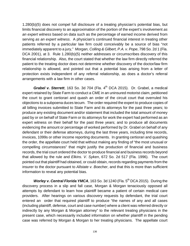1.280(b)(5) does not compel full disclosure of a treating physician's potential bias, but limits financial discovery to an approximation of the portion of the expert's involvement *as an expert witness* based on data such as the percentage of earned income derived from serving *as an expert witness*. A physician's continued financial interest in treating other patients referred by a particular law firm could conceivably be a source of bias "not immediately apparent to a jury," *Morgan, Colling & Gilbert, P.A. v. Pope*, 798 So. 2d 1 (Fla. DCA 2001), at 3. Rule 1.280(b)(5) neither addresses or circumscribes discovery of this financial relationship. Also, the court stated that whether the law firm directly referred the patient to the treating doctor does not determine whether discovery of the doctor/law firm relationship is allowed, and pointed out that a potential bias arising from a letter of protection exists independent of any referral relationship, as does a doctor's referral arrangements with a law firm in other cases.

*Grabel v. Sterrett*, 163 So. 3d 704 (Fla. 4<sup>th</sup> DCA 2015). Dr. Grabel, a medical expert retained by State Farm to conduct a CME in an uninsured motorist claim, petitioned the court to grant certiorari and quash an order of the circuit court that overruled his objections to a subpoena duces tecum. The order required the expert to produce copies of all billing invoices submitted to State Farm and its attorneys for the past three years; to produce any existing document and/or statement that included the total amount of money paid by or on behalf of State Farm or its attorneys for work the expert had performed as an expert witness on their behalf for the past three years; and to produce all documents evidencing the amount or percentage of worked performed by Dr. Grabel on behalf of any defendant or their defense attorneys, during the last three years, including time records, invoices, 1099s or other income reporting documents. In granting certiorari and quashing the order, the appellate court held that without making any finding of "the most unusual or compelling circumstances" that might justify the production of financial and business records, the trial court ordered the doctor to produce financial and business records beyond that allowed by the rule and *Elkins. V. Syken*, 672 So. 2d 517 (Fla. 1996). The court pointed out that plaintiff had obtained, or could obtain, records regarding payments from the insurer to the doctor pursuant to *Allstate v. Boecher*, and that this is more than sufficient information to reveal any potential bias.

*Worley v. Central Florida YMCA*, 163 So. 3d 1240 (Fla. 5<sup>th</sup> DCA 2015). During the discovery process in a slip and fall case, Morgan & Morgan tenaciously opposed all attempts by defendant to learn how plaintiff became a patient of certain medical care providers. After hearings on various discovery requests by defendant, the trial court entered an order that required plaintiff to produce "the names of any and all cases (including plaintiff, defense, court and case number) where a client was referred directly or indirectly by any Morgan & Morgan attorney" to the relevant treating physicians in the present case, which necessarily included information on whether plaintiff in the pending case was referred by Morgan & Morgan to her treating physicians. The appellate court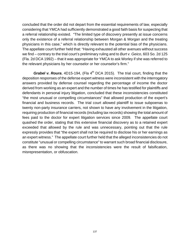concluded that the order did not depart from the essential requirements of law, especially considering that YMCA had sufficiently demonstrated a good faith basis for suspecting that a referral relationship existed. "The limited type of discovery presently at issue concerns only the existence of a referral relationship between Morgan & Morgan and the treating physicians in this case," which is directly relevant to the potential bias of the physicians. The appellate court further held that: "Having exhausted all other avenues without success we find – contrary to the trial court's preliminary ruling and to *Burt v. Geico*, 603 So. 2d 125 (Fla. 2d DCA 1992) – that it was appropriate for YMCA to ask Worley if she was referred to the relevant physicians by her counselor or her counselor's firm."

*Grabel v. Roura, 4D15-194, (Fla 4<sup>th</sup> DCA 2015). The trial court, finding that the* deposition responses of the defense expert witness were inconsistent with the interrogatory answers provided by defense counsel regarding the percentage of income the doctor derived from working as an expert and the number of times he has testified for plaintiffs and defendants in personal injury litigation, concluded that these inconsistencies constituted "the most unusual or compelling circumstances" that allowed production of the expert's financial and business records. The trial court allowed plaintiff to issue subpoenas to twenty non-party insurance carriers, not shown to have any involvement in the litigation, requiring production of financial records (including tax records) showing the total amount of fees paid to the doctor for expert litigation services since 2009. The appellate court quashed the order, stating that this extensive financial discovery as to a retained expert exceeded that allowed by the rule and was unnecessary, pointing out that the rule expressly provides that "the expert shall not be required to disclose his or her earnings as an expert witness." The appellate court further held that the alleged inconsistencies do not constitute "unusual or compelling circumstance" to warrant such broad financial disclosure, as there was no showing that the inconsistencies were the result of falsification, misrepresentation, or obfuscation.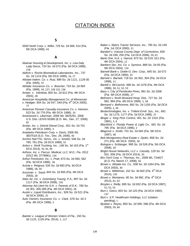# CITATION INDEX

#### **5**

*5500 North Corp. v. Willis*, 729 So. 2d 508, 514 (Fla. 5th DCA 1999), 43

#### **A**

- *Abamar Housing & Development, Inc. v. Lisa Daly Lady Decor,* 724 So. 2d 572 (Fla. 3d DCA 1998), 118
- *Aldrich v. Roche Biomedical Laboratories. Inc*., 737 So. 2d 1124 (Fla. 5th DCA 1999), 16, 17
- *Allstate Indem. Co. v. Ruiz,* 899 So. 2d 1121, 1129-30 (Fla. 2005), 37
- *Allstate Insurance Co. v. Boecher*, 733 So. 2d 993 (Fla. 1999), 54, 127, 128 132, 136
- *Amato v. Intindola*, 854 So. 2d 812 (Fla. 4th DCA 2003), 28
- *American Hospitality Management Co. of Minnesota*
- *v. Hettiger*, 904 So. 2d 547, 549 (Fla. 4<sup>th</sup> DCA 2005), 77
- *American Pioneer Casualty Insurance Co. v. Henrion*, 523 So. 2d 776 (Fla. 4th DCA 1988), 10
- *Ameriwood v. Liberman*, 2006 WL 3825291, 2006 U.S. Dist. LEXIS 93380 (E.D. Mo., Dec. 27, 2006), 92
- *Amlan, Inc. v. Detroit Diesel Corp*., 651 So. 2d 701 (Fla. 4th DCA 1995), 3
- *Anadarko Petroleum Corp. v. Davis*, 2006 WL 3837518 (S.D. Tex., Dec. 28, 2006), 92
- *Anchor Nat'l Fin. Servs., Inc. v. Smeltz*, 546 So. 2d 760, 761 (Fla. 2d DCA 1989), 32
- Antico v. Sindt Trucking, Inc., 148 So. 3d 163 (Fla. 1<sup>st</sup> DCA 2014), 70, 92, 94
- *Arthrex, Inc. v. Parcus Medical, LLC, M.D.*, Fla. 2012 (2012 WL 3778981), 116
- *Arthur Finnieston, Inc. v. Pratt*, 673 So. 2d 560, 562 (Fla. 3d DCA 1996), 36
- *Arzola v. Reigosa*, 534 So. 2d 883 (Fla. 3d DCA 1988), 58, 59
- *Arzuman v. Saud*, 843 So. 2d 950 (Fla. 4th DCA 2003), 28
- *Atlas Air, Inc. v. Greenberg Traurig, P.A*., 997 So. 2d 1117 (Fla. 3d DCA 2008), 118
- *Attorney Ad Litem for D.K. v. Parents of D.K.*, 780 So. 2d 301, 305-306 (Fla. 4th DCA 2001), 58
- *Austin v. Liquid Distributors, Inc*., 928 So. 2d 521 (Fla. 3d DCA 2006), 25
- *Auto Owners Insurance Co. v. Clark*, 676 So. 2d 3 (Fla. 4th DCA 1996), 5

#### **B**

*Bainter v. League of Women Voters of Fla.*, 150 So. 3d 1115, 1129 (Fla. 2014), 1, 117

- *Baker v. Myers Tractor Services, Inc.*, 765 So. 2d 149 (Fla. 1st DCA 2000), 21
- *Bandorf v. Volusia County Dept. of Corrections*, 939 So. 2d 249, 250 (Fla. 1st DCA 2006), 59, 61
- *Bank One, N.A. v. Harrod*, 873 So. 2d 519, 521 (Fla. 4th DCA 2004), 12
- *Bankers Sec. Ins. Co. v. Symons*, 889 So. 2d 93 (Fla. 5th DCA 2004), 116
- *Barnett Bank v. Dottie-G. Dev. Corp*., 645 So. 2d 573 (Fla. 2d DCA 1994), 32
- *Barnett v. Barnett*, 718 So. 2d 302, 304 (Fla. 2d DCA 1998), 11
- *Bartell v. McCarrick*, 498 So. 2d 1378 (Fla. 4th DCA 1986), 50, 51, 52, 53
- *Bass v. City of Pembroke Pines*, 991 So. 2d 1008 (Fla. 4th DCA 2008), 27
- *Belmont v. North Broward Hosp. Dist*., 727 So. 2d 992, 994 (Fla. 4th DCA 1999), 5, 58
- *Bertrand v. Belhomme*, 892 So. 2d 1150 (Fla. 3d DCA 2005), 2, 26
- *Bestechnologies, Inc. v. Trident Envtl. Sys., Inc*., 681 So. 2d 1175, 1177 (Fla. 2d DCA 1996), 37
- *Binger v. King Pest Control*, 401 So. 2d 1310 (Fla. 1981), 2, 6
- *Blackford v. Florida Power & Light Co.*, 681 So. 2d 795 (Fla. 3d DCA 1996), 2
- *Blagrove v. Smith*, 701 So. 2d 584 (Fla. 5th DCA 1997), 48
- *Bob Montgomery Real Estate v. Djokic*, 858 So. 2d 371 (Fla. 4th DCA 2003), 28
- *Bologna v. Schlanger*, 995 So. 2d 526 (Fla. 5th DCA 2008), 29
- *Bright House Networks, LLC v. Cassidy*, 129 So. 3d 501, 506 (Fla. 2d DCA 2014), 35
- *Bro-Tech Corp. v. Thermax, Inc.,* 2008 WL 724627 (E.D. Pa. March 17, 2008), 92
- *Brown v. Allstate Ins. Co.*, 838 So. 2d 1264 (Fla. 5th DCA 2003), 30
- *Brown v. Mittelman, 152 So. 3d 602 (Fla. 4<sup>th</sup> DCA* 2014), 135
- *Brown v. Montanez*, 90 So. 3d 982, (Fla. 4<sup>th</sup> DCA 2012), 61, 62
- *Broyles v. Reilly*, 695 So. 2d 832 (Fla. 2d DCA 1997), 51, 52, 53
- *Burt v. Geico*, 603 So. 2d 125 (Fla. 2d DCA 1992), 137
- *Burt v. S.P. Healthcare Holdings, LLC* (citation pending), 5
- *Byxbee v. Reyes*, 850 So. 2d 595, 596 (Fla. 4th DCA 2003), 59, 60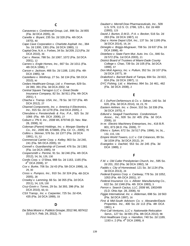- *Canaveras v. Continental Group, Ltd.*, 896 So. 2d 855 (Fla. 3d DCA 2005), 26
- *Canella v. Bryant*, 235 So. 2d 328 (Fla. 4th DCA 1970), 40
- *Cape Cave Corporation v. Charlotte Asphalt. Inc.*, 384 So. 2d 1300, 1301 (Fla. 2d DCA 1980), 11
- Capital One, N.A. v. Forbes, 34 So. 3d 209, 213 (Fla. 2d DCA 2010), 36
- *Carr v. Reese*, 788 So. 2d 1067, 1072 (Fla. 2d DCA 2001), 12
- *Carrero v. Engle Homes, Inc.*, 667 So. 2d 1011 (Fla. 4th DCA 1996), 7
- *Carson v. Jackson*, 466 So. 2d 1188, 1191 (Fla. 4th DCA 1985), 58
- *Castellano v. Winthrop*, 27 So. 3d 134 (Fla. 5th DCA 2010), 90
- *Cedars Healthcare Group, Ltd. v. Freeman*, 829 So. 2d 390, 391 (Fla. 3d DCA 2002, 58
- *Central Square Tarragon LLC v. Great Divide Insurance Company*, 82 So. 3d 911 (Fla. 4th DCA 2001), 5
- *Chacha v. Transp. USA, Inc.*, 78 So. 3d 727 (Fla. 4th DCA 2012), 27
- *Channel Components, Inc. v. America II Electronics, Inc*., 915 So. 2d 1278 (Fla. 2nd DCA 2005), 2
- C*herubino v. Fenstersheib & Fox, P.A*., 925 So. 2d 1066 (Fla. 4th DCA 2006), 27
- C*oburn v. PN II, Inc*., 2008 WL 879746 (D. Nev. Mar. 28, 2008), 92
- *Coleman (Parent) Holdings, Inc. v. Morgan Stanley & Co., Inc.*, 2005 WL 674885, (Fla. Cir. Ct., 2005), 70
- *Collins v. Skinner*, 576 So. 2d 1377 (Fla. 2d DCA 1991), 51, 52
- *Commercial Carrier Corp. v. Kelley*, 903 So. 2d 240, 241 (Fla. 5th DCA 2005), 59
- *Connell v. Guardianship of Connell*, 476 So. 2d 1381 (Fla. 1st DCA 1985), 59
- *Coopersmith v. Perrine,* 91 So. 3d 246 (Fla. 4th DCA 2012), 54, 56, 129, 130
- *Cordis Corp. v. O'Shea*, 988 So. 2d 1163, 1165 (Fla.  $4<sup>tn</sup>$  DCA 2008), 37
- *Cox v. Burke*, 706 So. 2d 43 (Fla. 5th DCA 1998), 18, 29, 30
- *Cross v. Pumpco, Inc.*, 910 So. 2d 324 (Fla. 4th DCA 2005), 28
- *Crowley v. Lamming*, 66 So. 3d 355 (Fla. 2d DCA 2011), 54, 129, 130
- *Cruz-Govin v. Torres*, 29 So. 3d 393, 396 (Fla. 3d DCA 2010), 60, 61
- *CSX Transp., Inc. v. Carpenter*, 725 So. 2d 434, 435 (Fla. 2d DCA 1999), 33

### **D**

*Da Silva Moore v. Publicis Groupe*, 2012 WL 607412 (S.D.N.Y. Feb. 24, 2012), 75

- *Daubert v. Merrell Dow Pharmaceuticals, Inc.*, 509 U.S. 579, 113 S. Ct. 2786, 125 L. Ed. 2d 469 (1993), 123
- *David J. Burton, D.M.D., P.A. v. Becker*, 516 So. 2d 283 (Fla. 2d DCA 1987), 61
- *Diaz v. Home Depot USA, Inc.*, 137 So. 3d 1195 (Fla. 3d DCA 2014), 19, 24
- *Dimeglio v. Briggs-Mugrauer,* 708 So. 2d 637 (Fla. 2d DCA 1998), 49
- *Distefano v. State Farm Mut. Auto. Ins. Co*., 846 So. 2d 572 (Fla. 1st DCA 2003), 21
- *District Board of Trustees of Miami-Dade County College v. Chao*, 739 So. 2d 105 (Fla. 3d DCA 1999), 37
- *Don Mott Agency, Inc. v. Pullum,* 352 So. 2d 107 (Fla. 2d DCA 1977), 39
- *Drakeford v. Barnett Bank of Tampa*, 694 So. 2d 822, 824 (Fla. 2d DCA 1997), 11
- *DYC Fishing, Ltd. v. Martinez,* 994 So. 2d 461, 462 (Fla. 3d DCA 2008), 2

## **E**

- *E. I. DuPont DeNemours & Co. v. Sidran*, 140 So. 3d 620, (Fla. 3d DCA 2014), 18, 23, 70
- *Eastern Airlines. Inc. v. Dixon,* 310 So. 2d 336 (Fla. 3d DCA 1975), 4
- *Edlund v. Seagull Townhomes Condominium Assoc., Inc*., 928 So. 2d 405 (Fla. 3d DCA 2006), 10
- *In re: Electric Machinery Enterprises, Inc.*, 416 B.R. 801, 873 (M.D. Fla. 2009), 77
- *Elkins v. Syken*, 672 So. 2d 517 (Fla. 1996), 54, 56, , 132, 133, 136
- *Empire World Towers, LLC v. Cdr Créances*, 89 So. 3d 1034 (Fla. 3d DCA 2012), 24
- *Evangelos v. Dachiel,* 553 So. 2d 245 (Fla. 3d DCA 1989), 2

#### **F**

- *F.M. v. Old Cutler Presbyterian Church, Inc.*, 595 So. 2d 201, 202 (Fla. 3d DCA 1992), 58
- *Faddis v. City of Homestead*, 121 So. 3d 1134 (Fla. 3d DCA 2013), 24
- *Federal Express Corp. v. Cantway*, 778 So. 2d 1052, 1053 (Fla. 4th DCA 2001), 37
- *Federal Insurance Co. v. Allister Manufacturing Co.*, 622 So. 2d 1348 (Fla. 4th DCA 1993), 3
- *Ferron v. Search Cactus, LLC*, 2008 WL 1902499 (S.D. Ohio Apr. 28, 2008), 92
- *Figgie International, Inc. v. Alderman,* 698 So. 2d 563 (Fla. 3d DCA 1997), 16
- *First & Mid-South Advisorv Co. v. Alexander/Davis Properties. Inc.*, 400 So. 2d 113 (Fla. 4th DCA 1981), 4
- *First Call Ventures, LLC v. Nationwide Relocation Servs*., 127 So. 3d 691 (Fla. 4th DCA 2013), 98
- *First Healthcare Corp. v. Hamilton*, 740 So. 2d 1189, 1193 n. 2 (Fla. 4<sup>th</sup> DCA 1999), 8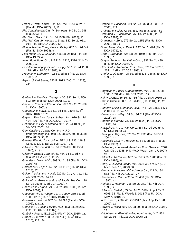- *Fisher v. Prof'l. Adver. Dirs. Co., Inc.*, 955 So. 2d 78 (Fla. 4th DCA 2007), 11, 12
- *Fla. Convalescent Ctrs. V. Somberg,* 840 So 2d 998 (Fla. 2003), 8
- *Fla. Bar v. Black*, 121 So. 3d 1038 (Fla. 2013), 90
- *Fla. Nat'l Org. for Women v. State*, 832 So. 2d 911, 914 (Fla. 1st DCA 2002), 12
- *Florida Marine Enterprises v. Bailey*, 632 So. 2d 649 (Fla. 4th DCA 1994), 6
- *Ford Motor Co. v. Garrison,* 415 So. 2d 843 (Fla. 1st DCA 1982), 4
- *In re: Ford Motor Co.*, 345 F. 3d 1315, 1316 (11th Cir. 2003), 92
- *Freedom Newspapers, Inc., v. Egly*, 507 So. 2d 1180, 1184 (Fla. 2d DCA 1987), 34
- *Freeman v. Latherow*, 722 So. 2d 885 (Fla. 2d DCA 1998), 51
- *Frye v. United States,* 293 F. 1013 (D.C. Cir. 1923), 124

### **G**

- *Garbacik v. Wal-Mart Transp., LLC*, 932 So. 2d 500, 503-504 (Fla. 5th DCA 2006), 59, 60
- *Garcia v. Emerson Electric Co*., 677 So. 2d 20 (Fla. 3d DCA 1996), 5
- *Gautreaux v. Maya*, 112 So. 3d 146, 149 (Fla. 5<sup>th</sup> DCA 2013), 18, 29
- *Gayer v. Fine Line Constr. & Elec., Inc.*, 970 So. 2d 424, 426 (Fla. 4th DCA 2007), 76, 77
- *Gehrmann v. City of Orlando*, 962 So. 2d 1059 (Fla. 5th DCA 2007), 30
- *Gen. Caulking Coating Co., Inc. v. J.D. Waterproofing, Inc*., 958 So. 2d 507, 508 (Fla. 3d DCA 2007), 35, 36
- *General Electric Co. v. Joiner*, 522 U.S. 136, 118 S. Ct. 512, 139 L. Ed. 2d 508 (1997), 123
- *Gibson v. Gibson*, 456 So. 2d 1320 (Fla. 4th DCA 1984), 51, 52
- *Gilbert v. Eckerd Corp. of Fla, Inc*., 34 So. 3d 773 (Fla. 3d DCA 2010), 18, 25
- *Goeddel v. Davis, M.D.,* 993 So. 2d 99 (Fla. 5th DCA 2008) 48
- *Goicochea v. Lopez*, 140 So. 3d 1102 (Fla. 3d DCA 2014), 47
- *Golden Yachts, Inc. v. Hall*, 920 So. 2d 777, 781 (Fla. 4th DCA 2006), 14, 80
- *Goldstein v. Great Atlantic and Pacific Tea Co.,* 118 So. 2d 253 (Fla. 3d DCA 1960), 4
- *Gonzalez v. Largen,* 790 So. 2d 497, 500 (Fla. 5th DCA 2001), 7
- *Goodyear Tire & Rubber Co. v. Cooey*, 359 So. 2d 1200, 1202 (Fla. 1<sup>st</sup> DCA 1978), 36
- *Gosman v. Luzinski,* 937 So. 2d 293 (Fla. 4th DCA 2006), 116, 117
- *Gouveia v. F. Leigh Phillips,* M.D., 823 So. 2d 215, 222 (Fla. 4th DCA 2002), 6
- *Grabel v. Roura*, 4D15-194, (Fla 4<sup>th</sup> DCA 2015), 137
- *Grabel v. Sterrett*, 163 So. 3d 704 (Fla. 4<sup>th</sup> DCA 2015), 127, 136
- *Graham v. Dacheikh*, 991 So. 2d 932 (Fla. 2d DCA 2008), 129
- *Grainger v. Fuller*, 72 So. 462, 463 (Fla. 1916), 60

*Gramman v. Stachkunas*, 750 So. 2d 688 (Fla. 5th DCA 1999), 55

- *Granados v. Zehr,* 979 So. 2d 1155 (Fla. 5th DCA 2008), 18, 30
- *Grand Union Co., v. Patrick*, 247 So. 2d 474 (Fla. 3d DCA 1971), 37
- *Grau v. Branham,* 626 So. 2d 1059 (Fla. 4th DCA 1993), 6
- *Gray v. Sunburst Sanitation Corp.*, 932 So. 2d 439 (Fla. 4th DCA 2006), 27
- *Greenleaf v. Amerada Hess Corp.*, 626 So 2d 263, 264 n. 1 (Fla. 4<sup>th</sup> DCA 1993), 8
- *Griefer v. DiPietro*, 708 So. 2d 666, 672 (Fla. 4th DCA 1998), 6

#### **H**

- *Hagopian v. Publix Supermarkets. Inc.,* 788 So. 2d 1088, 1091 (Fla. 4th DCA 2001), 13
- *Hair v. Morton*, 36 So. 3d 766 (Fla. 3d DCA 2010), 25
- *Ham v. Dunmire,* 891 So. 2d 492, (Fla. 2004), 11, 12, 80
- *Haney v. Mizell Memorial Hosp*., 744 F.2d 1467, 1476 (11th Cir. 1984), 58
- *Hankerson v. Wiley*, 154 So. 3d 511 (Fla. 4<sup>th</sup> DCA 2015), 38
- *Hanono v. Murphy*, 732 So. 2d 892 (Fla. 3d DCA 1998), 26
- *Haskell Co. v. Ga. Pac. Corp*., 684 So. 2d 297 (Fla.  $5<sup>tn</sup>$  DCA 1996), 44
- *Hastings v. Rigsbee*, 875 So. 2d 772, (Fla. 2d DCA 2004), 47
- *Haverfield Corp. v. Franzen,* 694 So. 2d 162 (Fla. 3d DCA 1997), 9
- *Hedenburg v. Aramark American Food Services*, 2007 U.S. Dist. LEXIS 3443 (W.D. Wash. Jan. 17, 2007), 92
- *Helmick v. McKinnon,* 657 So. 2d 1279, 1280 (Fla. 5th DCA 1995), 59
- *Henry v. Quicken Loans, Inc.*, 2008 WL 474127 (E.D. Mich. Feb. 15, 2008), 92
- *Herman v. Intracoastal Cardiology Ctr*., 121 So. 3d 583 (Fla. 4th DCA 2013), 27
- *Hernandez v. Pino*, 482 So. 2d 450 (Fla. 3d DCA 1986), 17
- *Hoffman v. Hoffman*, 718 So. 2d 371 (Fla. 4th DCA 1998), 2
- *Holland v. Barfield,* 35 So. 3d 2010 Fla. App. LEXIS 6293; 35 Fla. L. Weekly D 1018 (Fla. 5th DCA May 7, 2010), 70
- *In re: Honza,* 2007 WL 4591917 (Tex. App. Dec. 28, 2007), 92
- *Howard v. Risch,* 959 So. 2d 308 (Fla. 2d DCA 2007), 22
- *Hutchinson v. Plantation Bay Apartments, LLC*, 931 So. 2d 957 (Fla.1st DCA 2006), 21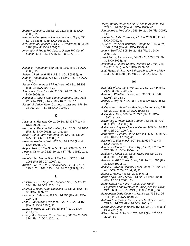- *Ibarra v. Izaguirre,* 985 So. 2d 1117 (Fla. 3d DCA 2008), 25
- *Insurance Company of North America v. Noya*, 398 So. 2d 836 (Fla. 5th DCA 1981), 40
- *Int'l House of Pancakes (IHOP) v. Robinson,* 8 So. 3d 1180 (Fla. 4<sup>th</sup> DCA 2009) 32
- *International Tel. & Tel. Corp v. United Tel. Co. of Florida,* 60 F.R.D. 177 (M.D. Fla. 1973), 115

#### **J**

- *Jacob v. Henderson* 840 So. 2d 1167 (Fla 2d DCA 2003), 23
- *Jaffee v. Redmond,* 518 U.S. 1, 10-12 (1996), 58
- *Jean v. Theodorsen*, 736 So. 2d 1240 (Fla. 4th DCA 1999), 6
- *Jesse v. Commercial Diving Acad*., 963 So. 2d 308 (Fla. 1st DCA 2007), 20
- *Johnson v. Swerdzewski,* 935 So. 2d 57 (Fla. 1st DCA 2006), 21
- *Johnson v. Wells Fargo Home Mortgage, Inc.*, 2008 WL 2142219 (D. Nev. May 16, 2008), 92
- *Joseph S. Arrigo Motor Co.. Inc. v. Lasserre*, 678 So. 2d 396, 397 (Fla. 1st DCA 1996), 9

#### **K**

- *Katzman v. Ranjana Corp.,* 90 So. 3d 873 (Fla. 4th DCA 2002), 133
- *Katzman v. Rediron Fabrication, Inc.*, 76 So. 3d 1060 (Fla. 4th DCA 2012), 128, 133, 135
- *Kaye v. State Farm Mut. Auto Ins. Co.,*, 985 So. 2d 675 (Fla. 4th DCA 2008), 6
- *Keller Industries v. Volk,* 657 So. 2d 1200 (Fla. 4th DCA 1995), 5, 6
- *King v. Taylor,* 3 So. 3d 405 (Fla. 2d DCA 2009), 22
- *Kozel v. Ostendorf,* 629 So. 2d 817 (Fla. 1993), 10, 11, 12
- *Kubel v. San Marco Floor & Wall, Inc.,* 967 So. 2d 1063 (Fla 2d DCA 2007), 22
- *Kumho Tire Co., Ltd. v. Carmichael,* 526 U.S. 137, 119 S. Ct. 1167, 143 L. Ed. 2d 238 (1999), 123

#### **L**

- *Laschke v. R. J. Reynolds Tobacco Co*., 872 So. 2d 344 (Fla. 2d DCA 2004), 23
- *Laurore v. Miami Auto. Retail,Inc.,*16 So. 3d 862 (Fla. 3d DCA 2009), 25
- *Leinhart v. Jurkovich*, 882 So. 2d 456 (Fla. 4th DCA 2004), 48
- *Lent v. Baur Miller & Webner. P.A.*, 710 So. 2d 156 (Fla. 3d DCA 1998), 16
- *Lerner v. Halegua,* 154 So. 3d 445 (Fla. 3d DCA 2014), 23
- *Liberty Mut. Fire Ins. Co. v. Bennett*, 883 So. 2d 373, 374 (Fla. 4<sup>th</sup> DCA 2001), 32
- L*iberty Mutual Insurance Co. v. Lease America, Inc.,*  735 So. 2d 560 (Fla. 4th DCA 1999), 40
- *Lightbourne v. McCollum,* 969 So. 2d 326 (Fla. 2007), 119
- *Littelfield v. J. Pat Torrence*, 778 So. 2d 368 (Fla. 2d DCA 2001), 49
- *LoBue v. Travelers lnsurance Company*, 388 So. 2d 1349, 1351 (Fla. 4th DCA 1980), 6
- *Long v. Swofford,* 805 So. 2d 882 (Fla. 3d DCA 2001), 26
- *Lovell Farms, Inc. v. Levy*, 644 So. 2d 103, 105 (Fla. 3d DCA 1994), 35
- *Lunceford v. Florida Central Railroad Co., Inc.*, 728 So. 2d 1239 (Fla. 5th DCA 1999), 53
- *Lytal, Reiter, Smith, Ivey & Fronrath, L.L.P. v. Malay,* 133 So. 3d 1178 (Fla. 4th DCA 2014), 129, 135

#### **M**

- *Marshalls of Ma, Inc. v. Minsal,* 932 So. 2d 444 (Fla. App. 3d Dist. 2006), 32
- *Martino v. Wal-Mart Stores, Inc.*, 908 So. 2d 342 (2005), 13, 14, 80
- *Matlock v. Day,* 907 So. 2d 577 (Fla. 5th DCA 2005), 117
- *McClennan v. American Building Maintenance,* 648 So. 2d 1214 (Fla. 1st DCA 1995), 53
- *McCorkle v. Fast,* 599 So. 2d 277 (Fla. 2d DCA 1992), 51, 52
- *McDermott v. Miami-Dade County*, 753 So. 2d 729 (Fla. 1<sup>st</sup> DCA 2000), 44
- *McGarrah v. Bayfront Medical Center*, 889 So. 2d 923 (Fla. 2d DCA 2004), 53
- *McKenney v. Airport Rent-A-Car, Inc.,* 686 So. 2d 771 (Fla. 4th DCA 1997), 48
- *McKnight v. Evancheck,* 907 So. 2d 699 (Fla. 4th DCA 2005), 28
- *Medina v. Florida East Coast Ry., L.L.C.,* 921 So. 2d 767 (Fla. 3d DCA 2006), 25
- *Medina v. Florida East Coast Rwy.,* 866 So. 2d 89 (Fla. 3d DCA 2004), 10
- *Medrano v. BEC Const. Corp.,* 588 So. 2d 1056 (Fla. 3d DCA 1991), 53
- *Menke v. Broward County School Board*, 916 So. 2d 8 (4th DCA 2005), 70, 91, 92, 93
- *Mercer v. Raine,* 443 So. 2d at 946, 11
- *Metric Eng'g., Inc v.Small,* 861 So. 2d 1248, 1250 (Fla. 1<sup>st</sup> DCA 2003), 33
- *Metro. Opera Ass'n Inc. v. Local 100, Hotel Employees and Restaurant Employees Int'l Union,* 212 F.R.D. 178, 218-219 (S.D.N.Y. 2003), 80
- *Metropolitan Dade County v. Martinsen*, 736 So. 2d 794 (Fla. 3d DCA 1999), 26
- *Midtown Enterprises. Inc. v. Local Contractors Inc.,*  785 So. 2d 578 (Fla. 3d DCA 2001), 7
- *Millard Mall Servs. v. Bolda,* 155 So. 3d 1272 (Fla. 4th DCA 2015), 32
- *Miller v. Harris*, 2 So. 3d 1070, 1073 (Fla. 2<sup>nd</sup> DCA 2009), 56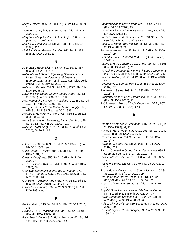- *Miller v. Nelms*, 966 So. 2d 437 (Fla. 2d DCA 2007), 22
- *Morgan v. Campbell*, 816 So. 2d 251 (Fla. 2d DCA 2002), 23
- *Morgan, Colling & Gilbert, P.A. v. Pope,* 798 So. 2d 1 (Fla. DCA 2001), 136
- *Mullins v. Tompkins,* 15 So. 3d 798 (Fla. 1st DCA 2009), 120
- *Myrick v. Direct General Inc. Co.*, 932 So. 2d 392 (Fla. 2d DCA 2006), 23

#### **N**

- *N. Broward Hosp. Dist. v. Button,* 592 So. 2d 367  $(Flag. 4<sup>th</sup> DCA 1992), 33$
- *National Day Laborer Organizing Network et al. v. United States Immigration and Customs Enforcement Agency, et a*l., 2012 U.S. Dist. Lexis 97863 (SDNY, July 13, 2012), 84
- *Nelson v. Womble,* 657 So. 2d 1221, 1222 (Fla. 5th DCA 1995), 58
- *Nevin v. Palm Beach County School Board*, 958 So. 2d 1003 (Fla. 1st DCA 2007), 117
- *New Hampshire Ins. Co. v. Royal Ins. Co.*, 559 So. 2d 102 (Fla. 4th DCA 1990), 15
- *Nordyne, Inc. v. Florida Mobile Home Supply, Inc.*, 625 So. 2d 1283 (Fla. 1st DCA 1993), 2
- *Northup v. Howard W. Acken, M.D.,* 865 So. 2d 1267 (Fla. 2004), 34
- *Nova Southeastern University, Inc. v. Jacobson,* 25 So. 3d 82 (Fla. 4th DCA 2009), 119
- *Nucci v. Target Corp.,* 162 So. 3d 146 (Fla. 4<sup>th</sup> DCA 2015), 68, 70, 91, 99

## **O**

- *O'Brien v. O'Brien,* 899 So. 2d 1133, 1137–38 (Fla. 5th DCA 2005), 90
- *Office Depot v. Miller*, 584 So. 2d 587 (Fla. 4th DCA 1991), 6
- *Olges v. Dougherty*, 856 So. 2d 6 (Fla. 1st DCA 2003), 47
- *Olson v. Blasco*, 676 So. 2d 481, 482 (Fla. 4th DCA 1996), 59
- *Orbit One Communications, Inc. v. Ronsen*, 271 F.R.D. 429; 2010 U.S. Dist. LEXIS 123633 (S.D. N.Y. 2010), 78

*Osmulski v. Oldsmar Fine Wine, Inc.,* 93 So. 3d 389 (Fla. 2d DCA 2012), 17, 70, 74, 76, 77

O*swald v. Diamond,* 576 So. 2d 909, 910 (Fla. 1st DCA 1991), 60

#### **P**

- *Pack v. Geico,* 119 So. 3d 1284 (Fla. 4<sup>th</sup> DCA 2013), 135
- *Palank v. CSX Transportation, Inc.,* 657 So. 2d 48 (Fla. 4th DCA 1995), 51
- *Palm Beach County Sch. Bd. v. Morrison,* 621 So. 2d 464, 469 (Fla. 4th DCA 1993), 59
- *Papadopoulos v. Cruise Ventures,* 974 So. 2d 418 (Fla. 3d DCA 2007), 25
- *Parrish v. City of Orlando,* 53 So. 3d 1199, 1203 (Fla. 5th DCA 2011), 60
- *Partner-Brown v. Bornstein, D.P.M.*, 734 So. 2d 555, 556 (Fla. 5th DCA 1999), 58, 59
- *Pena v. Citizens Prop. Ins. Co.*, 88 So. 3d 965 (Fla. 2d DCA 2012), 21
- *Perrine v. Henderson*, 85 So. 3d 1210 (Fla. 5th DCA 2012), 29
- *Peskoff v. Faber,* 2008 WL 2649506 (D.D.C. July 7, 2008), 92
- *Piunno v. R. F. Concrete Const., Inc.,* 904 So. 2d 658 (Fla. 4th DCA 2005), 28
- *Powerline Components, Inc. v. Mil-Spec Components, Inc.,* 720 So. 2d 546, 548 (Fla. 4th DCA 1998), 10

*Prince v. Mallari,* 36 So. 3d 128 (Fla. 5th DCA 2010), 53

- *Progressive v. Scoma,* 975 So. 2d 461 (Fla. 2d DCA 2007), 120
- *Pronman v. Styles, 163 So. 3d 535 (Fla. 4<sup>th</sup> DCA* 2015), 8
- *Proskauer Rose v. Boca Airport, Inc.,* 987 So. 2d 116 (Fla. 4th DCA 2008), 121
- *Public Health Trust of Dade County v. Valcin,* 507 So. 2d 596 (Fla. 1987), 3, 14

#### **R**

- *Rahman Momenah v. Ammache,* 616 So. 2d 121 (Fla. 2d DCA 1993), 39, 40
- *Ramey v. Haverty Furniture Cos.,* 993 So. 2d 1014, 1018 (Fla. 2d DCA 2008), 22
- *Rankin v. Rankin,* 284 So. 2d 487 (Fla. 3d DCA 1973), 4
- *Reynolds v. State,* 963 So. 2d 908 (Fla. 2d DCA 2007), 121
- *Rimkus Consulting Group, Inc. v. Cammarata*, 688 F. Supp. 2d 598, 613 (S.D. Tex. 2010), 78
- *Rios v. Moore,* 902 So. 2d 181 (Fla. 3d DCA 2005), 26
- *Rocca v. Rones*, 125 So. 3d 370 (Fla. 3d DCA 2013), 131
- *Rocka Fuerta Constr., Inc. v. Southwick, Inc., 103 So. 3d 1022 (Fla. 5th DCA 2013), 29*
- *Root v. Balfour Beatty Const.,* LLC, 132 So. 3d 867,869 (Fla. 2d DCA 2014), 68, 70, 100
- *Rose v. Clinton,* 575 So. 2d 751 (Fla. 3d DCA 1991), 10
- *Royal & Sunalliance v. Lauderdale Marine Center,*  877 So. 2d 843, 845 (4th DCA 2004), 77
- *Royal Caribbean Cruises, Ltd. v. Cox*, 974 So. 2d 462, 466 (Fla. 3d DCA 2008), 47
- *Ruiz v. City of Orlando*, 859 So. 2d 574 (Fla. 5th DCA 2003), 30
- *Russenberger v. Russenberger,* 639 So. 2d 963 (Fla. 1994), 47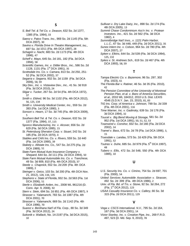- *S. Bell Tel. & Tel Co. v. Deason*, 632 So. 2d 1377, 1385 (Fla. 1994), 33
- *Saenz v. Patco Trans. Inc.*, 969 So. 2d 1145 (Fla. 5th DCA 2007), 30
- *Savino v. Florida Drive In Theatre Management, Inc.,*  697 So. 2d 1011 (Fla. 4th DCA 1997), 28
- *Schagrin v. Nacht*, 683 So. 2d 1173 (Fla. 4th DCA 1996), 47
- *Scheff v. Mayo*, 645 So. 2d 181, 182 (Fla. 3d DCA 1994), 58
- *Scientific Games, Inc. v. Dittler Bros., Inc*., 586 So. 2d 1128, 1131 (Fla. 1<sup>st</sup> DCA 1991), 35
- *Scottsdale Ins. Co. v. Camara,* 813 So. 2d 250, 251- 52 (Fla. 3d DCA 2002), 37
- *Segarra v. Segarra,* 932 So. 2d 1159 (Fla. 3d DCA 2006), 58, 59
- *Sky Dev., Inc. v. Vistaview Dev., Inc.,* 41 So. 3d 918 (Fla. 3d DCA 2010), 24
- *Sligar v. Tucker*, 267 So. 2d 54 (Fla. 4th DCA 1972), 37
- *Smith v. Eldred,* 96 So. 3d 1102 (Fla. 4th DCA 2012), 56, 125, 134
- *Smith v. University Medical Center, Inc.,* 559 So. 2d 393 (Fla. 1st DCA 1990), 3
- *Sonson v. Hearn,* 17 So. 3d 745 (Fla. 4th DCA 2009), 5
- *Southern Bell Tel. & Tel. Co. v. Deason,* 632 So. 2d 1377 (Fla. 1994), 37, 115
- S*ponco Manufacturinq, Inc. v. Alcover,* 656 So. 2d 629 (Fla. 3d DCA 1995), 15
- *St. Petersburg Sheraton Corp. v. Stuart,* 242 So. 2d 185 (Fla. 2d DCA 1970), 4
- *Stables and CAN Ins. Co. v. Rivers*, 559 So. 2d 440 (Fla. 1st DCA 1990), 39
- *Stakely v. Allstate Ins. Co.,* 547 So. 2d 275 (Fla. 2d DCA 1989), 51
- *State Farm Mutual Auto Insurance Company v. Shepard*, 644 So. 2d 111 (Fla. 2d DCA 1994), 50
- *State Farm Mutual Automobile Ins. Co. v. Tranchese,* 49 So. 3d 809, 810 (Fla. 4th DCA 2010), 37
- *Steele v. Chapnick*, 552 So. 2d 209 (Fla. 4th DCA 1989), 2
- *Steinger v. Geico,* 103 So. 3d 200 (Fla. 4th DCA Nov. 21, 2012), 128, 134, 135
- *Stephens v. State of Florida*, 932 So. 2d 563 (Fla. 1st DCA 2006), 51
- *Sterle v. Elizabeth Arden, Inc.*, 2008 WL 961216 (D. Conn. Apr. 9, 2008), 92
- *Stern v. Stein,* 694 So. 2d 851 (Fla. 4th DCA 1997), 9
- *Strasser v. Yalamanchi,* 783 So. 2d 1087 (Fla. 4th DCA 2001), 70
- *Strasser v. Yalamanchi,* 669 So. 2d 1142 (Fla. 4th DCA 1996), 70
- *Suarez v. Benihana Nat'l of Fla. Corp.*, 88 So. 3d 349 (Fla. 3d DCA 2012), 24
- *Sukonik v. Wallack*, No. 14-2197 (Fla. 3d DCA 2015), 10
- *Sullivan v. Dry Lake Dairy, Inc.,* 898 So. 2d 174 (Fla. 4th DCA 2005), 13
- *Summit Chase Condominium Ass'n Inc. v. Protean Investors. Inc.*, 421 So. 2d 562 (Fla. 3d DCA 1982), 4
- *Summitbridge Nat'l Invs., v. 1221 Palm Harbor,*
- *L.L.C.,* 67 So. 3d 448, 449 (Fla. 2d DCA 2011), 35 *Sunex Intern Inc. v. Colson,* 964 So. 2d 780 (Fla. 4th DCA 2007), 27
- *Syken v. Elkins*, 644 So. 2d 539 (Fla. 3d DCA 1994), 125, 132
- *Sykes v. St. Andrews Sch.*, 619 So. 2d 467 (Fla. 4th DCA 1993), 58, 59

### **T**

- *Tampa Electric Co. v. Bazemore,* 96 So. 297, 302 (Fla. 1923), 61
- *The Florida Bar v. Ratiner,* 46 So. 3d 35 (Fla. 2010), 42
- *The Pension Committee of the University of Montreal Pension Plan, et al. v. Banc of America Securities, et al.,* 2010 WL 184312, 2010 U.S. Dist. LEXIS 4546 (S.D.N.Y. Jan. 15, 2010), 81, 83
- *TIG Ins. Corp. of America v. Johnson,* 799 So. 2d 339 (Fla. 4th DCA 2001), 116
- *Time Warner, Inc. v. Gadinsky,* 639 So. 2d 176 (Fla. 3d DCA 1994), 32
- *Toucet v. Big Bend Moving & Storage,* 581 So. 2d 952 (Fla. 1st DCA 1991), 50, 51, 52, 53
- *Townsend v. Conshor,* 832 So. 2d 166 (Fla. 2d DCA 2002), 14
- *Tramel v. Bass*, 672 So. 2d 78 (Fla. 1st DCA 1996), 3, 15
- *Truesdale v. Landau,* 573 So. 2d 429 (Fla. 5th DCA 1991), 52
- *Tsutras v. Duhe,* 685 So. 2d 979 (Fla. 5<sup>th</sup> DCA 1997), 48
- *Tubero v. Ellis*, 472 So. 2d 548, 550 (Fla. 4th DCA 1985), 10

#### **U**

- *U.S. Security Ins. Co. v. Cimino*, 754 So. 2d 697, 701 (Fla. 2000), 54
- *United Services Automobile Association v. Strasser,*  492 So. 2d 399 (Fla. 4th DCA 1986), 2
- *Univ. of Fla. Bd. of Trs. v. Stone*, 92 So. 3d 264, 272 (Fla. 1<sup>st</sup> DCA 2012), 123
- *USAA Casualty Insurance Co. v. Callery*, 66 So. 3d 315 (Fla. 2d DCA 2011), 129

#### **V**

- *Vega v. CSCS International. N.V.,* 795 So. 2d 164, 167 (Fla. 3d DCA 2001), 14
- *Victor Stanley, Inc. v. Creative Pipe, Inc.,* 269 F.R.D. 497, 523 (D. Md. Sep. 9, 2010), 78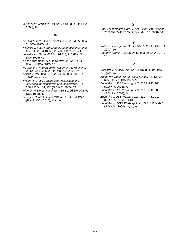*Villasenor v. Martinez*, 991 So. 2d 433 (Fla. 5th DCA 2008), 29

#### **W**

- *Wal-Mart Stores, Inc. v. Weeks,* 696 So. 2d 855 (Fla. 2d DCA 1997), 33
- *Wapnick v. State Farm Mutual Automobile Insurance Co.,* 54 So. 3d 1065 (Fla. 4th DCA 2011), 49
- *Weinstock v. Groth,* 659 So. 2d 713, 715 (Fla. 5th DCA 1995), 60
- *Wells Fargo Bank, N.A. v. Reeves,* 92 So. 3d 249 (Fla. 1st DCA 2012), 20
- *Westco, Inc. v. Scott Lewis' Gardening & Trimming*, 26 So. 3d 620, 622 (Fla. 4th DCA 2009), 35
- *Wilkins v. Palumbo,* 617 So. 2d 850 (Fla. 2d DCA 1993), 50, 51, 52
- *William A. Gross Construction Associates, Inc. v. American Manufacturers Mutual Insurance Co.,*  256 F.R.D. 134, 136 (S.D.N.Y. 2009), 75
- *Winn-Dixie Stores v. Nakutis,* 435 So. 2d 307 (Fla. 5th DCA 1983), 37
- *Worley v. Central Florida YMCA,* 163 So. 3d 1240 (Fla. 5<sup>th</sup> DCA 2015), 129, 136

### **X**

*Xpel Technologies Corp. v. Am. Filter Film Distribs;*  2008 WL 744837 (W.D. Tex. Mar. 17, 2008)**,** 92

#### Y

- *Yoho v. Lindsley,* 248 So. 2d 187, 192 (Fla. 4th DCA 1971), 60
- *Young v. Curgil*, 358 So. 2d 58 (Fla. 3d DCA 1978), 26

#### **Z**

- *Zaccaria v. Russell*, 700 So. 2d 187 (Fla. 4th DCA 1997), 10
- *Zanathy v. Beach Harbor Club Assoc.*, 343 So. 2d 625 (Fla. 2d DCA 1977), 9
- *Zubulake v. UBS Warburg LLC,* 216 F.R.D. 280 (S.D.N.Y. 2003), 79
- *Zubulake v. UBS Warburg LLC,* 217 F.R.D. 309 (S.D.N.Y. 2003), 68
- *Zubulake v. UBS Warburg LLC,* 220 F.R.D. 212 (S.D.N.Y. 2003), 79, 81
- *Zubulake v. UBS Warburg LLC*, 229 F.R.D. 422 (S.D.N.Y. 2004), 79, 80, 83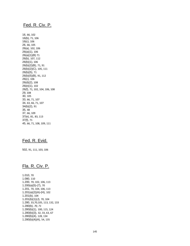## Fed. R. Civ. P .

16, 66, 102 16(b), 71, 106 16(c), 106 26, 66, 105 26(a), 102, 106 26(a)(1), 106 26(a)(1)(B) 71 26(b), 107, 112 26(b)(1), 106 26(b)(2)(B), 71, 91 26(b)(2)(C), 105, 111 26(b)(5), 71 26(b)(5)(B), 91, 112 26(c), 106 26(d)(2), 108 26(e)(1), 102 26(f), 71, 102, 104, 106, 108 29 , 108 30, 105 33, 66, 71, 107 34, 63, 66, 71, 107 34(b)(2), 91 35, 48 37, 66, 109 37(e), 81, 83, 113 37(f), 71 45, 66, 71, 108, 109, 111

# Fed. R. Evid.

502, 91, 111, 103, 106

## Fla. R. Civ. P.

1.010, 70 1.080, 110 1.200, 70, 102, 106, 113 1.200(a)(5)-(7), 70 1.201, 70, 104, 106, 113 1.201(a)(2)(A)-(H), 102 1.201(b), 104 1.201(b)(1)(J), 70, 104 1.280, 33,70,105, 113, 132, 133 1.280(b), *70, 71* 1.280(b)(1), 100, 115, 124 1.280(b)(3), 32, 33, 63, 67 1.280(b)(4), 128, 134 1.280(b)(4)(A), 54, 135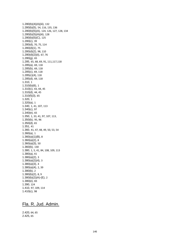1.280(b)(4)(A)(iii), 132 1.280(b)(5), 54, 116, 135, 136 1.280(b)(5)(A), 124, 126, 127, 128, 134 1.280(b)(5)(A)(iii), 128 1.280(b)(5)(C), 125 1.280(c), 39 1.280(d), 70, 75, 114 1.280(d)(1), 75 1.280(d)(2), 98, 110 1.280(d)(2)(ii), 67, 76 1.280(g), 65 1.285, 65, 68, 69, 91, 111,117,118 1.285(a), 69, 118 1.285(b), 69, 118 1.285(c), 69, 118 1.285(c)(4), 118 1.285(d), 69, 118 1.310, 1 1.310(b)(6), 1 1.310(c), 43, 44, 45 1.310(d), 44, 45 1.310(f)(3), 65 1.320, 1 1.320(a), 1 1.340, 1, 41, 107, 113 1.340(c), 97 1.340(e), 65 1.350, 1, 33, 41, 97, 107, 113, 1.350(b), 95, 96 1.350(d), 65 1.351, 41 1.360, 41, 47, 48, 49, 50, 53, 54 1.360(a), 1 1.360(a)(1)(B), 8 1.360(a)(2), 8 1.360(a)(3), 50 1.360(b), 130 1.380, 1, 5, 41, 84, 108, 109, 113 1.380(a), 41 1.380(a)(2), 3 1.380(a)(2)(4), 3 1.380(a)(3), 4 1.380(a)(4), 2, 39 1.380(b), 2 1.380(b)(2), 8, 9 1.380(b)(2)(A)-(E), 2 1.380(e), 83 1.390, 124 1.410, 97, 109, 114 1.410(c), 98

## Fla. R. Jud. Admin.

2.420, 64, 65 2.425, 65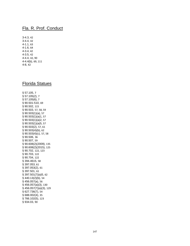# Fla. R. Prof. Conduct

3-4.3, 42 3-4.4, 42 4-1.1, 63 4-1.6, 64 4-3.4, 42 4-3.5, 42 4-4.4, 42, 90 4-4.4(b), 69, 111 4-8, 42

## Florida Statues

§ 57.105, 7 § 57.105(2), 7 § 57.105(6), 7 § 90.501-510, 69 § 90.502, 115 § 90.503, 57, 58, 59 § 90.503(1)(a), 57 § 90.503(1)(a)1, 57 § 90.503(1)(a)2, 57 § 90.503(1)(a)5, 57 § 90.503(2), 57, 61 § 90.503(4)(b), 62 § 90.503(4)(c), 57, 58 § 90.506, 36 § 90.507, 59 § 90.608(2)(2009), 135 § 90.608(2)(2015), 125 § 90.702, 122, 123 § 90.703, 122 § 90.704, 122 § 394.4615, 58 § 397.053, 61 § 397.053(2), 61 § 397.501, 61 § 397.501(7)(a)5, 62 § 440.13(2)(b), 54 § 456.057(a), 56 § 456.057(a)(3), 130 § 456.057(7)(a)(3), 129 § 627.736(7), 54 § 688.002(4), 35 § 766.102(5), 123 § 934.03, 90